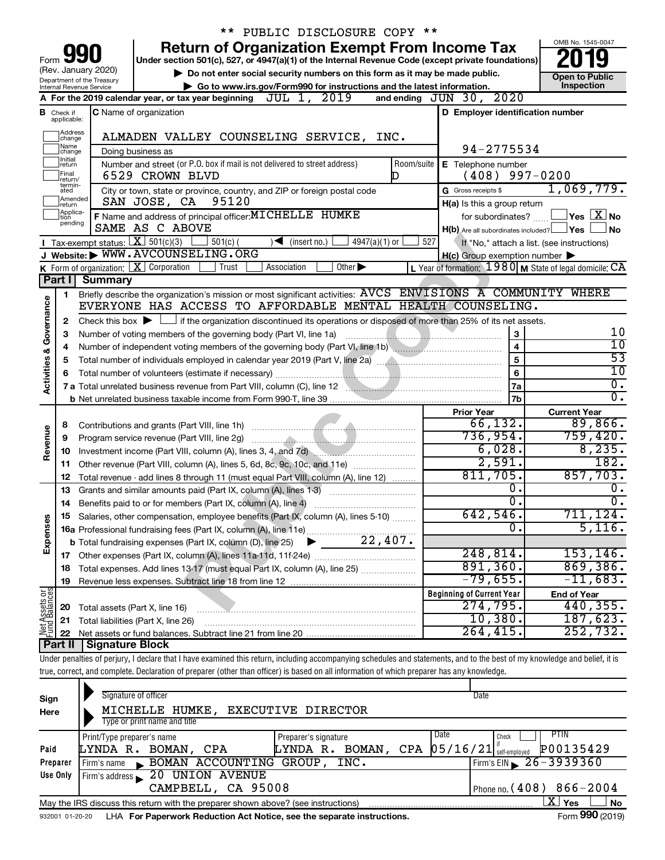|                         |                                  |                                                        |                                                                            |            | ** PUBLIC DISCLOSURE COPY **                                                                                                                                               |            |                                                     |                              |                                                         |
|-------------------------|----------------------------------|--------------------------------------------------------|----------------------------------------------------------------------------|------------|----------------------------------------------------------------------------------------------------------------------------------------------------------------------------|------------|-----------------------------------------------------|------------------------------|---------------------------------------------------------|
|                         |                                  |                                                        |                                                                            |            | <b>Return of Organization Exempt From Income Tax</b>                                                                                                                       |            |                                                     |                              | OMB No. 1545-0047                                       |
| Form                    |                                  |                                                        |                                                                            |            | Under section 501(c), 527, or 4947(a)(1) of the Internal Revenue Code (except private foundations)                                                                         |            |                                                     |                              |                                                         |
|                         |                                  | (Rev. January 2020)                                    |                                                                            |            | Do not enter social security numbers on this form as it may be made public.                                                                                                |            |                                                     |                              | <b>Open to Public</b>                                   |
|                         |                                  | Department of the Treasury<br>Internal Revenue Service |                                                                            |            | Go to www.irs.gov/Form990 for instructions and the latest information.                                                                                                     |            |                                                     |                              | Inspection                                              |
|                         |                                  |                                                        | A For the 2019 calendar year, or tax year beginning $JUL$ 1,               |            | 2019                                                                                                                                                                       |            | and ending $JUN$ 30,                                | 2020                         |                                                         |
|                         | <b>B</b> Check if<br>applicable: |                                                        | <b>C</b> Name of organization                                              |            |                                                                                                                                                                            |            | D Employer identification number                    |                              |                                                         |
|                         | Address<br>change                |                                                        |                                                                            |            | ALMADEN VALLEY COUNSELING SERVICE, INC.                                                                                                                                    |            |                                                     |                              |                                                         |
|                         | Name<br>change                   |                                                        | Doing business as                                                          |            |                                                                                                                                                                            |            |                                                     | 94-2775534                   |                                                         |
|                         | Initial<br>∣return               |                                                        | Number and street (or P.O. box if mail is not delivered to street address) |            |                                                                                                                                                                            | Room/suite | E Telephone number                                  |                              |                                                         |
|                         | Final<br>return/                 |                                                        | 6529 CROWN BLVD                                                            |            |                                                                                                                                                                            | D          | (408)                                               |                              | $997 - 0200$                                            |
|                         | termin-<br>ated                  |                                                        |                                                                            |            | City or town, state or province, country, and ZIP or foreign postal code                                                                                                   |            | G Gross receipts \$                                 |                              | 1,069,779.                                              |
|                         | Amended<br>Ireturn               |                                                        | SAN JOSE, CA                                                               | 95120      |                                                                                                                                                                            |            | H(a) Is this a group return                         |                              |                                                         |
|                         | Applica-<br>tion                 |                                                        | F Name and address of principal officer: MI CHELLE HUMKE                   |            |                                                                                                                                                                            |            |                                                     | for subordinates?            | $\,$ Yes $\,$ $\rm X$ $\,$ No $\,$                      |
|                         | pending                          |                                                        | SAME AS C ABOVE                                                            |            |                                                                                                                                                                            |            | $H(b)$ Are all subordinates included?               |                              | ⊥Yes<br><b>No</b>                                       |
|                         |                                  | Tax-exempt status: $X \overline{3}$ 501(c)(3)          |                                                                            | $501(c)$ ( | $\sqrt{\frac{1}{1}}$ (insert no.)<br>$4947(a)(1)$ or                                                                                                                       | 527        |                                                     |                              | If "No," attach a list. (see instructions)              |
|                         |                                  |                                                        | J Website: WWW.AVCOUNSELING.ORG                                            |            |                                                                                                                                                                            |            | $H(c)$ Group exemption number $\blacktriangleright$ |                              |                                                         |
|                         |                                  |                                                        | K Form of organization:   X Corporation                                    | Trust      | Association<br>Other $\blacktriangleright$                                                                                                                                 |            |                                                     |                              | L Year of formation: 1980 M State of legal domicile: CA |
|                         | Part II                          | Summary                                                |                                                                            |            |                                                                                                                                                                            |            |                                                     |                              |                                                         |
|                         | 1                                |                                                        |                                                                            |            | Briefly describe the organization's mission or most significant activities: AVCS ENVISIONS A COMMUNITY WHERE                                                               |            |                                                     |                              |                                                         |
|                         |                                  |                                                        |                                                                            |            | EVERYONE HAS ACCESS TO AFFORDABLE MENTAL HEALTH COUNSELING.                                                                                                                |            |                                                     |                              |                                                         |
| Governance              | 2                                |                                                        |                                                                            |            | Check this box $\blacktriangleright$ $\Box$ if the organization discontinued its operations or disposed of more than 25% of its net assets.                                |            |                                                     |                              | 10                                                      |
|                         | 3                                |                                                        | Number of voting members of the governing body (Part VI, line 1a)          |            |                                                                                                                                                                            |            |                                                     | 3<br>$\overline{\mathbf{4}}$ | $\overline{10}$                                         |
|                         | 4                                |                                                        |                                                                            |            | Number of independent voting members of the governing body (Part VI, line 1b)                                                                                              |            |                                                     | 5                            | $\overline{53}$                                         |
| <b>Activities &amp;</b> | 5                                |                                                        |                                                                            |            |                                                                                                                                                                            |            |                                                     | 6                            | 10                                                      |
|                         | 6                                |                                                        |                                                                            |            | 7 a Total unrelated business revenue from Part VIII, column (C), line 12                                                                                                   |            |                                                     | 7a                           | $\overline{0}$ .                                        |
|                         |                                  |                                                        |                                                                            |            |                                                                                                                                                                            |            |                                                     | 7 <sub>b</sub>               | 0.                                                      |
|                         |                                  |                                                        |                                                                            |            |                                                                                                                                                                            |            | <b>Prior Year</b>                                   |                              | <b>Current Year</b>                                     |
|                         | 8                                |                                                        |                                                                            |            |                                                                                                                                                                            |            |                                                     | 66, 132.                     | 89,866.                                                 |
|                         | 9                                |                                                        | Program service revenue (Part VIII, line 2g)                               |            |                                                                                                                                                                            |            |                                                     | 736,954.                     | 759,420.                                                |
| Revenue                 | 10                               |                                                        |                                                                            |            | Investment income (Part VIII, column (A), lines 3, 4, and 7d)                                                                                                              |            |                                                     | 6,028.                       | 8, 235.                                                 |
|                         | 11                               |                                                        |                                                                            |            | Other revenue (Part VIII, column (A), lines 5, 6d, 8c, 9c, 10c, and 11e)                                                                                                   |            |                                                     | 2,591.                       | 182.                                                    |
|                         | 12                               |                                                        |                                                                            |            | Total revenue - add lines 8 through 11 (must equal Part VIII, column (A), line 12)                                                                                         |            |                                                     | 811,705.                     | 857,703.                                                |
|                         | 13                               |                                                        |                                                                            |            | Grants and similar amounts paid (Part IX, column (A), lines 1-3)                                                                                                           |            |                                                     | 0.                           | 0.                                                      |
|                         | 14                               |                                                        | Benefits paid to or for members (Part IX, column (A), line 4)              |            |                                                                                                                                                                            |            |                                                     | σ.                           | σ.                                                      |
|                         |                                  |                                                        |                                                                            |            | Salaries, other compensation, employee benefits (Part IX, column (A), lines 5-10)                                                                                          |            | 642,546                                             |                              | 711, 124.                                               |
|                         |                                  |                                                        |                                                                            |            |                                                                                                                                                                            |            |                                                     | 0                            | 5,116.                                                  |
| Expenses                |                                  |                                                        | <b>b</b> Total fundraising expenses (Part IX, column (D), line 25)         |            | 22,407.                                                                                                                                                                    |            |                                                     |                              |                                                         |
|                         |                                  |                                                        |                                                                            |            |                                                                                                                                                                            |            |                                                     | 248,814.<br>891, 360.        | 153, 146.<br>869,386.                                   |
|                         | 18                               |                                                        |                                                                            |            | Total expenses. Add lines 13-17 (must equal Part IX, column (A), line 25)                                                                                                  |            |                                                     | $-79,655$ .                  | $-11,683.$                                              |
|                         | 19                               |                                                        |                                                                            |            |                                                                                                                                                                            |            | <b>Beginning of Current Year</b>                    |                              | <b>End of Year</b>                                      |
| Net Assets or           | 20                               |                                                        | Total assets (Part X, line 16)                                             |            |                                                                                                                                                                            |            |                                                     | 274,795.                     | 440, 355.                                               |
|                         | 21                               |                                                        | Total liabilities (Part X, line 26)                                        |            |                                                                                                                                                                            |            |                                                     | 10,380.                      | 187,623.                                                |
|                         | 22                               |                                                        |                                                                            |            |                                                                                                                                                                            |            |                                                     | 264, 415.                    | 252,732.                                                |
|                         | ∣ Part II                        | <b>Signature Block</b>                                 |                                                                            |            |                                                                                                                                                                            |            |                                                     |                              |                                                         |
|                         |                                  |                                                        |                                                                            |            | Under penalties of perjury, I declare that I have examined this return, including accompanying schedules and statements, and to the best of my knowledge and belief, it is |            |                                                     |                              |                                                         |
|                         |                                  |                                                        |                                                                            |            | true, correct, and complete. Declaration of preparer (other than officer) is based on all information of which preparer has any knowledge.                                 |            |                                                     |                              |                                                         |
|                         |                                  |                                                        |                                                                            |            |                                                                                                                                                                            |            |                                                     |                              |                                                         |
| Sign                    |                                  |                                                        | Signature of officer                                                       |            |                                                                                                                                                                            |            | Date                                                |                              |                                                         |
| Here                    |                                  |                                                        | MICHELLE HUMKE,                                                            |            | EXECUTIVE DIRECTOR                                                                                                                                                         |            |                                                     |                              |                                                         |
|                         |                                  |                                                        | Type or print name and title                                               |            |                                                                                                                                                                            |            |                                                     |                              |                                                         |
|                         |                                  | Print/Type preparer's name                             |                                                                            |            | Preparer's signature                                                                                                                                                       |            | Date                                                | Check                        | PTIN                                                    |

|          | THING I TRUP PIUPULUI U TIUTTU                                                    | $1.0$ $\mu$ at $\sigma$ $\sigma$ $\sigma$ $\sigma$ $\sigma$  |                                                    |           |        |
|----------|-----------------------------------------------------------------------------------|--------------------------------------------------------------|----------------------------------------------------|-----------|--------|
| Paid     | LYNDA R. BOMAN, CPA                                                               | LYNDA R. BOMAN, CPA $ 05/16/21 $ self-employed $ 000135429 $ |                                                    |           |        |
| Preparer | Firm's name BOMAN ACCOUNTING GROUP, INC.                                          |                                                              | $\sqrt{\frac{1}{2}$ Firm's EIN $\geq 26 - 3939360$ |           |        |
| Use Only | Firm's address 20 UNION AVENUE                                                    |                                                              |                                                    |           |        |
|          | CAMPBELL, CA 95008                                                                |                                                              | Phone no. $(408) 866 - 2004$                       |           |        |
|          | May the IRS discuss this return with the preparer shown above? (see instructions) |                                                              |                                                    | 'Yes<br>A | No     |
|          |                                                                                   |                                                              |                                                    |           | $\sim$ |

932001 01-20-20 **For Paperwork Reduction Act Notice, see the separate instructions.** LHA Form (2019)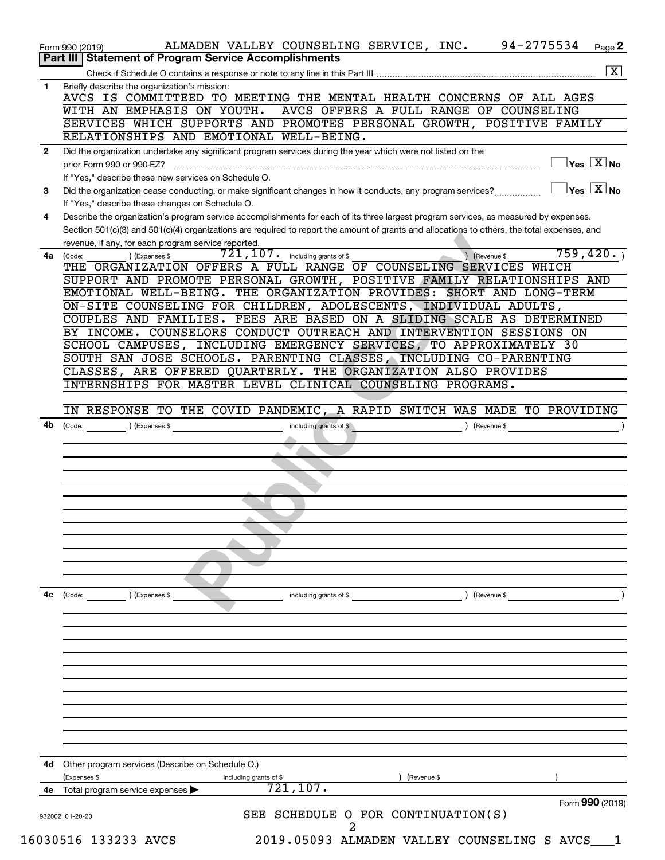| 94-2775534<br>ALMADEN VALLEY COUNSELING SERVICE, INC.<br>Form 990 (2019)                                                                     | Page 2                                     |
|----------------------------------------------------------------------------------------------------------------------------------------------|--------------------------------------------|
| Part III   Statement of Program Service Accomplishments                                                                                      |                                            |
|                                                                                                                                              | $\boxed{\textbf{X}}$                       |
| Briefly describe the organization's mission:<br>1<br>AVCS IS COMMITTEED TO MEETING THE MENTAL HEALTH CONCERNS OF ALL AGES                    |                                            |
| AVCS OFFERS A FULL RANGE OF COUNSELING<br>WITH AN EMPHASIS ON YOUTH.                                                                         |                                            |
| SERVICES WHICH SUPPORTS AND PROMOTES PERSONAL GROWTH, POSITIVE FAMILY                                                                        |                                            |
| RELATIONSHIPS AND EMOTIONAL WELL-BEING.                                                                                                      |                                            |
| Did the organization undertake any significant program services during the year which were not listed on the<br>2                            |                                            |
| prior Form 990 or 990-EZ?                                                                                                                    | $\overline{\ }$ Yes $\overline{\ \ \ }$ No |
| If "Yes," describe these new services on Schedule O.                                                                                         |                                            |
| Did the organization cease conducting, or make significant changes in how it conducts, any program services?<br>3                            | $\overline{X}$ Yes $\overline{X}$ No       |
| If "Yes," describe these changes on Schedule O.                                                                                              |                                            |
| Describe the organization's program service accomplishments for each of its three largest program services, as measured by expenses.<br>4    |                                            |
| Section 501(c)(3) and 501(c)(4) organizations are required to report the amount of grants and allocations to others, the total expenses, and |                                            |
| revenue, if any, for each program service reported.                                                                                          |                                            |
| 759,420.<br>$721$ , $107$ $\cdot$ including grants of \$<br>) (Revenue \$<br>(Expenses \$<br>4a<br>(Code:                                    |                                            |
| THE ORGANIZATION OFFERS A FULL RANGE OF COUNSELING SERVICES WHICH                                                                            |                                            |
| SUPPORT AND PROMOTE PERSONAL GROWTH, POSITIVE FAMILY RELATIONSHIPS AND                                                                       |                                            |
| EMOTIONAL WELL-BEING. THE ORGANIZATION PROVIDES: SHORT AND LONG-TERM                                                                         |                                            |
| ON-SITE COUNSELING FOR CHILDREN, ADOLESCENTS, INDIVIDUAL ADULTS,<br>COUPLES AND FAMILIES. FEES ARE BASED ON A SLIDING SCALE AS DETERMINED    |                                            |
| BY INCOME. COUNSELORS CONDUCT OUTREACH AND INTERVENTION SESSIONS ON                                                                          |                                            |
| SCHOOL CAMPUSES, INCLUDING EMERGENCY SERVICES, TO APPROXIMATELY 30                                                                           |                                            |
| SOUTH SAN JOSE SCHOOLS. PARENTING CLASSES, INCLUDING CO-PARENTING                                                                            |                                            |
| CLASSES, ARE OFFERED QUARTERLY. THE ORGANIZATION ALSO PROVIDES                                                                               |                                            |
| INTERNSHIPS FOR MASTER LEVEL CLINICAL COUNSELING PROGRAMS.                                                                                   |                                            |
|                                                                                                                                              |                                            |
| IN RESPONSE TO THE COVID PANDEMIC, A RAPID SWITCH WAS MADE TO PROVIDING                                                                      |                                            |
| $\left(\text{Code:}\right)$ $\left(\text{Expenses $}\right)$<br>4b<br>including grants of \$<br>) (Revenue \$                                |                                            |
|                                                                                                                                              |                                            |
|                                                                                                                                              |                                            |
|                                                                                                                                              |                                            |
|                                                                                                                                              |                                            |
|                                                                                                                                              |                                            |
|                                                                                                                                              |                                            |
|                                                                                                                                              |                                            |
|                                                                                                                                              |                                            |
|                                                                                                                                              |                                            |
|                                                                                                                                              |                                            |
|                                                                                                                                              |                                            |
|                                                                                                                                              |                                            |
| 4c<br>) (Revenue \$<br>$\left(\text{Code:} \right)$ $\left(\text{Expenses $}\right)$<br>including grants of \$                               |                                            |
|                                                                                                                                              |                                            |
|                                                                                                                                              |                                            |
|                                                                                                                                              |                                            |
|                                                                                                                                              |                                            |
|                                                                                                                                              |                                            |
|                                                                                                                                              |                                            |
|                                                                                                                                              |                                            |
|                                                                                                                                              |                                            |
|                                                                                                                                              |                                            |
|                                                                                                                                              |                                            |
|                                                                                                                                              |                                            |
|                                                                                                                                              |                                            |
|                                                                                                                                              |                                            |
| Other program services (Describe on Schedule O.)                                                                                             |                                            |
| (Expenses \$<br>(Revenue \$<br>including grants of \$                                                                                        |                                            |
| 4d<br>721, 107.<br>Total program service expenses<br>4е                                                                                      |                                            |
| Form 990 (2019)                                                                                                                              |                                            |
| SEE SCHEDULE O FOR CONTINUATION(S)<br>932002 01-20-20                                                                                        |                                            |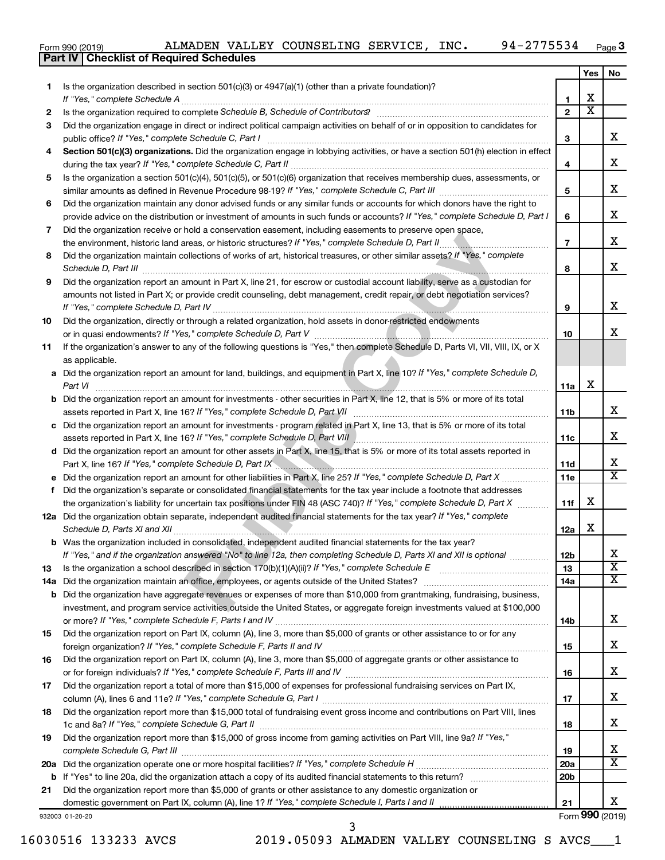|  | Form 990 (2019) |  |
|--|-----------------|--|

|     | ALMADEN VALLEY COUNSELING SERVICE, INC.<br>94-2775534<br>Form 990 (2019)                                                                                                                                                            |                 |                         | Page 3                  |
|-----|-------------------------------------------------------------------------------------------------------------------------------------------------------------------------------------------------------------------------------------|-----------------|-------------------------|-------------------------|
|     | <b>Part IV   Checklist of Required Schedules</b>                                                                                                                                                                                    |                 |                         |                         |
|     |                                                                                                                                                                                                                                     |                 | Yes                     | No                      |
| 1.  | Is the organization described in section $501(c)(3)$ or $4947(a)(1)$ (other than a private foundation)?                                                                                                                             |                 |                         |                         |
|     | If "Yes," complete Schedule A                                                                                                                                                                                                       | 1               | х                       |                         |
| 2   |                                                                                                                                                                                                                                     | $\overline{2}$  | $\overline{\textbf{x}}$ |                         |
| 3   | Did the organization engage in direct or indirect political campaign activities on behalf of or in opposition to candidates for                                                                                                     |                 |                         | х                       |
|     | Section 501(c)(3) organizations. Did the organization engage in lobbying activities, or have a section 501(h) election in effect                                                                                                    | з               |                         |                         |
| 4   |                                                                                                                                                                                                                                     | 4               |                         | х                       |
| 5   | Is the organization a section 501(c)(4), 501(c)(5), or 501(c)(6) organization that receives membership dues, assessments, or                                                                                                        |                 |                         |                         |
|     |                                                                                                                                                                                                                                     | 5               |                         | х                       |
| 6   | Did the organization maintain any donor advised funds or any similar funds or accounts for which donors have the right to                                                                                                           |                 |                         |                         |
|     | provide advice on the distribution or investment of amounts in such funds or accounts? If "Yes," complete Schedule D, Part I                                                                                                        | 6               |                         | х                       |
| 7   | Did the organization receive or hold a conservation easement, including easements to preserve open space,                                                                                                                           |                 |                         |                         |
|     | the environment, historic land areas, or historic structures? If "Yes," complete Schedule D, Part II.<br>.                                                                                                                          | $\overline{7}$  |                         | х                       |
| 8   | Did the organization maintain collections of works of art. historical treasures, or other similar assets? If "Yes," complete                                                                                                        |                 |                         |                         |
|     | Schedule D, Part III <b>Marting Construction Construction Construction</b> Construction Construction Construction Construction Construction Construction Construction Construction Construction Construction Construction Construct | 8               |                         | x                       |
| 9   | Did the organization report an amount in Part X, line 21, for escrow or custodial account liability, serve as a custodian for                                                                                                       |                 |                         |                         |
|     | amounts not listed in Part X; or provide credit counseling, debt management, credit repair, or debt negotiation services?                                                                                                           |                 |                         |                         |
|     |                                                                                                                                                                                                                                     | 9               |                         | х                       |
| 10  | Did the organization, directly or through a related organization, hold assets in donor-restricted endowments                                                                                                                        |                 |                         |                         |
|     |                                                                                                                                                                                                                                     | 10              |                         | х                       |
| 11  | If the organization's answer to any of the following questions is "Yes," then complete Schedule D, Parts VI, VII, VIII, IX, or X                                                                                                    |                 |                         |                         |
|     | as applicable.                                                                                                                                                                                                                      |                 |                         |                         |
|     | Did the organization report an amount for land, buildings, and equipment in Part X, line 10? If "Yes," complete Schedule D,                                                                                                         |                 |                         |                         |
|     | Part VI                                                                                                                                                                                                                             | 11a             | х                       |                         |
|     | Did the organization report an amount for investments - other securities in Part X, line 12, that is 5% or more of its total                                                                                                        |                 |                         | х                       |
|     | assets reported in Part X, line 16? If "Yes," complete Schedule D, Part VII<br>c Did the organization report an amount for investments - program related in Part X, line 13, that is 5% or more of its total                        | 11b             |                         |                         |
|     | assets reported in Part X, line 16? If "Yes," complete Schedule D, Part VIII [[[[[[[[[[[[[[[[[[[[[[[[[[]]]]]]                                                                                                                       | 11c             |                         | х                       |
|     | d Did the organization report an amount for other assets in Part X, line 15, that is 5% or more of its total assets reported in                                                                                                     |                 |                         |                         |
|     |                                                                                                                                                                                                                                     | 11d             |                         | x                       |
|     |                                                                                                                                                                                                                                     | 11e             |                         | $\overline{\mathbf{x}}$ |
| f   | Did the organization's separate or consolidated financial statements for the tax year include a footnote that addresses                                                                                                             |                 |                         |                         |
|     | the organization's liability for uncertain tax positions under FIN 48 (ASC 740)? If "Yes," complete Schedule D, Part X                                                                                                              | 11f             | х                       |                         |
|     | 12a Did the organization obtain separate, independent audited financial statements for the tax year? If "Yes," complete                                                                                                             |                 |                         |                         |
|     | Schedule D, Parts XI and XII <i>maching and and antiquity of the series of the series of the series and the series</i>                                                                                                              | 12a             | X                       |                         |
|     | <b>b</b> Was the organization included in consolidated, independent audited financial statements for the tax year?                                                                                                                  |                 |                         |                         |
|     | If "Yes," and if the organization answered "No" to line 12a, then completing Schedule D, Parts XI and XII is optional <i>manum</i>                                                                                                  | 12 <sub>b</sub> |                         | x                       |
| 13  |                                                                                                                                                                                                                                     | 13              |                         | $\overline{\text{X}}$   |
| 14a |                                                                                                                                                                                                                                     | 14a             |                         | x                       |
| b   | Did the organization have aggregate revenues or expenses of more than \$10,000 from grantmaking, fundraising, business,                                                                                                             |                 |                         |                         |
|     | investment, and program service activities outside the United States, or aggregate foreign investments valued at \$100,000                                                                                                          |                 |                         |                         |
|     |                                                                                                                                                                                                                                     | 14b             |                         | х                       |
| 15  | Did the organization report on Part IX, column (A), line 3, more than \$5,000 of grants or other assistance to or for any                                                                                                           |                 |                         | X.                      |
|     |                                                                                                                                                                                                                                     | 15              |                         |                         |
| 16  | Did the organization report on Part IX, column (A), line 3, more than \$5,000 of aggregate grants or other assistance to                                                                                                            |                 |                         | X.                      |
|     | Did the organization report a total of more than \$15,000 of expenses for professional fundraising services on Part IX,                                                                                                             | 16              |                         |                         |
| 17  |                                                                                                                                                                                                                                     | 17              |                         | X.                      |
| 18  | Did the organization report more than \$15,000 total of fundraising event gross income and contributions on Part VIII, lines                                                                                                        |                 |                         |                         |
|     |                                                                                                                                                                                                                                     | 18              |                         | x                       |
| 19  | Did the organization report more than \$15,000 of gross income from gaming activities on Part VIII, line 9a? If "Yes,"                                                                                                              |                 |                         |                         |
|     | complete Schedule G, Part III                                                                                                                                                                                                       | 19              |                         | х                       |
| 20a |                                                                                                                                                                                                                                     | 20a             |                         | X.                      |
| b   |                                                                                                                                                                                                                                     | 20 <sub>b</sub> |                         |                         |
| 21  | Did the organization report more than \$5,000 of grants or other assistance to any domestic organization or                                                                                                                         |                 |                         |                         |
|     |                                                                                                                                                                                                                                     | 21              |                         | x.                      |
|     | 932003 01-20-20                                                                                                                                                                                                                     |                 |                         | Form 990 (2019)         |

16030516 133233 AVCS 2019.05093 ALMADEN VALLEY COUNSELING S AVCS\_\_\_1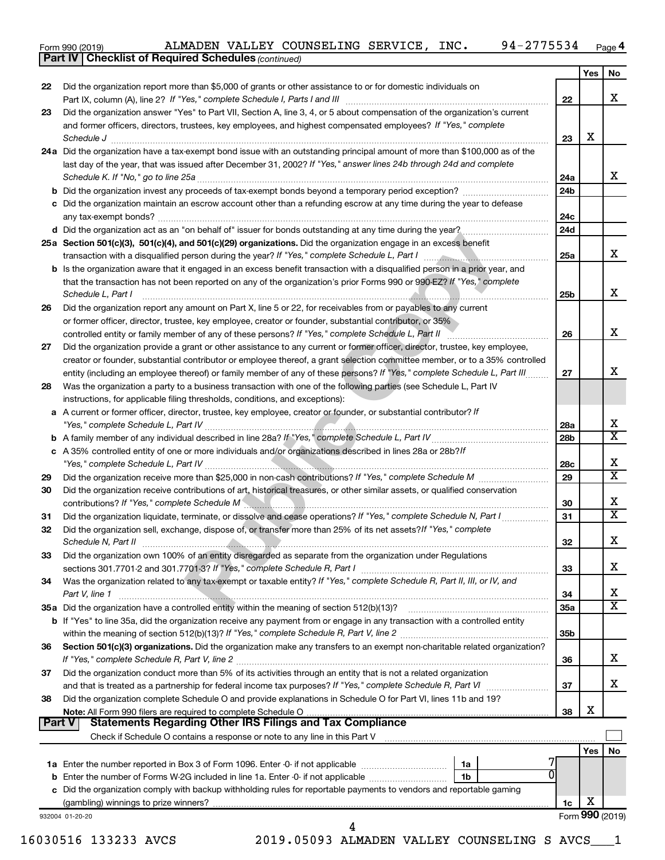| Form 990 (2019) |  |  | ALMADEN VALLEY COUNSELING SERVICE, |  | INC. | 94-2775534 | Page |
|-----------------|--|--|------------------------------------|--|------|------------|------|
|-----------------|--|--|------------------------------------|--|------|------------|------|

|               | ALMADEN VALLEY COUNSELING SERVICE, INC.<br>94-2775534<br>Form 990 (2019)                                                                                                                                                       |                        |            | Page 4                  |
|---------------|--------------------------------------------------------------------------------------------------------------------------------------------------------------------------------------------------------------------------------|------------------------|------------|-------------------------|
|               | <b>Part IV   Checklist of Required Schedules (continued)</b>                                                                                                                                                                   |                        |            |                         |
|               |                                                                                                                                                                                                                                |                        | <b>Yes</b> | No                      |
| 22            | Did the organization report more than \$5,000 of grants or other assistance to or for domestic individuals on                                                                                                                  |                        |            |                         |
|               | Part IX, column (A), line 2? If "Yes," complete Schedule I, Parts I and III [11]] [11]] [11] [11] [11] [11] [1                                                                                                                 | 22                     |            | x                       |
| 23            | Did the organization answer "Yes" to Part VII, Section A, line 3, 4, or 5 about compensation of the organization's current                                                                                                     |                        |            |                         |
|               | and former officers, directors, trustees, key employees, and highest compensated employees? If "Yes," complete                                                                                                                 | 23                     | x          |                         |
|               | Schedule J <b>Execute Schedule J Execute Schedule J</b><br>24a Did the organization have a tax-exempt bond issue with an outstanding principal amount of more than \$100,000 as of the                                         |                        |            |                         |
|               | last day of the year, that was issued after December 31, 2002? If "Yes," answer lines 24b through 24d and complete                                                                                                             |                        |            |                         |
|               |                                                                                                                                                                                                                                | 24a                    |            | x                       |
|               |                                                                                                                                                                                                                                | 24 <sub>b</sub>        |            |                         |
|               | c Did the organization maintain an escrow account other than a refunding escrow at any time during the year to defease                                                                                                         |                        |            |                         |
|               |                                                                                                                                                                                                                                | 24c                    |            |                         |
|               | d Did the organization act as an "on behalf of" issuer for bonds outstanding at any time during the year?                                                                                                                      | 24d                    |            |                         |
|               | 25a Section 501(c)(3), 501(c)(4), and 501(c)(29) organizations. Did the organization engage in an excess benefit                                                                                                               |                        |            |                         |
|               | transaction with a disqualified person during the year? If "Yes," complete Schedule L, Part I manuscription with a disqualified person during the year? If "Yes," complete Schedule L, Part I                                  | 25a                    |            | x                       |
|               | b Is the organization aware that it engaged in an excess benefit transaction with a disqualified person in a prior year, and                                                                                                   |                        |            |                         |
|               | that the transaction has not been reported on any of the organization's prior Forms 990 or 990-EZ? If "Yes," complete                                                                                                          |                        |            |                         |
|               | Schedule L, Part I                                                                                                                                                                                                             | 25b                    |            | x                       |
| 26            | Did the organization report any amount on Part X, line 5 or 22, for receivables from or payables to any current                                                                                                                |                        |            |                         |
|               | or former officer, director, trustee, key employee, creator or founder, substantial contributor, or 35%                                                                                                                        |                        |            |                         |
|               | controlled entity or family member of any of these persons? If "Yes," complete Schedule L, Part II                                                                                                                             | 26                     |            | x                       |
| 27            | Did the organization provide a grant or other assistance to any current or former officer, director, trustee, key employee,                                                                                                    |                        |            |                         |
|               | creator or founder, substantial contributor or employee thereof, a grant selection committee member, or to a 35% controlled                                                                                                    |                        |            |                         |
|               | entity (including an employee thereof) or family member of any of these persons? If "Yes," complete Schedule L, Part III                                                                                                       | 27                     |            | x                       |
| 28            | Was the organization a party to a business transaction with one of the following parties (see Schedule L, Part IV                                                                                                              |                        |            |                         |
|               | instructions, for applicable filing thresholds, conditions, and exceptions):                                                                                                                                                   |                        |            |                         |
|               | a A current or former officer, director, trustee, key employee, creator or founder, or substantial contributor? If                                                                                                             |                        |            | x                       |
|               |                                                                                                                                                                                                                                | 28a<br>28 <sub>b</sub> |            | $\overline{\mathbf{X}}$ |
|               | c A 35% controlled entity of one or more individuals and/or organizations described in lines 28a or 28b?/f                                                                                                                     |                        |            |                         |
|               |                                                                                                                                                                                                                                | 28c                    |            | x                       |
| 29            |                                                                                                                                                                                                                                | 29                     |            | $\overline{\mathbf{X}}$ |
| 30            | Did the organization receive contributions of art, historical treasures, or other similar assets, or qualified conservation                                                                                                    |                        |            |                         |
|               | contributions? If "Yes," complete Schedule M <b>WARE AND THE CONSTRANT OF SCHOOL</b> CONTRIBUTIONS? If "Yes,"                                                                                                                  | 30                     |            | x                       |
| 31            | Did the organization liquidate, terminate, or dissolve and cease operations? If "Yes," complete Schedule N, Part I                                                                                                             | 31                     |            | $\overline{\mathbf{x}}$ |
|               | Did the organization sell, exchange, dispose of, or transfer more than 25% of its net assets? If "Yes," complete                                                                                                               |                        |            |                         |
|               | Schedule N, Part II                                                                                                                                                                                                            | 32                     |            | x                       |
| 33            | Did the organization own 100% of an entity disregarded as separate from the organization under Regulations                                                                                                                     |                        |            |                         |
|               |                                                                                                                                                                                                                                | 33                     |            | x                       |
| 34            | Was the organization related to any tax-exempt or taxable entity? If "Yes," complete Schedule R, Part II, III, or IV, and                                                                                                      |                        |            |                         |
|               | Part V, line 1                                                                                                                                                                                                                 | 34                     |            | x                       |
|               | 35a Did the organization have a controlled entity within the meaning of section 512(b)(13)?                                                                                                                                    | 35a                    |            | $\overline{\mathbf{X}}$ |
|               | b If "Yes" to line 35a, did the organization receive any payment from or engage in any transaction with a controlled entity                                                                                                    |                        |            |                         |
|               |                                                                                                                                                                                                                                | 35 <sub>b</sub>        |            |                         |
| 36            | Section 501(c)(3) organizations. Did the organization make any transfers to an exempt non-charitable related organization?                                                                                                     |                        |            |                         |
|               |                                                                                                                                                                                                                                | 36                     |            | x                       |
| 37            | Did the organization conduct more than 5% of its activities through an entity that is not a related organization                                                                                                               |                        |            | X                       |
|               |                                                                                                                                                                                                                                | 37                     |            |                         |
| 38            | Did the organization complete Schedule O and provide explanations in Schedule O for Part VI, lines 11b and 19?                                                                                                                 | 38                     | х          |                         |
| <b>Part V</b> | <b>Statements Regarding Other IRS Filings and Tax Compliance</b>                                                                                                                                                               |                        |            |                         |
|               | Check if Schedule O contains a response or note to any line in this Part V [100] contains according contains a response or note to any line in this Part V [100] contains according to the Schedule D contains and the Schedul |                        |            |                         |
|               |                                                                                                                                                                                                                                |                        | Yes        | No                      |
|               | 1a Enter the number reported in Box 3 of Form 1096. Enter -0- if not applicable<br>1a                                                                                                                                          |                        |            |                         |
|               | <b>b</b> Enter the number of Forms W-2G included in line 1a. Enter -0- if not applicable<br>1b                                                                                                                                 |                        |            |                         |
|               | c Did the organization comply with backup withholding rules for reportable payments to vendors and reportable gaming                                                                                                           |                        |            |                         |
|               |                                                                                                                                                                                                                                | 1c                     | х          |                         |
|               | 932004 01-20-20                                                                                                                                                                                                                |                        |            | Form 990 (2019)         |
|               | 4                                                                                                                                                                                                                              |                        |            |                         |

16030516 133233 AVCS 2019.05093 ALMADEN VALLEY COUNSELING S AVCS\_\_\_1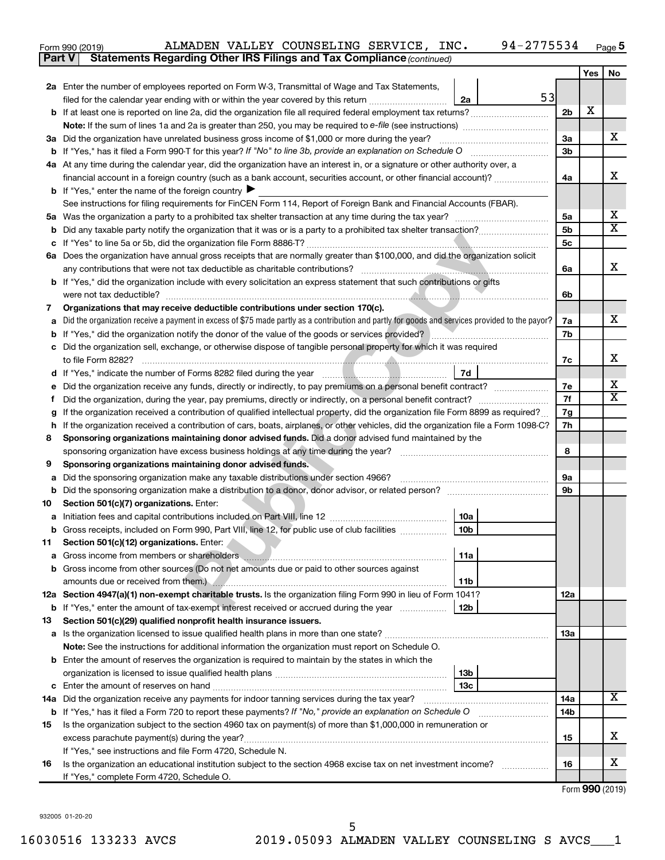| Form 990 (2019) |  | ALMADEN VALLEY COUNSELING SERVICE, INC.                                             |  | 94-2775534 | Page |
|-----------------|--|-------------------------------------------------------------------------------------|--|------------|------|
|                 |  | <b>Part V</b> Statements Regarding Other IRS Filings and Tax Compliance (continued) |  |            |      |

|         |                                                                                                                                                                                                                                                  |    |                | Yes | No                      |
|---------|--------------------------------------------------------------------------------------------------------------------------------------------------------------------------------------------------------------------------------------------------|----|----------------|-----|-------------------------|
|         | 2a Enter the number of employees reported on Form W-3, Transmittal of Wage and Tax Statements,                                                                                                                                                   |    |                |     |                         |
|         | filed for the calendar year ending with or within the year covered by this return <i>[[[[[[[[[[[[[]]]]</i><br>2a                                                                                                                                 | 53 |                |     |                         |
|         |                                                                                                                                                                                                                                                  |    | 2 <sub>b</sub> | х   |                         |
|         |                                                                                                                                                                                                                                                  |    |                |     |                         |
|         | 3a Did the organization have unrelated business gross income of \$1,000 or more during the year?                                                                                                                                                 |    | 3a             |     | x                       |
|         |                                                                                                                                                                                                                                                  |    |                |     |                         |
|         | 4a At any time during the calendar year, did the organization have an interest in, or a signature or other authority over, a                                                                                                                     |    |                |     |                         |
|         | financial account in a foreign country (such as a bank account, securities account, or other financial account)?                                                                                                                                 |    | 4a             |     | x                       |
|         | <b>b</b> If "Yes," enter the name of the foreign country $\blacktriangleright$                                                                                                                                                                   |    |                |     |                         |
|         | See instructions for filing requirements for FinCEN Form 114, Report of Foreign Bank and Financial Accounts (FBAR).                                                                                                                              |    |                |     |                         |
|         |                                                                                                                                                                                                                                                  |    | 5a             |     | х                       |
|         |                                                                                                                                                                                                                                                  |    | 5 <sub>b</sub> |     | $\overline{\textbf{x}}$ |
|         |                                                                                                                                                                                                                                                  |    | 5c             |     |                         |
|         | 6a Does the organization have annual gross receipts that are normally greater than \$100,000, and did the organization solicit                                                                                                                   |    |                |     |                         |
|         | any contributions that were not tax deductible as charitable contributions?                                                                                                                                                                      |    | 6a             |     | x                       |
|         | b If "Yes," did the organization include with every solicitation an express statement that such contributions or gifts                                                                                                                           |    |                |     |                         |
|         | were not tax deductible?                                                                                                                                                                                                                         |    | 6b             |     |                         |
| 7       | Organizations that may receive deductible contributions under section 170(c).                                                                                                                                                                    |    |                |     |                         |
|         | Did the organization receive a payment in excess of \$75 made partly as a contribution and partly for goods and services provided to the payor?                                                                                                  |    | 7a             |     | x                       |
|         | <b>b</b> If "Yes," did the organization notify the donor of the value of the goods or services provided?                                                                                                                                         |    | 7b             |     |                         |
|         | c Did the organization sell, exchange, or otherwise dispose of tangible personal property for which it was required                                                                                                                              |    |                |     | x                       |
|         | to file Form 8282?                                                                                                                                                                                                                               |    | 7c             |     |                         |
|         | 7d<br>d If "Yes," indicate the number of Forms 8282 filed during the year manuscription of the way to the number of                                                                                                                              |    | 7е             |     | х                       |
|         | e Did the organization receive any funds, directly or indirectly, to pay premiums on a personal benefit contract?                                                                                                                                |    | 7f             |     | $\overline{\texttt{x}}$ |
| Ť.<br>g | Did the organization, during the year, pay premiums, directly or indirectly, on a personal benefit contract?<br>If the organization received a contribution of qualified intellectual property, did the organization file Form 8899 as required? |    | 7g             |     |                         |
|         | h If the organization received a contribution of cars, boats, airplanes, or other vehicles, did the organization file a Form 1098-C?                                                                                                             |    | 7h             |     |                         |
| 8       | Sponsoring organizations maintaining donor advised funds. Did a donor advised fund maintained by the                                                                                                                                             |    |                |     |                         |
|         | sponsoring organization have excess business holdings at any time during the year?                                                                                                                                                               |    | 8              |     |                         |
| 9       | Sponsoring organizations maintaining donor advised funds.                                                                                                                                                                                        |    |                |     |                         |
| а       | Did the sponsoring organization make any taxable distributions under section 4966?                                                                                                                                                               |    | 9а             |     |                         |
|         |                                                                                                                                                                                                                                                  |    | 9b             |     |                         |
| 10      | Section 501(c)(7) organizations. Enter:                                                                                                                                                                                                          |    |                |     |                         |
|         | 10a                                                                                                                                                                                                                                              |    |                |     |                         |
|         | 10 <sub>b</sub><br><b>b</b> Gross receipts, included on Form 990, Part VIII, line 12, for public use of club facilities <i>manument</i> .                                                                                                        |    |                |     |                         |
| 11      | Section 501(c)(12) organizations. Enter:                                                                                                                                                                                                         |    |                |     |                         |
|         | 11a                                                                                                                                                                                                                                              |    |                |     |                         |
|         | <b>b</b> Gross income from other sources (Do not net amounts due or paid to other sources against                                                                                                                                                |    |                |     |                         |
|         | amounts due or received from them.) <b>All Accords</b> 2014 <b>Manual Constant Construction Construction</b> 2014 10:00:00<br>11b                                                                                                                |    |                |     |                         |
|         | 12a Section 4947(a)(1) non-exempt charitable trusts. Is the organization filing Form 990 in lieu of Form 1041?                                                                                                                                   |    | 12a            |     |                         |
|         | <b>b</b> If "Yes," enter the amount of tax-exempt interest received or accrued during the year<br>12b                                                                                                                                            |    |                |     |                         |
| 13      | Section 501(c)(29) qualified nonprofit health insurance issuers.                                                                                                                                                                                 |    |                |     |                         |
|         |                                                                                                                                                                                                                                                  |    | 13a            |     |                         |
|         | Note: See the instructions for additional information the organization must report on Schedule O.<br><b>b</b> Enter the amount of reserves the organization is required to maintain by the states in which the                                   |    |                |     |                         |
|         | 13b                                                                                                                                                                                                                                              |    |                |     |                         |
|         | 13с                                                                                                                                                                                                                                              |    |                |     |                         |
|         |                                                                                                                                                                                                                                                  |    | 14a            |     | х                       |
|         | b If "Yes," has it filed a Form 720 to report these payments? If "No," provide an explanation on Schedule O                                                                                                                                      |    | 14b            |     |                         |
| 15      | Is the organization subject to the section 4960 tax on payment(s) of more than \$1,000,000 in remuneration or                                                                                                                                    |    |                |     |                         |
|         |                                                                                                                                                                                                                                                  |    | 15             |     | x                       |
|         | If "Yes," see instructions and file Form 4720, Schedule N.                                                                                                                                                                                       |    |                |     |                         |
| 16      | Is the organization an educational institution subject to the section 4968 excise tax on net investment income?                                                                                                                                  |    | 16             |     | x                       |
|         | If "Yes," complete Form 4720, Schedule O.                                                                                                                                                                                                        |    |                |     |                         |

Form (2019) **990**

932005 01-20-20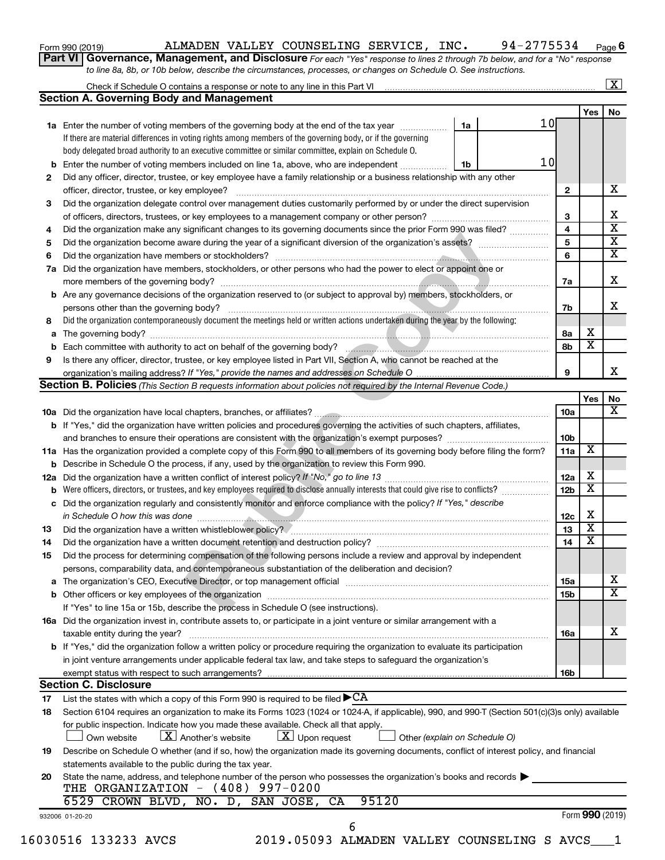| Form 990 (2019) |  |  |
|-----------------|--|--|
|-----------------|--|--|

# Form 990 (2019) Page ALMADEN VALLEY COUNSELING SERVICE, INC. 94-2775534

| Part VI   Governance, Management, and Disclosure For each "Yes" response to lines 2 through 7b below, and for a "No" response |
|-------------------------------------------------------------------------------------------------------------------------------|
| to line 8a, 8b, or 10b below, describe the circumstances, processes, or changes on Schedule O. See instructions.              |

|     | Check if Schedule O contains a response or note to any line in this Part VI                                                                                                                                                             |                               |                 |                         | $\overline{\mathbf{X}}$ |
|-----|-----------------------------------------------------------------------------------------------------------------------------------------------------------------------------------------------------------------------------------------|-------------------------------|-----------------|-------------------------|-------------------------|
|     | <b>Section A. Governing Body and Management</b>                                                                                                                                                                                         |                               |                 |                         |                         |
|     |                                                                                                                                                                                                                                         |                               |                 | Yes                     | No                      |
|     | 1a Enter the number of voting members of the governing body at the end of the tax year                                                                                                                                                  | 1a                            | 10 <sub>l</sub> |                         |                         |
|     | If there are material differences in voting rights among members of the governing body, or if the governing                                                                                                                             |                               |                 |                         |                         |
|     | body delegated broad authority to an executive committee or similar committee, explain on Schedule O.                                                                                                                                   |                               |                 |                         |                         |
|     | <b>b</b> Enter the number of voting members included on line 1a, above, who are independent                                                                                                                                             | 1b                            | 10              |                         |                         |
| 2   | Did any officer, director, trustee, or key employee have a family relationship or a business relationship with any other                                                                                                                |                               |                 |                         |                         |
|     |                                                                                                                                                                                                                                         |                               | $\mathbf{2}$    |                         | x                       |
| 3   | Did the organization delegate control over management duties customarily performed by or under the direct supervision                                                                                                                   |                               |                 |                         |                         |
|     |                                                                                                                                                                                                                                         |                               | 3               |                         | х                       |
| 4   | Did the organization make any significant changes to its governing documents since the prior Form 990 was filed?                                                                                                                        |                               | 4               |                         | $\overline{\text{x}}$   |
| 5   |                                                                                                                                                                                                                                         |                               | 5               |                         | $\overline{\mathbf{x}}$ |
| 6   |                                                                                                                                                                                                                                         |                               | 6               |                         | $\overline{\mathbf{x}}$ |
| 7a  | Did the organization have members, stockholders, or other persons who had the power to elect or appoint one or                                                                                                                          |                               |                 |                         |                         |
|     |                                                                                                                                                                                                                                         |                               | 7a              |                         | X                       |
|     | b Are any governance decisions of the organization reserved to (or subject to approval by) members, stockholders, or                                                                                                                    |                               |                 |                         |                         |
|     | persons other than the governing body?                                                                                                                                                                                                  |                               | 7b              |                         | х                       |
| 8   | Did the organization contemporaneously document the meetings held or written actions undertaken during the year by the following:                                                                                                       |                               |                 |                         |                         |
| а   |                                                                                                                                                                                                                                         |                               | 8а              | X                       |                         |
|     | Each committee with authority to act on behalf of the governing body?<br>Fach committee with authority to act on behalf of the governing body?                                                                                          |                               | 8b              | $\overline{\textbf{x}}$ |                         |
| 9   | Is there any officer, director, trustee, or key employee listed in Part VII, Section A, who cannot be reached at the                                                                                                                    |                               |                 |                         |                         |
|     | organization's mailing address? If "Yes," provide the names and addresses on Schedule O.                                                                                                                                                |                               | 9               |                         |                         |
|     | Section B. Policies (This Section B requests information about policies not required by the Internal Revenue Code.)                                                                                                                     |                               |                 |                         |                         |
|     |                                                                                                                                                                                                                                         |                               |                 | Yes                     | No<br>х                 |
|     |                                                                                                                                                                                                                                         |                               | 10a             |                         |                         |
|     | b If "Yes," did the organization have written policies and procedures governing the activities of such chapters, affiliates,                                                                                                            |                               |                 |                         |                         |
|     |                                                                                                                                                                                                                                         |                               | 10 <sub>b</sub> |                         |                         |
|     | 11a Has the organization provided a complete copy of this Form 990 to all members of its governing body before filing the form?                                                                                                         |                               | 11a             | X                       |                         |
|     | <b>b</b> Describe in Schedule O the process, if any, used by the organization to review this Form 990.                                                                                                                                  |                               |                 |                         |                         |
| 12a |                                                                                                                                                                                                                                         |                               | 12a             | X                       |                         |
|     | Were officers, directors, or trustees, and key employees required to disclose annually interests that could give rise to conflicts?                                                                                                     |                               | 12 <sub>b</sub> | $\overline{\mathbf{X}}$ |                         |
|     | c Did the organization regularly and consistently monitor and enforce compliance with the policy? If "Yes," describe                                                                                                                    |                               |                 |                         |                         |
|     | in Schedule O how this was done <i>manufacture in the contract of the contract of the set of the contract of the contract of the set of the set of the set of the set of the set of the set of the set of the set of the set of </i>    |                               | 12c             | X                       |                         |
| 13  |                                                                                                                                                                                                                                         |                               | 13              | $\overline{\mathbf{X}}$ |                         |
| 14  |                                                                                                                                                                                                                                         |                               | 14              | $\overline{\mathbf{X}}$ |                         |
| 15  | Did the process for determining compensation of the following persons include a review and approval by independent                                                                                                                      |                               |                 |                         |                         |
|     | persons, comparability data, and contemporaneous substantiation of the deliberation and decision?                                                                                                                                       |                               |                 |                         |                         |
|     |                                                                                                                                                                                                                                         |                               | 15a             |                         | х                       |
|     |                                                                                                                                                                                                                                         |                               | 15b             |                         |                         |
|     | If "Yes" to line 15a or 15b, describe the process in Schedule O (see instructions).                                                                                                                                                     |                               |                 |                         | $\overline{\texttt{x}}$ |
|     | 16a Did the organization invest in, contribute assets to, or participate in a joint venture or similar arrangement with a                                                                                                               |                               |                 |                         |                         |
|     | taxable entity during the year?                                                                                                                                                                                                         |                               | <b>16a</b>      |                         | x                       |
|     | <b>b</b> If "Yes," did the organization follow a written policy or procedure requiring the organization to evaluate its participation                                                                                                   |                               |                 |                         |                         |
|     |                                                                                                                                                                                                                                         |                               |                 |                         |                         |
|     | in joint venture arrangements under applicable federal tax law, and take steps to safeguard the organization's                                                                                                                          |                               |                 |                         |                         |
|     | exempt status with respect to such arrangements?<br><b>Section C. Disclosure</b>                                                                                                                                                        |                               | 16b             |                         |                         |
|     |                                                                                                                                                                                                                                         |                               |                 |                         |                         |
| 17  | List the states with which a copy of this Form 990 is required to be filed $\blacktriangleright$ CA                                                                                                                                     |                               |                 |                         |                         |
| 18  | Section 6104 requires an organization to make its Forms 1023 (1024 or 1024-A, if applicable), 990, and 990-T (Section 501(c)(3)s only) available<br>for public inspection. Indicate how you made these available. Check all that apply. |                               |                 |                         |                         |
|     | $\lfloor X \rfloor$ Another's website<br>$\lfloor x \rfloor$ Upon request<br>Own website                                                                                                                                                | Other (explain on Schedule O) |                 |                         |                         |
|     |                                                                                                                                                                                                                                         |                               |                 |                         |                         |
| 19  | Describe on Schedule O whether (and if so, how) the organization made its governing documents, conflict of interest policy, and financial                                                                                               |                               |                 |                         |                         |
|     | statements available to the public during the tax year.                                                                                                                                                                                 |                               |                 |                         |                         |
| 20  | State the name, address, and telephone number of the person who possesses the organization's books and records $\blacktriangleright$                                                                                                    |                               |                 |                         |                         |
|     | THE ORGANIZATION $-$ (408) 997-0200                                                                                                                                                                                                     |                               |                 |                         |                         |
|     | 95120<br>6529 CROWN BLVD, NO. D, SAN JOSE, CA                                                                                                                                                                                           |                               |                 |                         |                         |
|     | 932006 01-20-20                                                                                                                                                                                                                         |                               |                 | Form 990 (2019)         |                         |
|     | 6<br>16030516 133233 AVCS<br>2019.05093 ALMADEN VALLEY COUNSELING S AVCS                                                                                                                                                                |                               |                 |                         |                         |
|     |                                                                                                                                                                                                                                         |                               |                 |                         |                         |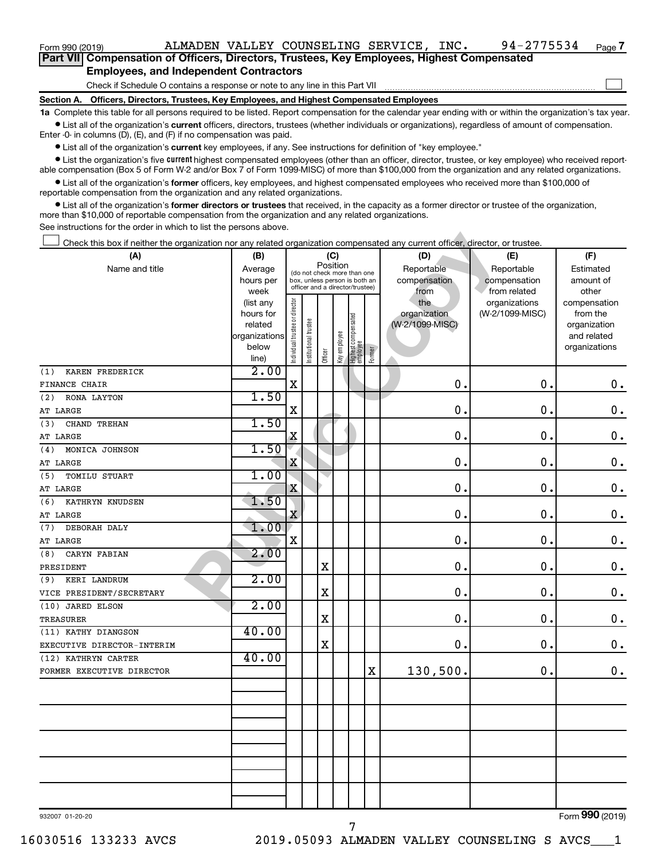| Part VII Compensation of Officers, Directors, Trustees, Key Employees, Highest Compensated |
|--------------------------------------------------------------------------------------------|
| <b>Employees, and Independent Contractors</b>                                              |

| Form 990 (2019)                                                                                                                                                                                                                                                                                                   |                   |                                |                      |                                                                  |              |                                   |        | ALMADEN VALLEY COUNSELING SERVICE, INC. |    | 94-2775534                    | Page 7                |
|-------------------------------------------------------------------------------------------------------------------------------------------------------------------------------------------------------------------------------------------------------------------------------------------------------------------|-------------------|--------------------------------|----------------------|------------------------------------------------------------------|--------------|-----------------------------------|--------|-----------------------------------------|----|-------------------------------|-----------------------|
| Part VII Compensation of Officers, Directors, Trustees, Key Employees, Highest Compensated                                                                                                                                                                                                                        |                   |                                |                      |                                                                  |              |                                   |        |                                         |    |                               |                       |
| <b>Employees, and Independent Contractors</b>                                                                                                                                                                                                                                                                     |                   |                                |                      |                                                                  |              |                                   |        |                                         |    |                               |                       |
| Check if Schedule O contains a response or note to any line in this Part VII                                                                                                                                                                                                                                      |                   |                                |                      |                                                                  |              |                                   |        |                                         |    |                               |                       |
| Section A. Officers, Directors, Trustees, Key Employees, and Highest Compensated Employees                                                                                                                                                                                                                        |                   |                                |                      |                                                                  |              |                                   |        |                                         |    |                               |                       |
| 1a Complete this table for all persons required to be listed. Report compensation for the calendar year ending with or within the organization's tax year<br>• List all of the organization's current officers, directors, trustees (whether individuals or organizations), regardless of amount of compensation. |                   |                                |                      |                                                                  |              |                                   |        |                                         |    |                               |                       |
| Enter $-0$ in columns (D), (E), and (F) if no compensation was paid.                                                                                                                                                                                                                                              |                   |                                |                      |                                                                  |              |                                   |        |                                         |    |                               |                       |
| • List all of the organization's current key employees, if any. See instructions for definition of "key employee."                                                                                                                                                                                                |                   |                                |                      |                                                                  |              |                                   |        |                                         |    |                               |                       |
| • List the organization's five <i>current</i> highest compensated employees (other than an officer, director, trustee, or key employee) who received report-<br>able compensation (Box 5 of Form W-2 and/or Box 7 of Form 1099-MISC) of more than \$100,000 from the organization and any related organizations.  |                   |                                |                      |                                                                  |              |                                   |        |                                         |    |                               |                       |
| • List all of the organization's former officers, key employees, and highest compensated employees who received more than \$100,000 of<br>reportable compensation from the organization and any related organizations.                                                                                            |                   |                                |                      |                                                                  |              |                                   |        |                                         |    |                               |                       |
| • List all of the organization's former directors or trustees that received, in the capacity as a former director or trustee of the organization,                                                                                                                                                                 |                   |                                |                      |                                                                  |              |                                   |        |                                         |    |                               |                       |
| more than \$10,000 of reportable compensation from the organization and any related organizations.                                                                                                                                                                                                                |                   |                                |                      |                                                                  |              |                                   |        |                                         |    |                               |                       |
| See instructions for the order in which to list the persons above.                                                                                                                                                                                                                                                |                   |                                |                      |                                                                  |              |                                   |        |                                         |    |                               |                       |
| Check this box if neither the organization nor any related organization compensated any current officer, director, or trustee.                                                                                                                                                                                    |                   |                                |                      |                                                                  |              |                                   |        |                                         |    |                               |                       |
| (A)                                                                                                                                                                                                                                                                                                               | (B)               |                                |                      |                                                                  | (C)          |                                   |        | (D)                                     |    | (E)                           | (F)                   |
| Name and title                                                                                                                                                                                                                                                                                                    | Average           |                                |                      | Position<br>(do not check more than one                          |              |                                   |        | Reportable                              |    | Reportable                    | Estimated             |
|                                                                                                                                                                                                                                                                                                                   | hours per         |                                |                      | box, unless person is both an<br>officer and a director/trustee) |              |                                   |        | compensation                            |    | compensation                  | amount of             |
|                                                                                                                                                                                                                                                                                                                   | week<br>(list any |                                |                      |                                                                  |              |                                   |        | from<br>the                             |    | from related<br>organizations | other<br>compensation |
|                                                                                                                                                                                                                                                                                                                   | hours for         |                                |                      |                                                                  |              |                                   |        | organization                            |    | (W-2/1099-MISC)               | from the              |
|                                                                                                                                                                                                                                                                                                                   | related           |                                |                      |                                                                  |              |                                   |        | (W-2/1099-MISC)                         |    |                               | organization          |
|                                                                                                                                                                                                                                                                                                                   | organizations     |                                |                      |                                                                  |              |                                   |        |                                         |    |                               | and related           |
|                                                                                                                                                                                                                                                                                                                   | below<br>line)    | Individual trustee or director | nstitutional trustee | Officer                                                          | Key employee | Highest compensated<br>  employee | Former |                                         |    |                               | organizations         |
| KAREN FREDERICK<br>(1)                                                                                                                                                                                                                                                                                            | 2.00              |                                |                      |                                                                  |              |                                   |        |                                         |    |                               |                       |
| <b>FINANCE CHAIR</b>                                                                                                                                                                                                                                                                                              |                   | X                              |                      |                                                                  |              |                                   |        | 0                                       |    | $\mathbf 0$                   | $0$ .                 |
| RONA LAYTON<br>(2)                                                                                                                                                                                                                                                                                                | 1.50              |                                |                      |                                                                  |              |                                   |        |                                         |    |                               |                       |
| AT LARGE                                                                                                                                                                                                                                                                                                          |                   | X                              |                      |                                                                  |              |                                   |        | 0                                       |    | $\mathbf 0$                   | 0.                    |
| CHAND TREHAN<br>(3)                                                                                                                                                                                                                                                                                               | 1.50              |                                |                      |                                                                  |              |                                   |        |                                         |    |                               |                       |
| AT LARGE                                                                                                                                                                                                                                                                                                          |                   | Χ                              |                      |                                                                  |              |                                   |        | 0                                       |    | $\mathbf 0$                   | 0.                    |
| MONICA JOHNSON<br>(4)                                                                                                                                                                                                                                                                                             | 1.50              |                                |                      |                                                                  |              |                                   |        |                                         |    |                               |                       |
| AT LARGE                                                                                                                                                                                                                                                                                                          |                   | Χ                              |                      |                                                                  |              |                                   |        | 0                                       |    | $\mathbf 0$                   | 0.                    |
| (5)<br><b>TOMILU STUART</b>                                                                                                                                                                                                                                                                                       | 1.00              | X                              |                      |                                                                  |              |                                   |        | 0                                       |    | $\mathbf 0$                   | 0.                    |
| AT LARGE<br>KATHRYN KNUDSEN<br>(6)                                                                                                                                                                                                                                                                                | 1.50              |                                |                      |                                                                  |              |                                   |        |                                         |    |                               |                       |
| AT LARGE                                                                                                                                                                                                                                                                                                          |                   | X                              |                      |                                                                  |              |                                   |        | 0                                       |    | $\mathbf 0$ .                 | 0.                    |
| (7) DEBORAH DALY                                                                                                                                                                                                                                                                                                  | 1.00              |                                |                      |                                                                  |              |                                   |        |                                         |    |                               |                       |
| AT LARGE                                                                                                                                                                                                                                                                                                          |                   | X                              |                      |                                                                  |              |                                   |        |                                         | 0. | 0.                            | $\mathbf 0$ .         |
| (8) CARYN FABIAN                                                                                                                                                                                                                                                                                                  | 2.00              |                                |                      |                                                                  |              |                                   |        |                                         |    |                               |                       |
| PRESIDENT                                                                                                                                                                                                                                                                                                         |                   |                                |                      | X                                                                |              |                                   |        |                                         | 0. | 0.                            | $\boldsymbol{0}$ .    |
| (9) KERI LANDRUM                                                                                                                                                                                                                                                                                                  | 2.00              |                                |                      |                                                                  |              |                                   |        |                                         |    |                               |                       |
| VICE PRESIDENT/SECRETARY                                                                                                                                                                                                                                                                                          |                   |                                |                      | х                                                                |              |                                   |        |                                         | 0. | 0.                            | $\boldsymbol{0}$ .    |
| (10) JARED ELSON                                                                                                                                                                                                                                                                                                  | 2.00              |                                |                      |                                                                  |              |                                   |        |                                         |    |                               |                       |
| TREASURER                                                                                                                                                                                                                                                                                                         |                   |                                |                      | х                                                                |              |                                   |        |                                         | о. | 0.                            | $\boldsymbol{0}$ .    |
| (11) KATHY DIANGSON<br>EXECUTIVE DIRECTOR-INTERIM                                                                                                                                                                                                                                                                 | 40.00             |                                |                      | х                                                                |              |                                   |        |                                         | 0. | 0.                            | $\boldsymbol{0}$ .    |
| (12) KATHRYN CARTER                                                                                                                                                                                                                                                                                               | 40.00             |                                |                      |                                                                  |              |                                   |        |                                         |    |                               |                       |
| FORMER EXECUTIVE DIRECTOR                                                                                                                                                                                                                                                                                         |                   |                                |                      |                                                                  |              |                                   | X      | 130,500.                                |    | 0.                            | $\boldsymbol{0}$ .    |
|                                                                                                                                                                                                                                                                                                                   |                   |                                |                      |                                                                  |              |                                   |        |                                         |    |                               |                       |
|                                                                                                                                                                                                                                                                                                                   |                   |                                |                      |                                                                  |              |                                   |        |                                         |    |                               |                       |
|                                                                                                                                                                                                                                                                                                                   |                   |                                |                      |                                                                  |              |                                   |        |                                         |    |                               |                       |
|                                                                                                                                                                                                                                                                                                                   |                   |                                |                      |                                                                  |              |                                   |        |                                         |    |                               |                       |
|                                                                                                                                                                                                                                                                                                                   |                   |                                |                      |                                                                  |              |                                   |        |                                         |    |                               |                       |
|                                                                                                                                                                                                                                                                                                                   |                   |                                |                      |                                                                  |              |                                   |        |                                         |    |                               |                       |
|                                                                                                                                                                                                                                                                                                                   |                   |                                |                      |                                                                  |              |                                   |        |                                         |    |                               |                       |
|                                                                                                                                                                                                                                                                                                                   |                   |                                |                      |                                                                  |              |                                   |        |                                         |    |                               |                       |
|                                                                                                                                                                                                                                                                                                                   |                   |                                |                      |                                                                  |              |                                   |        |                                         |    |                               |                       |
|                                                                                                                                                                                                                                                                                                                   |                   |                                |                      |                                                                  |              |                                   |        |                                         |    |                               | Form 990 (2019)       |
| 932007 01-20-20                                                                                                                                                                                                                                                                                                   |                   |                                |                      |                                                                  |              |                                   |        |                                         |    |                               |                       |

7

Form **990** (2019)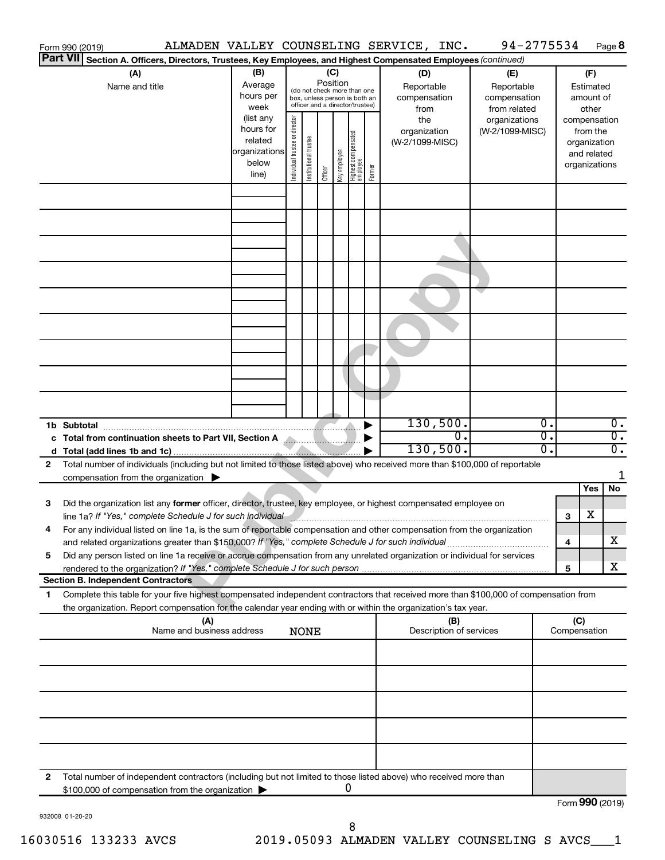|              | Form 990 (2019)                                                                                                                                                                                                                                        |                                                                                                             |                                                                                                                                                                                                                                             |  |             |  |   |        |                                                                                     | ALMADEN VALLEY COUNSELING SERVICE, INC. |                                                                                       | 94-2775534 |                                                                           |                                       |     | Page 8                               |
|--------------|--------------------------------------------------------------------------------------------------------------------------------------------------------------------------------------------------------------------------------------------------------|-------------------------------------------------------------------------------------------------------------|---------------------------------------------------------------------------------------------------------------------------------------------------------------------------------------------------------------------------------------------|--|-------------|--|---|--------|-------------------------------------------------------------------------------------|-----------------------------------------|---------------------------------------------------------------------------------------|------------|---------------------------------------------------------------------------|---------------------------------------|-----|--------------------------------------|
|              | <b>Part VII</b><br>Section A. Officers, Directors, Trustees, Key Employees, and Highest Compensated Employees (continued)                                                                                                                              |                                                                                                             |                                                                                                                                                                                                                                             |  |             |  |   |        |                                                                                     |                                         |                                                                                       |            |                                                                           |                                       |     |                                      |
|              | (A)<br>Name and title                                                                                                                                                                                                                                  | (B)<br>Average<br>hours per<br>week<br>(list any<br>hours for<br>related<br>organizations<br>below<br>line) | (C)<br>Position<br>(do not check more than one<br>box, unless person is both an<br>officer and a director/trustee)<br>Individual trustee or director<br>Highest compensated<br>employee<br>Institutional trustee<br>Key employee<br>Officer |  |             |  |   | Former | (D)<br>Reportable<br>compensation<br>from<br>the<br>organization<br>(W-2/1099-MISC) |                                         | (E)<br>Reportable<br>compensation<br>from related<br>organizations<br>(W-2/1099-MISC) |            | amount of<br>compensation<br>organization<br>and related<br>organizations | (F)<br>Estimated<br>other<br>from the |     |                                      |
|              |                                                                                                                                                                                                                                                        |                                                                                                             |                                                                                                                                                                                                                                             |  |             |  |   |        |                                                                                     |                                         |                                                                                       |            |                                                                           |                                       |     |                                      |
|              |                                                                                                                                                                                                                                                        |                                                                                                             |                                                                                                                                                                                                                                             |  |             |  |   |        |                                                                                     |                                         |                                                                                       |            |                                                                           |                                       |     |                                      |
|              |                                                                                                                                                                                                                                                        |                                                                                                             |                                                                                                                                                                                                                                             |  |             |  |   |        |                                                                                     |                                         |                                                                                       |            |                                                                           |                                       |     |                                      |
|              |                                                                                                                                                                                                                                                        |                                                                                                             |                                                                                                                                                                                                                                             |  |             |  |   |        |                                                                                     |                                         |                                                                                       |            |                                                                           |                                       |     |                                      |
|              |                                                                                                                                                                                                                                                        |                                                                                                             |                                                                                                                                                                                                                                             |  |             |  |   |        |                                                                                     |                                         |                                                                                       |            |                                                                           |                                       |     |                                      |
|              |                                                                                                                                                                                                                                                        |                                                                                                             |                                                                                                                                                                                                                                             |  |             |  |   |        |                                                                                     |                                         |                                                                                       |            |                                                                           |                                       |     |                                      |
|              |                                                                                                                                                                                                                                                        |                                                                                                             |                                                                                                                                                                                                                                             |  |             |  |   |        |                                                                                     |                                         |                                                                                       |            |                                                                           |                                       |     |                                      |
|              |                                                                                                                                                                                                                                                        |                                                                                                             |                                                                                                                                                                                                                                             |  |             |  |   |        |                                                                                     |                                         |                                                                                       |            |                                                                           |                                       |     |                                      |
|              | 1b Subtotal                                                                                                                                                                                                                                            |                                                                                                             |                                                                                                                                                                                                                                             |  |             |  |   |        |                                                                                     | 130,500.                                | О.                                                                                    |            | Ο.<br>Ο.                                                                  |                                       |     | $\overline{0}$ .<br>$\overline{0}$ . |
| d            | c Total from continuation sheets to Part VII, Section A <b>Allengeria Continuing to Total</b>                                                                                                                                                          |                                                                                                             |                                                                                                                                                                                                                                             |  |             |  |   |        |                                                                                     | 130,500.                                |                                                                                       |            | σ.                                                                        |                                       |     | $\overline{0}$ .                     |
| 2            | Total number of individuals (including but not limited to those listed above) who received more than \$100,000 of reportable                                                                                                                           |                                                                                                             |                                                                                                                                                                                                                                             |  |             |  |   |        |                                                                                     |                                         |                                                                                       |            |                                                                           |                                       |     |                                      |
|              | compensation from the organization $\blacktriangleright$                                                                                                                                                                                               |                                                                                                             |                                                                                                                                                                                                                                             |  |             |  |   |        |                                                                                     |                                         |                                                                                       |            |                                                                           |                                       |     | 1                                    |
|              |                                                                                                                                                                                                                                                        |                                                                                                             |                                                                                                                                                                                                                                             |  |             |  |   |        |                                                                                     |                                         |                                                                                       |            |                                                                           |                                       | Yes | No                                   |
| 3            | Did the organization list any former officer, director, trustee, key employee, or highest compensated employee on<br>line 1a? If "Yes," complete Schedule J for such individual and announcement contains and the set of the set of                    |                                                                                                             |                                                                                                                                                                                                                                             |  |             |  |   |        |                                                                                     |                                         |                                                                                       |            |                                                                           | 3                                     | х   |                                      |
|              | For any individual listed on line 1a, is the sum of reportable compensation and other compensation from the organization<br>and related organizations greater than \$150,000? If "Yes," complete Schedule J for such individual                        |                                                                                                             |                                                                                                                                                                                                                                             |  |             |  |   |        |                                                                                     |                                         |                                                                                       |            |                                                                           | 4                                     |     | X                                    |
| 5            | Did any person listed on line 1a receive or accrue compensation from any unrelated organization or individual for services                                                                                                                             |                                                                                                             |                                                                                                                                                                                                                                             |  |             |  |   |        |                                                                                     |                                         |                                                                                       |            |                                                                           |                                       |     |                                      |
|              | rendered to the organization? If "Yes," complete Schedule J for such person                                                                                                                                                                            |                                                                                                             |                                                                                                                                                                                                                                             |  |             |  |   |        |                                                                                     |                                         |                                                                                       |            |                                                                           | 5                                     |     | X                                    |
|              | <b>Section B. Independent Contractors</b>                                                                                                                                                                                                              |                                                                                                             |                                                                                                                                                                                                                                             |  |             |  |   |        |                                                                                     |                                         |                                                                                       |            |                                                                           |                                       |     |                                      |
| 1            | Complete this table for your five highest compensated independent contractors that received more than \$100,000 of compensation from<br>the organization. Report compensation for the calendar year ending with or within the organization's tax year. |                                                                                                             |                                                                                                                                                                                                                                             |  |             |  |   |        |                                                                                     |                                         |                                                                                       |            |                                                                           |                                       |     |                                      |
|              |                                                                                                                                                                                                                                                        | (A)<br>Name and business address                                                                            |                                                                                                                                                                                                                                             |  |             |  |   |        |                                                                                     | Description of services                 | (B)                                                                                   |            |                                                                           | (C)<br>Compensation                   |     |                                      |
|              |                                                                                                                                                                                                                                                        |                                                                                                             |                                                                                                                                                                                                                                             |  | <b>NONE</b> |  |   |        |                                                                                     |                                         |                                                                                       |            |                                                                           |                                       |     |                                      |
|              |                                                                                                                                                                                                                                                        |                                                                                                             |                                                                                                                                                                                                                                             |  |             |  |   |        |                                                                                     |                                         |                                                                                       |            |                                                                           |                                       |     |                                      |
|              |                                                                                                                                                                                                                                                        |                                                                                                             |                                                                                                                                                                                                                                             |  |             |  |   |        |                                                                                     |                                         |                                                                                       |            |                                                                           |                                       |     |                                      |
|              |                                                                                                                                                                                                                                                        |                                                                                                             |                                                                                                                                                                                                                                             |  |             |  |   |        |                                                                                     |                                         |                                                                                       |            |                                                                           |                                       |     |                                      |
|              |                                                                                                                                                                                                                                                        |                                                                                                             |                                                                                                                                                                                                                                             |  |             |  |   |        |                                                                                     |                                         |                                                                                       |            |                                                                           |                                       |     |                                      |
| $\mathbf{2}$ | Total number of independent contractors (including but not limited to those listed above) who received more than                                                                                                                                       |                                                                                                             |                                                                                                                                                                                                                                             |  |             |  | 0 |        |                                                                                     |                                         |                                                                                       |            |                                                                           |                                       |     |                                      |
|              | \$100,000 of compensation from the organization                                                                                                                                                                                                        |                                                                                                             |                                                                                                                                                                                                                                             |  |             |  |   |        |                                                                                     |                                         |                                                                                       |            |                                                                           | Form 990 (2019)                       |     |                                      |

932008 01-20-20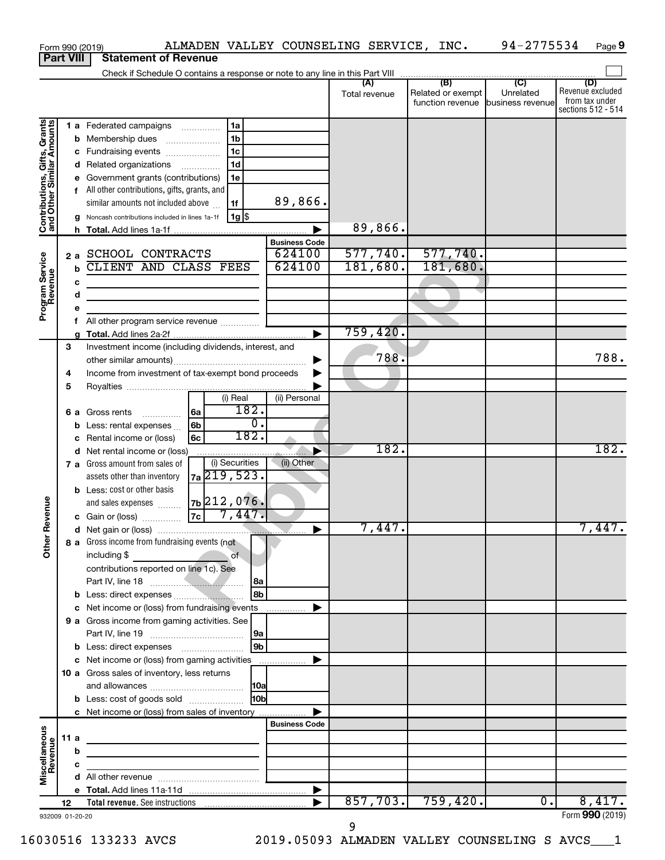|                                                                                         |             |                                                      | ALMADEN VALLEY COUNSELING SERVICE, INC.<br>Form 990 (2019)                                                                                                                                                                                                                                                                                                                                                                                                                                                                               |                                                     |                                 |                                                               | 94-2775534                  | Page 9                                                          |
|-----------------------------------------------------------------------------------------|-------------|------------------------------------------------------|------------------------------------------------------------------------------------------------------------------------------------------------------------------------------------------------------------------------------------------------------------------------------------------------------------------------------------------------------------------------------------------------------------------------------------------------------------------------------------------------------------------------------------------|-----------------------------------------------------|---------------------------------|---------------------------------------------------------------|-----------------------------|-----------------------------------------------------------------|
| <b>Part VIII</b>                                                                        |             |                                                      | <b>Statement of Revenue</b>                                                                                                                                                                                                                                                                                                                                                                                                                                                                                                              |                                                     |                                 |                                                               |                             |                                                                 |
|                                                                                         |             |                                                      |                                                                                                                                                                                                                                                                                                                                                                                                                                                                                                                                          |                                                     |                                 |                                                               |                             |                                                                 |
|                                                                                         |             |                                                      |                                                                                                                                                                                                                                                                                                                                                                                                                                                                                                                                          |                                                     | (A)<br>Total revenue            | (B)<br>Related or exempt<br>function revenue business revenue | $\overline{C}$<br>Unrelated | (D)<br>Revenue excluded<br>from tax under<br>sections 512 - 514 |
| Contributions, Gifts, Grants<br>and Other Similar Amounts<br>Program Service<br>Revenue |             | с<br>е<br>f<br>h<br>2a<br>$\mathbf b$<br>c<br>d<br>e | 1a<br>1 a Federated campaigns<br>1 <sub>b</sub><br><b>b</b> Membership dues<br>1 <sub>c</sub><br>Fundraising events<br>1 <sub>d</sub><br>d Related organizations<br>Government grants (contributions)<br>1e<br>All other contributions, gifts, grants, and<br>similar amounts not included above<br>1f<br>$1g$ \$<br>Noncash contributions included in lines 1a-1f<br>SCHOOL CONTRACTS<br>CLIENT AND CLASS FEES<br><u> 1980 - Johann Barbara, martin amerikan basar dan berasal dan berasal dalam basar dalam basar dalam basar dala</u> | 89,866.<br><b>Business Code</b><br>624100<br>624100 | 89,866.<br>577,740.<br>181,680. | 577,740.<br>181,680.                                          |                             |                                                                 |
|                                                                                         |             | f                                                    | All other program service revenue                                                                                                                                                                                                                                                                                                                                                                                                                                                                                                        |                                                     |                                 |                                                               |                             |                                                                 |
|                                                                                         |             |                                                      |                                                                                                                                                                                                                                                                                                                                                                                                                                                                                                                                          |                                                     | 759,420.                        |                                                               |                             |                                                                 |
|                                                                                         | 3<br>4<br>5 |                                                      | Investment income (including dividends, interest, and<br>Income from investment of tax-exempt bond proceeds<br>(i) Real<br>182.<br> 6a<br>6 a Gross rents                                                                                                                                                                                                                                                                                                                                                                                | (ii) Personal                                       | 788.                            |                                                               |                             | 788.                                                            |
|                                                                                         |             | b<br>c                                               | $\overline{0}$ .<br>6 <sub>b</sub><br>Less: rental expenses<br>182.<br>6c<br>Rental income or (loss)                                                                                                                                                                                                                                                                                                                                                                                                                                     |                                                     |                                 |                                                               |                             |                                                                 |
|                                                                                         |             |                                                      | d Net rental income or (loss)<br>(i) Securities<br>7 a Gross amount from sales of<br>7a 219, 523.<br>assets other than inventory<br><b>b</b> Less: cost or other basis<br>$ zb $ 212,076.<br>and sales expenses                                                                                                                                                                                                                                                                                                                          | (ii) Other                                          | 182.                            |                                                               |                             | 182.                                                            |
| evenue                                                                                  |             |                                                      | 7,447.<br> 7c <br>c Gain or (loss)                                                                                                                                                                                                                                                                                                                                                                                                                                                                                                       |                                                     |                                 |                                                               |                             |                                                                 |
| Other F                                                                                 |             |                                                      | 8 a Gross income from fundraising events (not<br>including \$<br>$\overline{\phantom{a}}$ of<br>contributions reported on line 1c). See                                                                                                                                                                                                                                                                                                                                                                                                  |                                                     | 7,447.                          |                                                               |                             | 7,447.                                                          |
|                                                                                         |             |                                                      | Part IV, line 18<br> 8a<br>l 8b                                                                                                                                                                                                                                                                                                                                                                                                                                                                                                          |                                                     |                                 |                                                               |                             |                                                                 |
|                                                                                         |             |                                                      |                                                                                                                                                                                                                                                                                                                                                                                                                                                                                                                                          |                                                     |                                 |                                                               |                             |                                                                 |
|                                                                                         |             |                                                      | 9 a Gross income from gaming activities. See<br> 9a<br>l 9b                                                                                                                                                                                                                                                                                                                                                                                                                                                                              |                                                     |                                 |                                                               |                             |                                                                 |
|                                                                                         |             |                                                      |                                                                                                                                                                                                                                                                                                                                                                                                                                                                                                                                          |                                                     |                                 |                                                               |                             |                                                                 |
|                                                                                         |             |                                                      | 10 a Gross sales of inventory, less returns                                                                                                                                                                                                                                                                                                                                                                                                                                                                                              |                                                     |                                 |                                                               |                             |                                                                 |
|                                                                                         |             |                                                      | H <sub>0b</sub><br><b>b</b> Less: cost of goods sold                                                                                                                                                                                                                                                                                                                                                                                                                                                                                     |                                                     |                                 |                                                               |                             |                                                                 |
|                                                                                         |             |                                                      | c Net income or (loss) from sales of inventory                                                                                                                                                                                                                                                                                                                                                                                                                                                                                           | ▶<br><b>Business Code</b>                           |                                 |                                                               |                             |                                                                 |
|                                                                                         | 11 a        |                                                      | <u> 1989 - Johann John Stein, markin fan it ferskearre fan it ferskearre fan it ferskearre fan it ferskearre fan</u>                                                                                                                                                                                                                                                                                                                                                                                                                     |                                                     |                                 |                                                               |                             |                                                                 |
| Miscellaneous<br>Revenue                                                                |             | b                                                    | the control of the control of the control of the control of the control of                                                                                                                                                                                                                                                                                                                                                                                                                                                               |                                                     |                                 |                                                               |                             |                                                                 |
|                                                                                         |             | c                                                    | <u> 1989 - Johann Barbara, martxa alemaniar a</u>                                                                                                                                                                                                                                                                                                                                                                                                                                                                                        |                                                     |                                 |                                                               |                             |                                                                 |
|                                                                                         |             |                                                      |                                                                                                                                                                                                                                                                                                                                                                                                                                                                                                                                          |                                                     |                                 |                                                               |                             |                                                                 |
|                                                                                         |             |                                                      |                                                                                                                                                                                                                                                                                                                                                                                                                                                                                                                                          |                                                     | 857,703.                        |                                                               | 0.                          | 8,417.                                                          |
| 932009 01-20-20                                                                         | 12          |                                                      |                                                                                                                                                                                                                                                                                                                                                                                                                                                                                                                                          |                                                     |                                 | 759,420.                                                      |                             | Form 990 (2019)                                                 |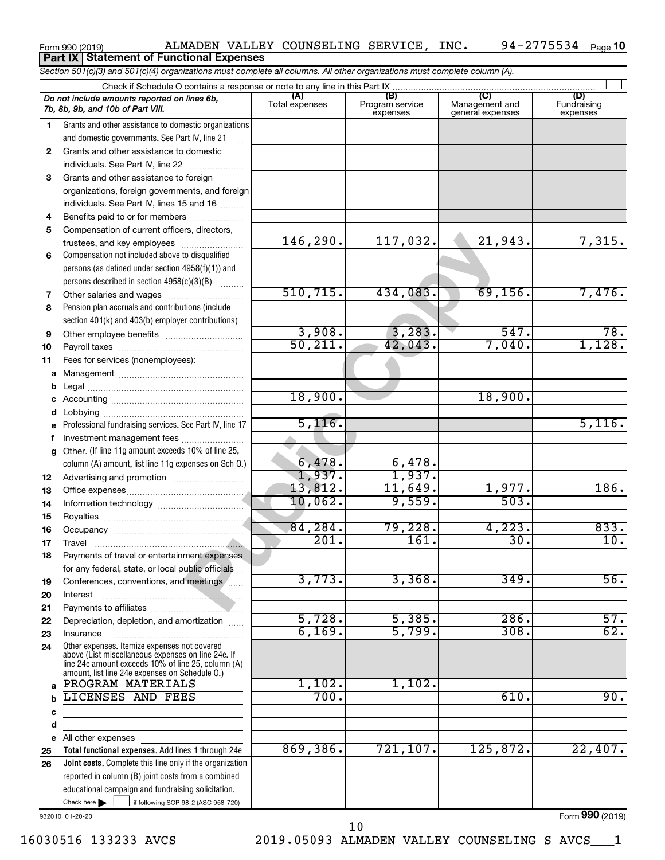## *Section 501(c)(3) and 501(c)(4) organizations must complete all columns. All other organizations must complete column (A).* Form 990 (2019) Page ALMADEN VALLEY COUNSELING SERVICE, INC. 94-2775534 94-2775534 Page 10 **Part IX Statement of Functional Expenses**

|    | Check if Schedule O contains a response or note to any line in this Part IX                        | (A)            | (B)             | (C)              | (D)               |
|----|----------------------------------------------------------------------------------------------------|----------------|-----------------|------------------|-------------------|
|    | Do not include amounts reported on lines 6b,                                                       | Total expenses | Program service | Management and   | Fundraising       |
|    | 7b, 8b, 9b, and 10b of Part VIII.                                                                  |                | expenses        | general expenses | expenses          |
| 1. | Grants and other assistance to domestic organizations                                              |                |                 |                  |                   |
|    | and domestic governments. See Part IV, line 21                                                     |                |                 |                  |                   |
| 2  | Grants and other assistance to domestic                                                            |                |                 |                  |                   |
|    | individuals. See Part IV, line 22<br>$\overline{\phantom{a}}$                                      |                |                 |                  |                   |
| 3  | Grants and other assistance to foreign                                                             |                |                 |                  |                   |
|    | organizations, foreign governments, and foreign                                                    |                |                 |                  |                   |
|    | individuals. See Part IV, lines 15 and 16                                                          |                |                 |                  |                   |
|    |                                                                                                    |                |                 |                  |                   |
| 4  | Benefits paid to or for members                                                                    |                |                 |                  |                   |
| 5  | Compensation of current officers, directors,                                                       | 146,290.       | 117,032.        | 21,943.          |                   |
|    | trustees, and key employees                                                                        |                |                 |                  | 7,315.            |
| 6  | Compensation not included above to disqualified                                                    |                |                 |                  |                   |
|    | persons (as defined under section 4958(f)(1)) and                                                  |                |                 |                  |                   |
|    | persons described in section 4958(c)(3)(B)                                                         |                |                 |                  |                   |
| 7  |                                                                                                    | 510, 715.      | 434,083.        | 69, 156.         | 7,476.            |
| 8  | Pension plan accruals and contributions (include                                                   |                |                 |                  |                   |
|    | section 401(k) and 403(b) employer contributions)                                                  |                |                 |                  |                   |
| 9  |                                                                                                    | 3,908.         | 3,283.          | 547.             | 78.               |
| 10 |                                                                                                    | 50, 211.       | 42,043.         | 7,040.           | 1,128.            |
| 11 | Fees for services (nonemployees):                                                                  |                |                 |                  |                   |
| а  |                                                                                                    |                |                 |                  |                   |
| b  |                                                                                                    |                |                 |                  |                   |
| с  |                                                                                                    | 18,900.        |                 | 18,900.          |                   |
| d  |                                                                                                    |                |                 |                  |                   |
| е  | Professional fundraising services. See Part IV, line 17                                            | 5,116.         |                 |                  | 5,116.            |
| f  | Investment management fees                                                                         |                |                 |                  |                   |
| a  | Other. (If line 11g amount exceeds 10% of line 25,                                                 |                |                 |                  |                   |
|    | column (A) amount, list line 11g expenses on Sch O.)                                               | 6,478.         | 6,478.          |                  |                   |
| 12 |                                                                                                    | 1,937.         | 1,937.          |                  |                   |
|    |                                                                                                    | 13,812.        | 11,649.         | 1,977.           | <b>186.</b>       |
| 13 |                                                                                                    | 10,062.        | 9,559.          | 503.             |                   |
| 14 |                                                                                                    |                |                 |                  |                   |
| 15 |                                                                                                    | 84,284.        | 79,228.         | 4,223.           | 833.              |
| 16 |                                                                                                    | 201.           | 161.            | 30.              | 10.               |
| 17 |                                                                                                    |                |                 |                  |                   |
| 18 | Payments of travel or entertainment expenses                                                       |                |                 |                  |                   |
|    | for any federal, state, or local public officials                                                  | 3,773.         | 3,368.          | 349.             |                   |
| 19 | Conferences, conventions, and meetings                                                             |                |                 |                  | $\overline{56}$ . |
| 20 | Interest                                                                                           |                |                 |                  |                   |
| 21 |                                                                                                    | 5,728.         | 5,385.          | 286.             | 57.               |
| 22 | Depreciation, depletion, and amortization                                                          |                |                 |                  |                   |
| 23 | Insurance                                                                                          | 6,169.         | 5,799.          | 308.             | 62.               |
| 24 | Other expenses. Itemize expenses not covered<br>above (List miscellaneous expenses on line 24e. If |                |                 |                  |                   |
|    | line 24e amount exceeds 10% of line 25, column (A)                                                 |                |                 |                  |                   |
|    | amount, list line 24e expenses on Schedule O.)                                                     |                |                 |                  |                   |
| a  | PROGRAM MATERIALS                                                                                  | 1,102.         | 1,102.          |                  |                   |
| b  | LICENSES AND FEES                                                                                  | 700.           |                 | 610.             | 90.               |
| с  |                                                                                                    |                |                 |                  |                   |
| d  |                                                                                                    |                |                 |                  |                   |
| е  | All other expenses                                                                                 |                |                 |                  |                   |
| 25 | Total functional expenses. Add lines 1 through 24e                                                 | 869,386.       | 721, 107.       | 125,872.         | 22,407.           |
| 26 | Joint costs. Complete this line only if the organization                                           |                |                 |                  |                   |
|    | reported in column (B) joint costs from a combined                                                 |                |                 |                  |                   |
|    | educational campaign and fundraising solicitation.                                                 |                |                 |                  |                   |
|    | Check here $\blacktriangleright$<br>if following SOP 98-2 (ASC 958-720)                            |                |                 |                  |                   |
|    |                                                                                                    |                |                 |                  |                   |

932010 01-20-20

Form (2019) **990**

16030516 133233 AVCS 2019.05093 ALMADEN VALLEY COUNSELING S AVCS\_\_\_1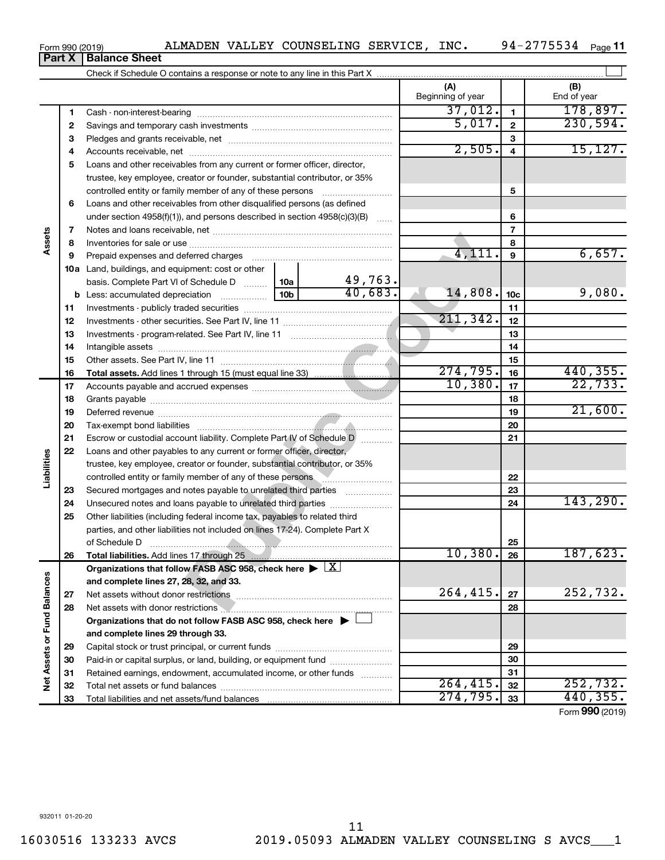$\mathbf{1}$ Cash - non-interest-bearing ~~~~~~~~~~~~~~~~~~~~~~~~~  $\sim$ Savings and temporary cash investments Pledges and grants receivable, net

Check if Schedule O contains a response or note to any line in this Part X

|                        | 1  |                                                                                                                   |  |           | 31,012.   | $\mathbf{1}$             | 178,897 <b>.</b> |
|------------------------|----|-------------------------------------------------------------------------------------------------------------------|--|-----------|-----------|--------------------------|------------------|
|                        | 2  |                                                                                                                   |  |           | 5,017.    | $\mathbf{2}$             | 230,594.         |
|                        | з  |                                                                                                                   |  |           |           | 3                        |                  |
|                        | 4  |                                                                                                                   |  |           | 2,505.    | 4                        | 15, 127.         |
|                        | 5  | Loans and other receivables from any current or former officer, director,                                         |  |           |           |                          |                  |
|                        |    | trustee, key employee, creator or founder, substantial contributor, or 35%                                        |  |           |           |                          |                  |
|                        |    |                                                                                                                   |  |           |           | 5                        |                  |
|                        | 6  | Loans and other receivables from other disqualified persons (as defined                                           |  |           |           |                          |                  |
|                        |    | under section 4958(f)(1)), and persons described in section 4958(c)(3)(B)                                         |  |           |           | 6                        |                  |
|                        | 7  |                                                                                                                   |  |           |           | $\overline{\phantom{a}}$ |                  |
| Assets                 | 8  |                                                                                                                   |  | 8         |           |                          |                  |
|                        | 9  | Prepaid expenses and deferred charges [11] [11] prepaid expenses and deferred charges [11] [11] minimum and the P |  |           | 4, 111.   | 9                        | 6,657.           |
|                        |    | <b>10a</b> Land, buildings, and equipment: cost or other                                                          |  |           |           |                          |                  |
|                        |    | basis. Complete Part VI of Schedule D  10a                                                                        |  | 49,763.   |           |                          |                  |
|                        |    |                                                                                                                   |  | 40,683.   | 14,808.   | 10 <sub>c</sub>          | 9,080.           |
|                        | 11 |                                                                                                                   |  |           |           | 11                       |                  |
|                        | 12 |                                                                                                                   |  |           | 211, 342. | 12                       |                  |
|                        | 13 |                                                                                                                   |  |           |           | 13                       |                  |
|                        |    |                                                                                                                   |  |           |           | 14                       |                  |
|                        | 14 |                                                                                                                   |  |           |           |                          |                  |
|                        | 15 |                                                                                                                   |  |           | 274,795.  | 15<br>16                 | 440,355.         |
|                        | 16 |                                                                                                                   |  |           | 10,380.   |                          | 22,733.          |
|                        | 17 |                                                                                                                   |  |           |           | 17                       |                  |
|                        | 18 |                                                                                                                   |  |           |           | 18                       | 21,600.          |
|                        | 19 |                                                                                                                   |  |           |           | 19                       |                  |
|                        | 20 |                                                                                                                   |  | 20        |           |                          |                  |
|                        | 21 | Escrow or custodial account liability. Complete Part IV of Schedule D [                                           |  | 21        |           |                          |                  |
|                        | 22 | Loans and other payables to any current or former officer, director,                                              |  |           |           |                          |                  |
| Liabilities            |    | trustee, key employee, creator or founder, substantial contributor, or 35%                                        |  |           |           |                          |                  |
|                        |    | controlled entity or family member of any of these persons                                                        |  |           |           | 22                       |                  |
|                        | 23 | Secured mortgages and notes payable to unrelated third parties                                                    |  |           |           | 23                       |                  |
|                        | 24 | Unsecured notes and loans payable to unrelated third parties                                                      |  |           |           | 24                       | 143, 290.        |
|                        | 25 | Other liabilities (including federal income tax, payables to related third                                        |  |           |           |                          |                  |
|                        |    | parties, and other liabilities not included on lines 17-24). Complete Part X                                      |  |           |           |                          |                  |
|                        |    | of Schedule D                                                                                                     |  |           |           | 25                       |                  |
|                        | 26 |                                                                                                                   |  |           | 10,380.   | 26                       | 187,623.         |
|                        |    | Organizations that follow FASB ASC 958, check here $\blacktriangleright \lfloor X \rfloor$                        |  |           |           |                          |                  |
| ances                  |    | and complete lines 27, 28, 32, and 33.                                                                            |  |           |           |                          |                  |
|                        | 27 | Net assets without donor restrictions                                                                             |  |           | 264, 415. | 27                       | 252,732.         |
|                        | 28 | Net assets with donor restrictions <b>Manual Community of the ASS</b>                                             |  |           |           | 28                       |                  |
|                        |    | Organizations that do not follow FASB ASC 958, check here $\blacktriangleright \perp$                             |  |           |           |                          |                  |
|                        |    | and complete lines 29 through 33.                                                                                 |  |           |           |                          |                  |
| Net Assets or Fund Bal | 29 |                                                                                                                   |  | 29        |           |                          |                  |
|                        | 30 | Paid-in or capital surplus, or land, building, or equipment fund                                                  |  | 30        |           |                          |                  |
|                        | 31 | Retained earnings, endowment, accumulated income, or other funds                                                  |  |           |           | 31                       |                  |
|                        | 32 |                                                                                                                   |  | 264, 415. | 32        | 252,732.                 |                  |
|                        | 33 |                                                                                                                   |  |           | 274,795.  | 33                       | 440,355.         |
|                        |    |                                                                                                                   |  |           |           |                          | Form 990 (2019)  |

**(A) (B)**

 $37,012.$  1 $178,897.$ 

 $\perp$ 

Beginning of year | End of year

**Part X** | Balance Sheet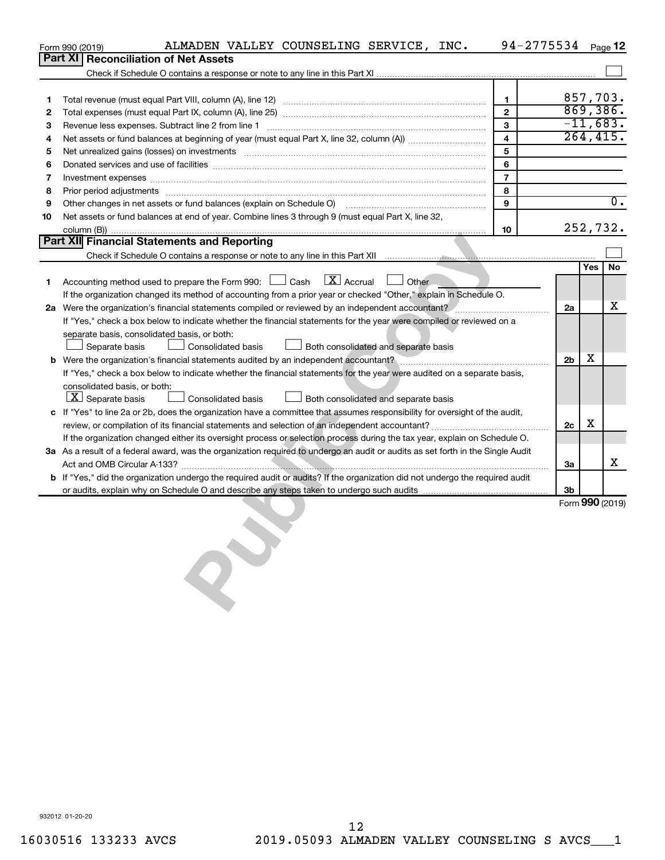|    | ALMADEN VALLEY COUNSELING SERVICE, INC.<br>Form 990 (2019)                                                                                                                                                                     | 94-2775534 Page 12 |                |            |                  |
|----|--------------------------------------------------------------------------------------------------------------------------------------------------------------------------------------------------------------------------------|--------------------|----------------|------------|------------------|
|    | Part XI<br><b>Reconciliation of Net Assets</b>                                                                                                                                                                                 |                    |                |            |                  |
|    |                                                                                                                                                                                                                                |                    |                |            |                  |
|    |                                                                                                                                                                                                                                |                    |                |            |                  |
| 1  |                                                                                                                                                                                                                                | 1                  |                | 857,703.   |                  |
| 2  |                                                                                                                                                                                                                                | $\mathbf{2}$       |                |            | 869,386.         |
| з  | Revenue less expenses. Subtract line 2 from line 1                                                                                                                                                                             | 3                  |                | $-11,683.$ |                  |
| 4  |                                                                                                                                                                                                                                | $\overline{4}$     |                | 264, 415.  |                  |
| 5  |                                                                                                                                                                                                                                | 5                  |                |            |                  |
| 6  |                                                                                                                                                                                                                                | 6                  |                |            |                  |
| 7  | Investment expenses www.communication.com/www.communication.com/www.communication.com/www.com                                                                                                                                  | $\overline{7}$     |                |            |                  |
| 8  | Prior period adjustments www.communication.communication.communication.com/news-managements                                                                                                                                    | 8                  |                |            |                  |
| 9  | Other changes in net assets or fund balances (explain on Schedule O) [11] [2000] [2000] [2000] [2000] [2000] [                                                                                                                 | 9                  |                |            | $\overline{0}$ . |
| 10 | Net assets or fund balances at end of year. Combine lines 3 through 9 (must equal Part X, line 32,                                                                                                                             |                    |                |            |                  |
|    |                                                                                                                                                                                                                                | 10                 |                | 252,732.   |                  |
|    | Part XII Financial Statements and Reporting                                                                                                                                                                                    |                    |                |            |                  |
|    | Check if Schedule O contains a response or note to any line in this Part XII music contains a contained and contains a response or note to any line in this Part XII music contains and contains a response or note to any lin |                    |                |            |                  |
|    |                                                                                                                                                                                                                                |                    |                | Yes        | No               |
| 1  | Accounting method used to prepare the Form 990: $\Box$ Cash $\Box X$ Accrual<br>$\Box$ Other                                                                                                                                   |                    |                |            |                  |
|    | If the organization changed its method of accounting from a prior year or checked "Other," explain in Schedule O.                                                                                                              |                    |                |            |                  |
|    | 2a Were the organization's financial statements compiled or reviewed by an independent accountant?                                                                                                                             |                    | 2a             |            | x                |
|    | If "Yes," check a box below to indicate whether the financial statements for the year were compiled or reviewed on a                                                                                                           |                    |                |            |                  |
|    | separate basis, consolidated basis, or both:                                                                                                                                                                                   |                    |                |            |                  |
|    | Consolidated basis<br>$\Box$ Both consolidated and separate basis<br>Separate basis                                                                                                                                            |                    |                |            |                  |
|    | b Were the organization's financial statements audited by an independent accountant?                                                                                                                                           |                    | 2 <sub>b</sub> | x          |                  |
|    | If "Yes," check a box below to indicate whether the financial statements for the year were audited on a separate basis,                                                                                                        |                    |                |            |                  |
|    | consolidated basis, or both:                                                                                                                                                                                                   |                    |                |            |                  |
|    | $ \mathbf{X} $ Separate basis<br>Consolidated basis<br>Both consolidated and separate basis                                                                                                                                    |                    |                |            |                  |
|    | c If "Yes" to line 2a or 2b, does the organization have a committee that assumes responsibility for oversight of the audit,                                                                                                    |                    |                |            |                  |
|    |                                                                                                                                                                                                                                |                    | 2c             | х          |                  |
|    | If the organization changed either its oversight process or selection process during the tax year, explain on Schedule O.                                                                                                      |                    |                |            |                  |
|    | 3a As a result of a federal award, was the organization required to undergo an audit or audits as set forth in the Single Audit                                                                                                |                    |                |            |                  |
|    |                                                                                                                                                                                                                                |                    | За             |            | х                |
|    | b If "Yes," did the organization undergo the required audit or audits? If the organization did not undergo the required audit                                                                                                  |                    |                |            |                  |
|    |                                                                                                                                                                                                                                |                    | 3b             |            |                  |
|    |                                                                                                                                                                                                                                |                    |                |            | Form 990 (2019)  |
|    |                                                                                                                                                                                                                                |                    |                |            |                  |
|    |                                                                                                                                                                                                                                |                    |                |            |                  |
|    |                                                                                                                                                                                                                                |                    |                |            |                  |
|    |                                                                                                                                                                                                                                |                    |                |            |                  |
|    |                                                                                                                                                                                                                                |                    |                |            |                  |
|    |                                                                                                                                                                                                                                |                    |                |            |                  |
|    |                                                                                                                                                                                                                                |                    |                |            |                  |
|    |                                                                                                                                                                                                                                |                    |                |            |                  |
|    |                                                                                                                                                                                                                                |                    |                |            |                  |
|    |                                                                                                                                                                                                                                |                    |                |            |                  |
|    |                                                                                                                                                                                                                                |                    |                |            |                  |
|    |                                                                                                                                                                                                                                |                    |                |            |                  |
|    |                                                                                                                                                                                                                                |                    |                |            |                  |
|    |                                                                                                                                                                                                                                |                    |                |            |                  |
|    |                                                                                                                                                                                                                                |                    |                |            |                  |
|    |                                                                                                                                                                                                                                |                    |                |            |                  |
|    |                                                                                                                                                                                                                                |                    |                |            |                  |
|    |                                                                                                                                                                                                                                |                    |                |            |                  |
|    |                                                                                                                                                                                                                                |                    |                |            |                  |
|    |                                                                                                                                                                                                                                |                    |                |            |                  |
|    |                                                                                                                                                                                                                                |                    |                |            |                  |
|    |                                                                                                                                                                                                                                |                    |                |            |                  |
|    |                                                                                                                                                                                                                                |                    |                |            |                  |
|    | 932012 01-20-20                                                                                                                                                                                                                |                    |                |            |                  |

932012 01-20-20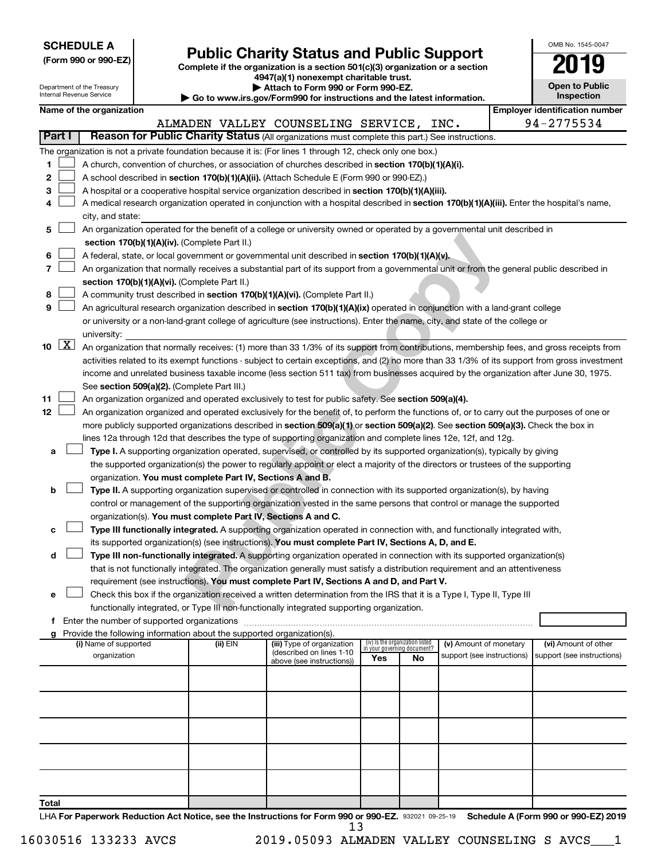|  |  | <b>SCHEDULE A</b> |  |
|--|--|-------------------|--|
|  |  |                   |  |

Department of the Treasury Internal Revenue Service

Form 990 or 990-EZ)<br>
Complete if the organization is a section 501(c)(3) organization or a section<br> **Public Charity Status and Public Support 4947(a)(1) nonexempt charitable trust.**

**| Attach to Form 990 or Form 990-EZ.** 

**| Go to www.irs.gov/Form990 for instructions and the latest information.**

| <b>Open to Public</b><br>Inspection |
|-------------------------------------|
| ntification num≏                    |

OMB No. 1545-0047

|              |                     | Name of the organization                                                                                                                      |          |                                                        |                                 |    |                                                      |  | <b>Employer identification number</b>              |  |  |  |  |  |
|--------------|---------------------|-----------------------------------------------------------------------------------------------------------------------------------------------|----------|--------------------------------------------------------|---------------------------------|----|------------------------------------------------------|--|----------------------------------------------------|--|--|--|--|--|
|              |                     |                                                                                                                                               |          | ALMADEN VALLEY COUNSELING SERVICE, INC.                |                                 |    |                                                      |  | 94-2775534                                         |  |  |  |  |  |
| Part I       |                     | Reason for Public Charity Status (All organizations must complete this part.) See instructions.                                               |          |                                                        |                                 |    |                                                      |  |                                                    |  |  |  |  |  |
|              |                     | The organization is not a private foundation because it is: (For lines 1 through 12, check only one box.)                                     |          |                                                        |                                 |    |                                                      |  |                                                    |  |  |  |  |  |
| 1.           |                     | A church, convention of churches, or association of churches described in section 170(b)(1)(A)(i).                                            |          |                                                        |                                 |    |                                                      |  |                                                    |  |  |  |  |  |
| 2            |                     | A school described in section 170(b)(1)(A)(ii). (Attach Schedule E (Form 990 or 990-EZ).)                                                     |          |                                                        |                                 |    |                                                      |  |                                                    |  |  |  |  |  |
| з            |                     | A hospital or a cooperative hospital service organization described in section 170(b)(1)(A)(iii).                                             |          |                                                        |                                 |    |                                                      |  |                                                    |  |  |  |  |  |
| 4            |                     | A medical research organization operated in conjunction with a hospital described in section 170(b)(1)(A)(iii). Enter the hospital's name,    |          |                                                        |                                 |    |                                                      |  |                                                    |  |  |  |  |  |
|              |                     | city, and state:                                                                                                                              |          |                                                        |                                 |    |                                                      |  |                                                    |  |  |  |  |  |
| 5            |                     | An organization operated for the benefit of a college or university owned or operated by a governmental unit described in                     |          |                                                        |                                 |    |                                                      |  |                                                    |  |  |  |  |  |
|              |                     | section 170(b)(1)(A)(iv). (Complete Part II.)                                                                                                 |          |                                                        |                                 |    |                                                      |  |                                                    |  |  |  |  |  |
| 6            |                     | A federal, state, or local government or governmental unit described in section 170(b)(1)(A)(v).                                              |          |                                                        |                                 |    |                                                      |  |                                                    |  |  |  |  |  |
| 7            |                     | An organization that normally receives a substantial part of its support from a governmental unit or from the general public described in     |          |                                                        |                                 |    |                                                      |  |                                                    |  |  |  |  |  |
|              |                     | section 170(b)(1)(A)(vi). (Complete Part II.)                                                                                                 |          |                                                        |                                 |    |                                                      |  |                                                    |  |  |  |  |  |
| 8            |                     | A community trust described in section 170(b)(1)(A)(vi). (Complete Part II.)                                                                  |          |                                                        |                                 |    |                                                      |  |                                                    |  |  |  |  |  |
| 9            |                     | An agricultural research organization described in section 170(b)(1)(A)(ix) operated in conjunction with a land-grant college                 |          |                                                        |                                 |    |                                                      |  |                                                    |  |  |  |  |  |
|              |                     | or university or a non-land-grant college of agriculture (see instructions). Enter the name, city, and state of the college or                |          |                                                        |                                 |    |                                                      |  |                                                    |  |  |  |  |  |
|              |                     | university:                                                                                                                                   |          |                                                        |                                 |    |                                                      |  |                                                    |  |  |  |  |  |
| 10           | $\lfloor x \rfloor$ | An organization that normally receives: (1) more than 33 1/3% of its support from contributions, membership fees, and gross receipts from     |          |                                                        |                                 |    |                                                      |  |                                                    |  |  |  |  |  |
|              |                     | activities related to its exempt functions - subject to certain exceptions, and (2) no more than 33 1/3% of its support from gross investment |          |                                                        |                                 |    |                                                      |  |                                                    |  |  |  |  |  |
|              |                     | income and unrelated business taxable income (less section 511 tax) from businesses acquired by the organization after June 30, 1975.         |          |                                                        |                                 |    |                                                      |  |                                                    |  |  |  |  |  |
|              |                     | See section 509(a)(2). (Complete Part III.)                                                                                                   |          |                                                        |                                 |    |                                                      |  |                                                    |  |  |  |  |  |
| 11           |                     | An organization organized and operated exclusively to test for public safety. See section 509(a)(4).                                          |          |                                                        |                                 |    |                                                      |  |                                                    |  |  |  |  |  |
| 12           |                     | An organization organized and operated exclusively for the benefit of, to perform the functions of, or to carry out the purposes of one or    |          |                                                        |                                 |    |                                                      |  |                                                    |  |  |  |  |  |
|              |                     | more publicly supported organizations described in section 509(a)(1) or section 509(a)(2). See section 509(a)(3). Check the box in            |          |                                                        |                                 |    |                                                      |  |                                                    |  |  |  |  |  |
|              |                     | lines 12a through 12d that describes the type of supporting organization and complete lines 12e, 12f, and 12g.                                |          |                                                        |                                 |    |                                                      |  |                                                    |  |  |  |  |  |
| a            |                     | Type I. A supporting organization operated, supervised, or controlled by its supported organization(s), typically by giving                   |          |                                                        |                                 |    |                                                      |  |                                                    |  |  |  |  |  |
|              |                     | the supported organization(s) the power to regularly appoint or elect a majority of the directors or trustees of the supporting               |          |                                                        |                                 |    |                                                      |  |                                                    |  |  |  |  |  |
|              |                     | organization. You must complete Part IV, Sections A and B.                                                                                    |          |                                                        |                                 |    |                                                      |  |                                                    |  |  |  |  |  |
| b            |                     | Type II. A supporting organization supervised or controlled in connection with its supported organization(s), by having                       |          |                                                        |                                 |    |                                                      |  |                                                    |  |  |  |  |  |
|              |                     | control or management of the supporting organization vested in the same persons that control or manage the supported                          |          |                                                        |                                 |    |                                                      |  |                                                    |  |  |  |  |  |
|              |                     | organization(s). You must complete Part IV, Sections A and C.                                                                                 |          |                                                        |                                 |    |                                                      |  |                                                    |  |  |  |  |  |
| c            |                     | Type III functionally integrated. A supporting organization operated in connection with, and functionally integrated with,                    |          |                                                        |                                 |    |                                                      |  |                                                    |  |  |  |  |  |
|              |                     | its supported organization(s) (see instructions). You must complete Part IV, Sections A, D, and E.                                            |          |                                                        |                                 |    |                                                      |  |                                                    |  |  |  |  |  |
| d            |                     | Type III non-functionally integrated. A supporting organization operated in connection with its supported organization(s)                     |          |                                                        |                                 |    |                                                      |  |                                                    |  |  |  |  |  |
|              |                     | that is not functionally integrated. The organization generally must satisfy a distribution requirement and an attentiveness                  |          |                                                        |                                 |    |                                                      |  |                                                    |  |  |  |  |  |
|              |                     | requirement (see instructions). You must complete Part IV, Sections A and D, and Part V.                                                      |          |                                                        |                                 |    |                                                      |  |                                                    |  |  |  |  |  |
| е            |                     | Check this box if the organization received a written determination from the IRS that it is a Type I, Type II, Type III                       |          |                                                        |                                 |    |                                                      |  |                                                    |  |  |  |  |  |
|              |                     | functionally integrated, or Type III non-functionally integrated supporting organization.                                                     |          |                                                        |                                 |    |                                                      |  |                                                    |  |  |  |  |  |
| f            |                     | Enter the number of supported organizations                                                                                                   |          |                                                        |                                 |    |                                                      |  |                                                    |  |  |  |  |  |
| g            |                     | Provide the following information about the supported organization(s).                                                                        |          |                                                        | (iv) Is the organization listed |    |                                                      |  |                                                    |  |  |  |  |  |
|              |                     | (i) Name of supported<br>organization                                                                                                         | (ii) EIN | (iii) Type of organization<br>(described on lines 1-10 | in your governing document?     |    | (v) Amount of monetary<br>support (see instructions) |  | (vi) Amount of other<br>support (see instructions) |  |  |  |  |  |
|              |                     |                                                                                                                                               |          | above (see instructions))                              | Yes                             | No |                                                      |  |                                                    |  |  |  |  |  |
|              |                     |                                                                                                                                               |          |                                                        |                                 |    |                                                      |  |                                                    |  |  |  |  |  |
|              |                     |                                                                                                                                               |          |                                                        |                                 |    |                                                      |  |                                                    |  |  |  |  |  |
|              |                     |                                                                                                                                               |          |                                                        |                                 |    |                                                      |  |                                                    |  |  |  |  |  |
|              |                     |                                                                                                                                               |          |                                                        |                                 |    |                                                      |  |                                                    |  |  |  |  |  |
|              |                     |                                                                                                                                               |          |                                                        |                                 |    |                                                      |  |                                                    |  |  |  |  |  |
|              |                     |                                                                                                                                               |          |                                                        |                                 |    |                                                      |  |                                                    |  |  |  |  |  |
|              |                     |                                                                                                                                               |          |                                                        |                                 |    |                                                      |  |                                                    |  |  |  |  |  |
|              |                     |                                                                                                                                               |          |                                                        |                                 |    |                                                      |  |                                                    |  |  |  |  |  |
|              |                     |                                                                                                                                               |          |                                                        |                                 |    |                                                      |  |                                                    |  |  |  |  |  |
| <b>Total</b> |                     |                                                                                                                                               |          |                                                        |                                 |    |                                                      |  |                                                    |  |  |  |  |  |

LHA For Paperwork Reduction Act Notice, see the Instructions for Form 990 or 990-EZ. 932021 09-25-19 Schedule A (Form 990 or 990-EZ) 2019 13

<sup>16030516 133233</sup> AVCS 2019.05093 ALMADEN VALLEY COUNSELING S AVCS\_\_\_1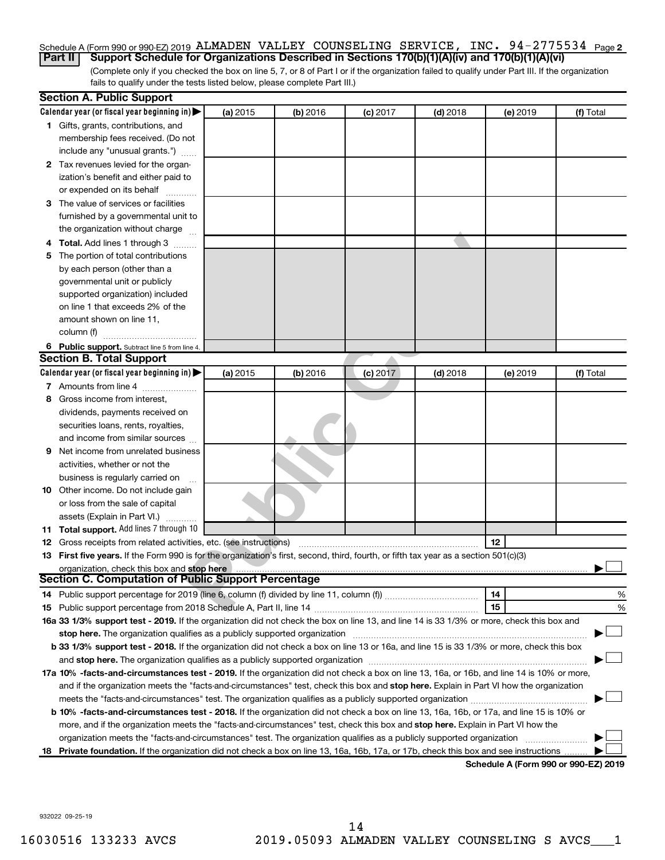# Schedule A (Form 990 or 990-EZ) 2019 ALMADEN VALLEY COUNSELING SERVICE, INC. 94-2775534 <sub>Page 2</sub> **Part II Support Schedule for Organizations Described in Sections 170(b)(1)(A)(iv) and 170(b)(1)(A)(vi)**

(Complete only if you checked the box on line 5, 7, or 8 of Part I or if the organization failed to qualify under Part III. If the organization fails to qualify under the tests listed below, please complete Part III.)

|    | <b>Section A. Public Support</b>                                                                                                           |          |          |            |            |          |                                      |  |  |  |  |
|----|--------------------------------------------------------------------------------------------------------------------------------------------|----------|----------|------------|------------|----------|--------------------------------------|--|--|--|--|
|    | Calendar year (or fiscal year beginning in)                                                                                                | (a) 2015 | (b) 2016 | $(c)$ 2017 | $(d)$ 2018 | (e) 2019 | (f) Total                            |  |  |  |  |
|    | 1 Gifts, grants, contributions, and                                                                                                        |          |          |            |            |          |                                      |  |  |  |  |
|    | membership fees received. (Do not                                                                                                          |          |          |            |            |          |                                      |  |  |  |  |
|    | include any "unusual grants.")                                                                                                             |          |          |            |            |          |                                      |  |  |  |  |
|    | 2 Tax revenues levied for the organ-                                                                                                       |          |          |            |            |          |                                      |  |  |  |  |
|    | ization's benefit and either paid to                                                                                                       |          |          |            |            |          |                                      |  |  |  |  |
|    | or expended on its behalf                                                                                                                  |          |          |            |            |          |                                      |  |  |  |  |
|    | 3 The value of services or facilities                                                                                                      |          |          |            |            |          |                                      |  |  |  |  |
|    | furnished by a governmental unit to                                                                                                        |          |          |            |            |          |                                      |  |  |  |  |
|    | the organization without charge                                                                                                            |          |          |            |            |          |                                      |  |  |  |  |
|    | 4 Total. Add lines 1 through 3                                                                                                             |          |          |            |            |          |                                      |  |  |  |  |
| 5. | The portion of total contributions                                                                                                         |          |          |            |            |          |                                      |  |  |  |  |
|    | by each person (other than a                                                                                                               |          |          |            |            |          |                                      |  |  |  |  |
|    | governmental unit or publicly                                                                                                              |          |          |            |            |          |                                      |  |  |  |  |
|    | supported organization) included                                                                                                           |          |          |            |            |          |                                      |  |  |  |  |
|    | on line 1 that exceeds 2% of the                                                                                                           |          |          |            |            |          |                                      |  |  |  |  |
|    | amount shown on line 11,                                                                                                                   |          |          |            |            |          |                                      |  |  |  |  |
|    | column (f)                                                                                                                                 |          |          |            |            |          |                                      |  |  |  |  |
|    | 6 Public support. Subtract line 5 from line 4.                                                                                             |          |          |            |            |          |                                      |  |  |  |  |
|    | <b>Section B. Total Support</b>                                                                                                            |          |          |            |            |          |                                      |  |  |  |  |
|    | Calendar year (or fiscal year beginning in)                                                                                                | (a) 2015 | (b) 2016 | $(c)$ 2017 | $(d)$ 2018 | (e) 2019 | (f) Total                            |  |  |  |  |
|    | 7 Amounts from line 4                                                                                                                      |          |          |            |            |          |                                      |  |  |  |  |
| 8  | Gross income from interest,                                                                                                                |          |          |            |            |          |                                      |  |  |  |  |
|    | dividends, payments received on                                                                                                            |          |          |            |            |          |                                      |  |  |  |  |
|    | securities loans, rents, royalties,                                                                                                        |          |          |            |            |          |                                      |  |  |  |  |
|    | and income from similar sources                                                                                                            |          |          |            |            |          |                                      |  |  |  |  |
| 9  | Net income from unrelated business                                                                                                         |          |          |            |            |          |                                      |  |  |  |  |
|    | activities, whether or not the                                                                                                             |          |          |            |            |          |                                      |  |  |  |  |
|    | business is regularly carried on                                                                                                           |          |          |            |            |          |                                      |  |  |  |  |
|    | 10 Other income. Do not include gain                                                                                                       |          |          |            |            |          |                                      |  |  |  |  |
|    | or loss from the sale of capital                                                                                                           |          |          |            |            |          |                                      |  |  |  |  |
|    | assets (Explain in Part VI.)                                                                                                               |          |          |            |            |          |                                      |  |  |  |  |
|    | 11 Total support. Add lines 7 through 10                                                                                                   |          |          |            |            |          |                                      |  |  |  |  |
|    | <b>12</b> Gross receipts from related activities, etc. (see instructions)                                                                  |          |          |            |            | 12       |                                      |  |  |  |  |
|    | 13 First five years. If the Form 990 is for the organization's first, second, third, fourth, or fifth tax year as a section 501(c)(3)      |          |          |            |            |          |                                      |  |  |  |  |
|    | organization, check this box and stop here                                                                                                 |          |          |            |            |          |                                      |  |  |  |  |
|    | <b>Section C. Computation of Public Support Percentage</b>                                                                                 |          |          |            |            |          |                                      |  |  |  |  |
|    |                                                                                                                                            |          |          |            |            | 14       | %                                    |  |  |  |  |
|    |                                                                                                                                            |          |          |            |            | 15       | %                                    |  |  |  |  |
|    | 16a 33 1/3% support test - 2019. If the organization did not check the box on line 13, and line 14 is 33 1/3% or more, check this box and  |          |          |            |            |          |                                      |  |  |  |  |
|    |                                                                                                                                            |          |          |            |            |          |                                      |  |  |  |  |
|    | b 33 1/3% support test - 2018. If the organization did not check a box on line 13 or 16a, and line 15 is 33 1/3% or more, check this box   |          |          |            |            |          |                                      |  |  |  |  |
|    |                                                                                                                                            |          |          |            |            |          |                                      |  |  |  |  |
|    | 17a 10% -facts-and-circumstances test - 2019. If the organization did not check a box on line 13, 16a, or 16b, and line 14 is 10% or more, |          |          |            |            |          |                                      |  |  |  |  |
|    | and if the organization meets the "facts-and-circumstances" test, check this box and stop here. Explain in Part VI how the organization    |          |          |            |            |          |                                      |  |  |  |  |
|    |                                                                                                                                            |          |          |            |            |          |                                      |  |  |  |  |
|    | b 10% -facts-and-circumstances test - 2018. If the organization did not check a box on line 13, 16a, 16b, or 17a, and line 15 is 10% or    |          |          |            |            |          |                                      |  |  |  |  |
|    | more, and if the organization meets the "facts-and-circumstances" test, check this box and stop here. Explain in Part VI how the           |          |          |            |            |          |                                      |  |  |  |  |
|    | organization meets the "facts-and-circumstances" test. The organization qualifies as a publicly supported organization                     |          |          |            |            |          |                                      |  |  |  |  |
|    | 18 Private foundation. If the organization did not check a box on line 13, 16a, 16b, 17a, or 17b, check this box and see instructions      |          |          |            |            |          |                                      |  |  |  |  |
|    |                                                                                                                                            |          |          |            |            |          | Schedule A (Form 990 or 990-F7) 2019 |  |  |  |  |

**Schedule A (Form 990 or 990-EZ) 2019**

932022 09-25-19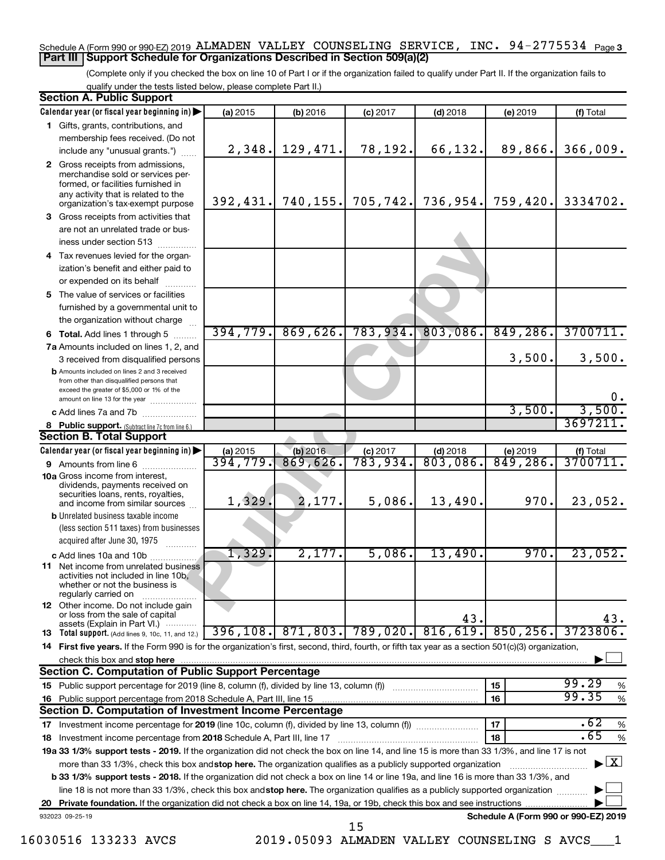# Schedule A (Form 990 or 990-EZ) 2019 ALMADEN VALLEY COUNSELING SERVICE, INC. 94-2775534 <sub>Page 3</sub> **Part III Support Schedule for Organizations Described in Section 509(a)(2)**

(Complete only if you checked the box on line 10 of Part I or if the organization failed to qualify under Part II. If the organization fails to qualify under the tests listed below, please complete Part II.)

|    | <b>Section A. Public Support</b>                                                                                                                    |           |           |                                    |                        |                                      |                                          |
|----|-----------------------------------------------------------------------------------------------------------------------------------------------------|-----------|-----------|------------------------------------|------------------------|--------------------------------------|------------------------------------------|
|    | Calendar year (or fiscal year beginning in)                                                                                                         | (a) 2015  | (b) 2016  | $(c)$ 2017                         | $(d)$ 2018             | (e) 2019                             | (f) Total                                |
|    | 1 Gifts, grants, contributions, and                                                                                                                 |           |           |                                    |                        |                                      |                                          |
|    | membership fees received. (Do not                                                                                                                   |           |           |                                    |                        |                                      |                                          |
|    | include any "unusual grants.")                                                                                                                      | 2,348.    | 129,471.  | 78,192.                            | 66,132.                | 89,866.                              | 366,009.                                 |
|    | 2 Gross receipts from admissions,<br>merchandise sold or services per-<br>formed, or facilities furnished in<br>any activity that is related to the |           |           |                                    |                        |                                      |                                          |
|    | organization's tax-exempt purpose                                                                                                                   | 392, 431. | 740, 155. | 705,742.                           | 736,954.               | 759,420.                             | 3334702.                                 |
|    | 3 Gross receipts from activities that                                                                                                               |           |           |                                    |                        |                                      |                                          |
|    | are not an unrelated trade or bus-                                                                                                                  |           |           |                                    |                        |                                      |                                          |
|    | iness under section 513                                                                                                                             |           |           |                                    |                        |                                      |                                          |
|    | 4 Tax revenues levied for the organ-                                                                                                                |           |           |                                    |                        |                                      |                                          |
|    | ization's benefit and either paid to                                                                                                                |           |           |                                    |                        |                                      |                                          |
|    | or expended on its behalf                                                                                                                           |           |           |                                    |                        |                                      |                                          |
|    | 5 The value of services or facilities<br>furnished by a governmental unit to                                                                        |           |           |                                    |                        |                                      |                                          |
|    | the organization without charge                                                                                                                     |           |           |                                    |                        |                                      |                                          |
|    |                                                                                                                                                     | 394,779.  | 869,626.  | 783,934.                           | 803,086.               | 849,286.                             | 3700711.                                 |
|    | <b>6 Total.</b> Add lines 1 through 5<br>7a Amounts included on lines 1, 2, and                                                                     |           |           |                                    |                        |                                      |                                          |
|    |                                                                                                                                                     |           |           |                                    |                        | 3,500.                               | 3,500.                                   |
|    | 3 received from disqualified persons<br><b>b</b> Amounts included on lines 2 and 3 received                                                         |           |           |                                    |                        |                                      |                                          |
|    | from other than disqualified persons that<br>exceed the greater of \$5,000 or 1% of the                                                             |           |           |                                    |                        |                                      |                                          |
|    | amount on line 13 for the year                                                                                                                      |           |           |                                    |                        |                                      | 0.                                       |
|    | c Add lines 7a and 7b                                                                                                                               |           |           |                                    |                        | 3,500.                               | 3,500.                                   |
|    | <b>8</b> Public support. (Subtract line 7c from line 6.)                                                                                            |           |           |                                    |                        |                                      | 3697211                                  |
|    | <b>Section B. Total Support</b>                                                                                                                     |           |           |                                    |                        |                                      |                                          |
|    | Calendar year (or fiscal year beginning in)                                                                                                         | (a) 2015  | (b) 2016  | $(c)$ 2017<br>$\overline{783,934}$ | $(d)$ 2018<br>803,086. | (e) 2019<br>849,286.                 | $\frac{f(f) \text{ Total}}{3700711.}$    |
|    | <b>9</b> Amounts from line 6                                                                                                                        | 394,779.  | 869,626.  |                                    |                        |                                      |                                          |
|    | <b>10a</b> Gross income from interest,<br>dividends, payments received on<br>securities loans, rents, royalties,                                    |           |           |                                    |                        |                                      |                                          |
|    | and income from similar sources                                                                                                                     | 1,329.    | 2,177.    | 5,086.                             | 13,490.                | 970.                                 | 23,052.                                  |
|    | <b>b</b> Unrelated business taxable income                                                                                                          |           |           |                                    |                        |                                      |                                          |
|    | (less section 511 taxes) from businesses                                                                                                            |           |           |                                    |                        |                                      |                                          |
|    | acquired after June 30, 1975                                                                                                                        | 1,329.    | 2,177.    | 5,086.                             | 13,490.                | 970.                                 | 23,052.                                  |
|    | c Add lines 10a and 10b<br><b>11</b> Net income from unrelated business                                                                             |           |           |                                    |                        |                                      |                                          |
|    | activities not included in line 10b,<br>whether or not the business is<br>regularly carried on                                                      |           |           |                                    |                        |                                      |                                          |
|    | <b>12</b> Other income. Do not include gain<br>or loss from the sale of capital                                                                     |           |           |                                    | 43.                    |                                      | 43.                                      |
|    | assets (Explain in Part VI.)<br><b>13</b> Total support. (Add lines 9, 10c, 11, and 12.)                                                            | 396, 108. | 871,803.  | 789,020.                           | 816,619.               | 850, 256.                            | 3723806.                                 |
|    | 14 First five years. If the Form 990 is for the organization's first, second, third, fourth, or fifth tax year as a section 501(c)(3) organization, |           |           |                                    |                        |                                      |                                          |
|    | check this box and stop here                                                                                                                        |           |           |                                    |                        |                                      |                                          |
|    | <b>Section C. Computation of Public Support Percentage</b>                                                                                          |           |           |                                    |                        |                                      |                                          |
|    | 15 Public support percentage for 2019 (line 8, column (f), divided by line 13, column (f) <i></i>                                                   |           |           |                                    |                        | 15                                   | 99.29<br>%                               |
|    | 16 Public support percentage from 2018 Schedule A, Part III, line 15                                                                                |           |           |                                    |                        | 16                                   | 99.35<br>$\%$                            |
|    | Section D. Computation of Investment Income Percentage                                                                                              |           |           |                                    |                        |                                      |                                          |
|    |                                                                                                                                                     |           |           |                                    |                        | 17                                   | .62<br>$\%$                              |
|    | 18 Investment income percentage from 2018 Schedule A, Part III, line 17                                                                             |           |           |                                    |                        | 18                                   | .65<br>$\%$                              |
|    | 19a 33 1/3% support tests - 2019. If the organization did not check the box on line 14, and line 15 is more than 33 1/3%, and line 17 is not        |           |           |                                    |                        |                                      |                                          |
|    | more than 33 1/3%, check this box and stop here. The organization qualifies as a publicly supported organization                                    |           |           |                                    |                        |                                      | $\blacktriangleright$ $\boxed{\text{X}}$ |
|    | <b>b 33 1/3% support tests - 2018.</b> If the organization did not check a box on line 14 or line 19a, and line 16 is more than 33 1/3%, and        |           |           |                                    |                        |                                      |                                          |
|    | line 18 is not more than 33 1/3%, check this box and stop here. The organization qualifies as a publicly supported organization                     |           |           |                                    |                        |                                      |                                          |
| 20 |                                                                                                                                                     |           |           |                                    |                        |                                      |                                          |
|    | 932023 09-25-19                                                                                                                                     |           |           | 15                                 |                        | Schedule A (Form 990 or 990-EZ) 2019 |                                          |

16030516 133233 AVCS 2019.05093 ALMADEN VALLEY COUNSELING S AVCS\_\_\_1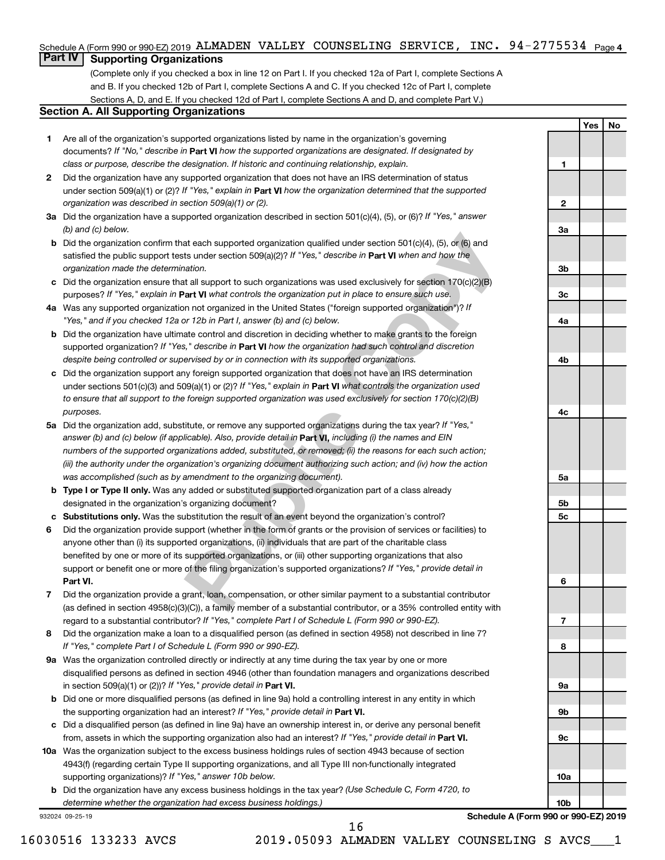# Schedule A (Form 990 or 990-EZ) 2019 ALMADEN VALLEY COUNSELING SERVICE, INC. 94-2775534 <sub>Page 4</sub>

# **Part IV Supporting Organizations**

(Complete only if you checked a box in line 12 on Part I. If you checked 12a of Part I, complete Sections A and B. If you checked 12b of Part I, complete Sections A and C. If you checked 12c of Part I, complete Sections A, D, and E. If you checked 12d of Part I, complete Sections A and D, and complete Part V.)

# **Section A. All Supporting Organizations**

- documents? If "No," describe in Part VI how the supported organizations are designated. If designated by *class or purpose, describe the designation. If historic and continuing relationship, explain.* 1 Are all of the organization's supported organizations listed by name in the organization's governing
- under section 509(a)(1) or (2)? If "Yes," explain in Part **VI** how the organization determined that the supported *organization was described in section 509(a)(1) or (2).* 2 Did the organization have any supported organization that does not have an IRS determination of status
- Did the organization have a supported organization described in section 501(c)(4), (5), or (6)? If "Yes," answer *(b) and (c) below.*
- satisfied the public support tests under section 509(a)(2)? If "Yes," describe in Part VI when and how the *organization made the determination.* **b** Did the organization confirm that each supported organization qualified under section  $501(c)(4)$ ,  $(5)$ , or  $(6)$  and
- purposes? If "Yes," explain in Part VI what controls the organization put in place to ensure such use.  $c$  Did the organization ensure that all support to such organizations was used exclusively for section 170(c)(2)(B)
- Was any supported organization not organized in the United States ("foreign supported organization")? If *"Yes," and if you checked 12a or 12b in Part I, answer (b) and (c) below.*
- supported organization? If "Yes," describe in Part VI how the organization had such control and discretion *despite being controlled or supervised by or in connection with its supported organizations.* **b** Did the organization have ultimate control and discretion in deciding whether to make grants to the foreign
- under sections 501(c)(3) and 509(a)(1) or (2)? If "Yes," explain in Part VI what controls the organization used *to ensure that all support to the foreign supported organization was used exclusively for section 170(c)(2)(B) purposes.* Did the organization support any foreign supported organization that does not have an IRS determination
- answer (b) and (c) below (if applicable). Also, provide detail in **Part VI,** including (i) the names and EIN Did the organization add, substitute, or remove any supported organizations during the tax year? If "Yes," *numbers of the supported organizations added, substituted, or removed; (ii) the reasons for each such action; (iii) the authority under the organization's organizing document authorizing such action; and (iv) how the action was accomplished (such as by amendment to the organizing document).*
- **Type I or Type II only.** Was any added or substituted supported organization part of a class already designated in the organization's organizing document?
- Substitutions only. Was the substitution the result of an event beyond the organization's control?
- at each supported organization qualified under section 501(c)(4), (5), or (6) and<br>ts under section 509(a)(2)? *H* "Yes," *describe in* **Part VI** when and how the<br>attion.<br>How that all support to such organizations was used 1 2 3 4 5 6 7 8 <del>9</del> **abcabcabcabcab Part VI.** support or benefit one or more of the filing organization's supported organizations? If "Yes," provide detail in Did the organization provide support (whether in the form of grants or the provision of services or facilities) to anyone other than (i) its supported organizations, (ii) individuals that are part of the charitable class benefited by one or more of its supported organizations, or (iii) other supporting organizations that also
- regard to a substantial contributor? If "Yes," complete Part I of Schedule L (Form 990 or 990-EZ). Did the organization provide a grant, loan, compensation, or other similar payment to a substantial contributor (as defined in section 4958(c)(3)(C)), a family member of a substantial contributor, or a 35% controlled entity with
- *If "Yes," complete Part I of Schedule L (Form 990 or 990-EZ).* 8 Did the organization make a loan to a disqualified person (as defined in section 4958) not described in line 7?
- in section 509(a)(1) or (2))? If "Yes," provide detail in **Part VI.** 9a Was the organization controlled directly or indirectly at any time during the tax year by one or more disqualified persons as defined in section 4946 (other than foundation managers and organizations described
- the supporting organization had an interest? If "Yes," provide detail in Part VI. **b** Did one or more disqualified persons (as defined in line 9a) hold a controlling interest in any entity in which
- from, assets in which the supporting organization also had an interest? If "Yes," provide detail in Part VI. Did a disqualified person (as defined in line 9a) have an ownership interest in, or derive any personal benefit
- **10** Was the organization subject to the excess business holdings rules of section 4943 because of section supporting organizations)? If "Yes," answer 10b below. 4943(f) (regarding certain Type II supporting organizations, and all Type III non-functionally integrated
	- *(Use Schedule C, Form 4720, to* Did the organization have any excess business holdings in the tax year? *determine whether the organization had excess business holdings.)*

932024 09-25-19

**Schedule A (Form 990 or 990-EZ) 2019**

**Yes No**

**12**

 $\mathbf{2}$ 

 $\blacksquare$ 

**3a**

**3b**

**3c**

**4a**

**4b**

**4c**

**5a**

**5b**

5c

**5c**<br>**6**<br>**7**<br>**8** 

 $\overline{7}$ 

8

6

**9a**

**9b**

**9c**

**10a**

**10b**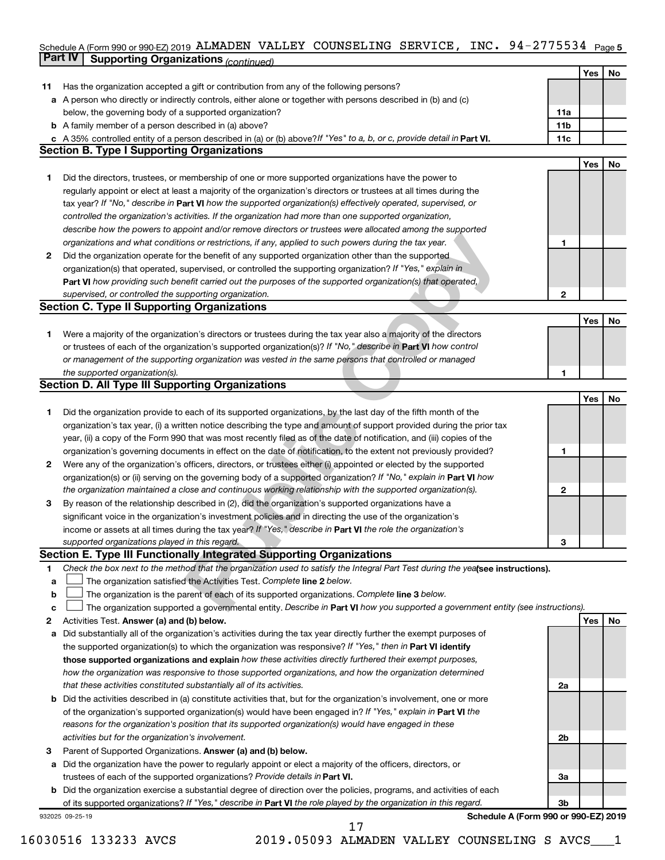## Schedule A (Form 990 or 990-EZ) 2019 ALMADEN VALLEY COUNSELING SERVICE, INC。 94-2775534 Page 5 **Part IV Supporting Organizations** *(continued)* ALMADEN VALLEY COUNSELING SERVICE, INC. 94-2775534

|        | continued of same and recontinued.                                                                                              |     |     |    |
|--------|---------------------------------------------------------------------------------------------------------------------------------|-----|-----|----|
|        |                                                                                                                                 |     | Yes | No |
| 11     | Has the organization accepted a gift or contribution from any of the following persons?                                         |     |     |    |
|        | a A person who directly or indirectly controls, either alone or together with persons described in (b) and (c)                  |     |     |    |
|        | below, the governing body of a supported organization?                                                                          | 11a |     |    |
|        | <b>b</b> A family member of a person described in (a) above?                                                                    | 11b |     |    |
|        | c A 35% controlled entity of a person described in (a) or (b) above? If "Yes" to a, b, or c, provide detail in Part VI.         | 11c |     |    |
|        | <b>Section B. Type I Supporting Organizations</b>                                                                               |     |     |    |
|        |                                                                                                                                 |     | Yes | No |
| 1.     | Did the directors, trustees, or membership of one or more supported organizations have the power to                             |     |     |    |
|        | regularly appoint or elect at least a majority of the organization's directors or trustees at all times during the              |     |     |    |
|        | tax year? If "No," describe in Part VI how the supported organization(s) effectively operated, supervised, or                   |     |     |    |
|        | controlled the organization's activities. If the organization had more than one supported organization,                         |     |     |    |
|        | describe how the powers to appoint and/or remove directors or trustees were allocated among the supported                       |     |     |    |
|        | organizations and what conditions or restrictions, if any, applied to such powers during the tax year.                          | 1   |     |    |
| 2      | Did the organization operate for the benefit of any supported organization other than the supported                             |     |     |    |
|        | organization(s) that operated, supervised, or controlled the supporting organization? If "Yes," explain in                      |     |     |    |
|        | Part VI how providing such benefit carried out the purposes of the supported organization(s) that operated,                     |     |     |    |
|        | supervised, or controlled the supporting organization.                                                                          | 2   |     |    |
|        | <b>Section C. Type II Supporting Organizations</b>                                                                              |     |     |    |
|        |                                                                                                                                 |     | Yes | No |
| 1.     | Were a majority of the organization's directors or trustees during the tax year also a majority of the directors                |     |     |    |
|        | or trustees of each of the organization's supported organization(s)? If "No," describe in Part VI how control                   |     |     |    |
|        | or management of the supporting organization was vested in the same persons that controlled or managed                          |     |     |    |
|        | the supported organization(s).                                                                                                  | 1   |     |    |
|        | <b>Section D. All Type III Supporting Organizations</b>                                                                         |     |     |    |
|        |                                                                                                                                 |     | Yes | No |
| 1      | Did the organization provide to each of its supported organizations, by the last day of the fifth month of the                  |     |     |    |
|        | organization's tax year, (i) a written notice describing the type and amount of support provided during the prior tax           |     |     |    |
|        | year, (ii) a copy of the Form 990 that was most recently filed as of the date of notification, and (iii) copies of the          |     |     |    |
|        | organization's governing documents in effect on the date of notification, to the extent not previously provided?                | 1   |     |    |
| 2      | Were any of the organization's officers, directors, or trustees either (i) appointed or elected by the supported                |     |     |    |
|        | organization(s) or (ii) serving on the governing body of a supported organization? If "No," explain in Part VI how              |     |     |    |
|        | the organization maintained a close and continuous working relationship with the supported organization(s).                     | 2   |     |    |
|        |                                                                                                                                 |     |     |    |
| 3      | By reason of the relationship described in (2), did the organization's supported organizations have a                           |     |     |    |
|        | significant voice in the organization's investment policies and in directing the use of the organization's                      |     |     |    |
|        | income or assets at all times during the tax year? If "Yes," describe in Part VI the role the organization's                    |     |     |    |
|        | supported organizations played in this regard.<br>Section E. Type III Functionally Integrated Supporting Organizations          | 3   |     |    |
| 1      | Check the box next to the method that the organization used to satisfy the Integral Part Test during the yealsee instructions). |     |     |    |
|        | The organization satisfied the Activities Test. Complete line 2 below.                                                          |     |     |    |
| a      | The organization is the parent of each of its supported organizations. Complete line 3 below.                                   |     |     |    |
| b<br>с | The organization supported a governmental entity. Describe in Part VI how you supported a government entity (see instructions). |     |     |    |
| 2      | Activities Test. Answer (a) and (b) below.                                                                                      |     | Yes | No |
|        | Did substantially all of the organization's activities during the tax year directly further the exempt purposes of              |     |     |    |
| а      | the supported organization(s) to which the organization was responsive? If "Yes," then in Part VI identify                      |     |     |    |
|        | those supported organizations and explain how these activities directly furthered their exempt purposes,                        |     |     |    |
|        |                                                                                                                                 |     |     |    |
|        | how the organization was responsive to those supported organizations, and how the organization determined                       |     |     |    |
|        | that these activities constituted substantially all of its activities.                                                          | 2a  |     |    |
| b      | Did the activities described in (a) constitute activities that, but for the organization's involvement, one or more             |     |     |    |
|        | of the organization's supported organization(s) would have been engaged in? If "Yes," explain in Part VI the                    |     |     |    |
|        | reasons for the organization's position that its supported organization(s) would have engaged in these                          |     |     |    |
|        | activities but for the organization's involvement.                                                                              | 2b  |     |    |
| 3      | Parent of Supported Organizations. Answer (a) and (b) below.                                                                    |     |     |    |
| а      | Did the organization have the power to regularly appoint or elect a majority of the officers, directors, or                     |     |     |    |
|        | trustees of each of the supported organizations? Provide details in Part VI.                                                    | За  |     |    |
| b      | Did the organization exercise a substantial degree of direction over the policies, programs, and activities of each             |     |     |    |
|        | of its supported organizations? If "Yes," describe in Part VI the role played by the organization in this regard.               | 3b  |     |    |
|        | Schedule A (Form 990 or 990-EZ) 2019<br>932025 09-25-19                                                                         |     |     |    |

16030516 133233 AVCS 2019.05093 ALMADEN VALLEY COUNSELING S AVCS\_\_\_1 17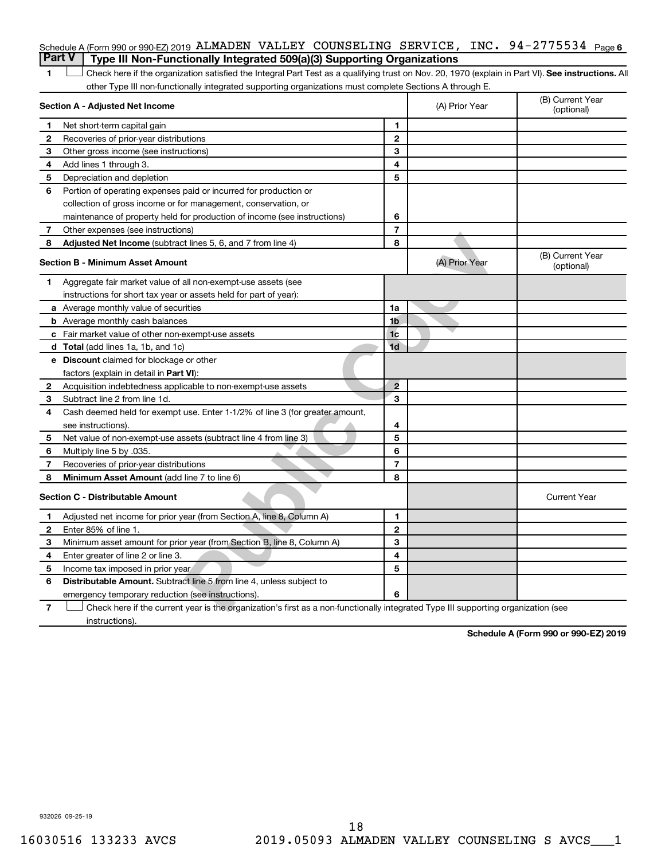# Schedule A (Form 990 or 990-EZ) 2019 ALMADEN VALLEY COUNSELING SERVICE, INC. 94-2775534 <sub>Page 6</sub> **Part V Type III Non-Functionally Integrated 509(a)(3) Supporting Organizations**

| 1              | Check here if the organization satisfied the Integral Part Test as a qualifying trust on Nov. 20, 1970 (explain in Part VI). See instructions. Al<br>other Type III non-functionally integrated supporting organizations must complete Sections A through E. |                |                |                                |
|----------------|--------------------------------------------------------------------------------------------------------------------------------------------------------------------------------------------------------------------------------------------------------------|----------------|----------------|--------------------------------|
|                | Section A - Adjusted Net Income                                                                                                                                                                                                                              |                | (A) Prior Year | (B) Current Year<br>(optional) |
| 1              | Net short-term capital gain                                                                                                                                                                                                                                  | 1              |                |                                |
| 2              | Recoveries of prior-year distributions                                                                                                                                                                                                                       | $\mathbf{2}$   |                |                                |
| 3              | Other gross income (see instructions)                                                                                                                                                                                                                        | 3              |                |                                |
| 4              | Add lines 1 through 3.                                                                                                                                                                                                                                       | 4              |                |                                |
| 5              | Depreciation and depletion                                                                                                                                                                                                                                   | 5              |                |                                |
| 6              | Portion of operating expenses paid or incurred for production or                                                                                                                                                                                             |                |                |                                |
|                | collection of gross income or for management, conservation, or                                                                                                                                                                                               |                |                |                                |
|                | maintenance of property held for production of income (see instructions)                                                                                                                                                                                     | 6              |                |                                |
| 7              | Other expenses (see instructions)                                                                                                                                                                                                                            | $\overline{7}$ |                |                                |
| 8              | Adjusted Net Income (subtract lines 5, 6, and 7 from line 4)                                                                                                                                                                                                 | 8              |                |                                |
|                | <b>Section B - Minimum Asset Amount</b>                                                                                                                                                                                                                      |                | (A) Prior Year | (B) Current Year<br>(optional) |
| 1.             | Aggregate fair market value of all non-exempt-use assets (see                                                                                                                                                                                                |                |                |                                |
|                | instructions for short tax year or assets held for part of year):                                                                                                                                                                                            |                |                |                                |
|                | a Average monthly value of securities                                                                                                                                                                                                                        | 1a             |                |                                |
|                | <b>b</b> Average monthly cash balances                                                                                                                                                                                                                       | 1b             |                |                                |
|                | c Fair market value of other non-exempt-use assets                                                                                                                                                                                                           | 1 <sub>c</sub> |                |                                |
|                | <b>d</b> Total (add lines 1a, 1b, and 1c)                                                                                                                                                                                                                    | 1d             |                |                                |
|                | <b>e</b> Discount claimed for blockage or other                                                                                                                                                                                                              |                |                |                                |
|                | factors (explain in detail in Part VI):                                                                                                                                                                                                                      |                |                |                                |
| 2              | Acquisition indebtedness applicable to non-exempt-use assets                                                                                                                                                                                                 | $\overline{2}$ |                |                                |
| З              | Subtract line 2 from line 1d.                                                                                                                                                                                                                                | 3              |                |                                |
| 4              | Cash deemed held for exempt use. Enter 1-1/2% of line 3 (for greater amount,                                                                                                                                                                                 |                |                |                                |
|                | see instructions).                                                                                                                                                                                                                                           | 4              |                |                                |
| 5              | Net value of non-exempt-use assets (subtract line 4 from line 3)                                                                                                                                                                                             | 5              |                |                                |
| 6              | Multiply line 5 by .035.                                                                                                                                                                                                                                     | 6              |                |                                |
| 7              | Recoveries of prior-year distributions                                                                                                                                                                                                                       | $\overline{7}$ |                |                                |
| 8              | Minimum Asset Amount (add line 7 to line 6)                                                                                                                                                                                                                  | 8              |                |                                |
|                | <b>Section C - Distributable Amount</b>                                                                                                                                                                                                                      |                |                | <b>Current Year</b>            |
| 1              | Adjusted net income for prior year (from Section A, line 8, Column A)                                                                                                                                                                                        | $\mathbf{1}$   |                |                                |
| 2              | Enter 85% of line 1.                                                                                                                                                                                                                                         | $\mathbf{2}$   |                |                                |
| З              | Minimum asset amount for prior year (from Section B, line 8, Column A)                                                                                                                                                                                       | 3              |                |                                |
| 4              | Enter greater of line 2 or line 3.                                                                                                                                                                                                                           | 4              |                |                                |
| 5              | Income tax imposed in prior year                                                                                                                                                                                                                             | 5              |                |                                |
| 6              | Distributable Amount. Subtract line 5 from line 4, unless subject to                                                                                                                                                                                         |                |                |                                |
|                | emergency temporary reduction (see instructions).                                                                                                                                                                                                            | 6              |                |                                |
| $\overline{7}$ | Check here if the current year is the organization's first as a non-functionally integrated Type III supporting organization (see                                                                                                                            |                |                |                                |

instructions).

**Schedule A (Form 990 or 990-EZ) 2019**

932026 09-25-19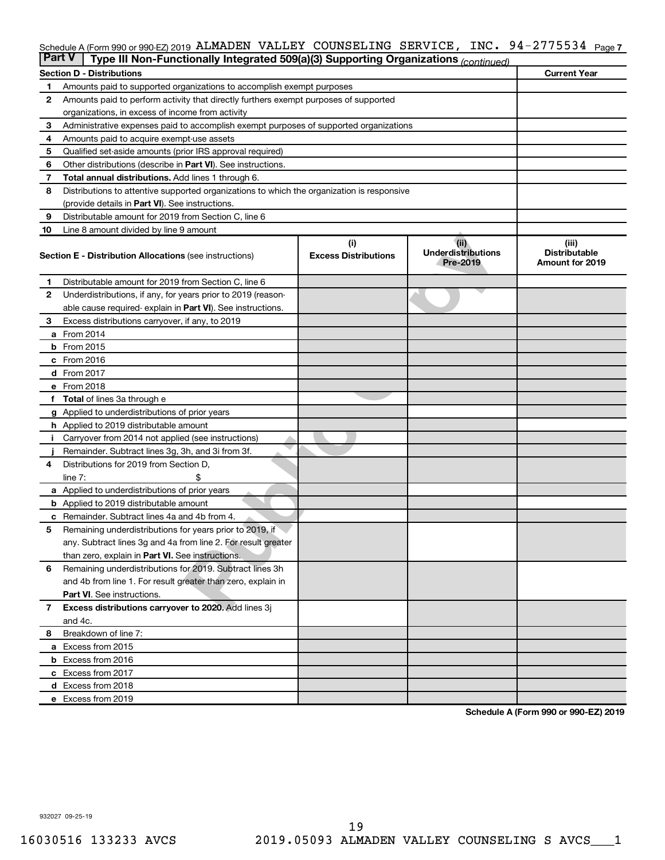### INC. 94-2775534 Page 7 Schedule A (Form 990 or 990-EZ) 2019 ALMADEN VALLEY COUNSELING SERVICE,INC。 94-2775534 Page ALMADEN VALLEY COUNSELING SERVICE, INC. 94-2775534

| <b>Part V</b> | Type III Non-Functionally Integrated 509(a)(3) Supporting Organizations (continued)                                       |                                    |                                               |                                                         |  |  |
|---------------|---------------------------------------------------------------------------------------------------------------------------|------------------------------------|-----------------------------------------------|---------------------------------------------------------|--|--|
|               | <b>Section D - Distributions</b>                                                                                          |                                    |                                               | <b>Current Year</b>                                     |  |  |
| 1             | Amounts paid to supported organizations to accomplish exempt purposes                                                     |                                    |                                               |                                                         |  |  |
| $\mathbf{2}$  | Amounts paid to perform activity that directly furthers exempt purposes of supported                                      |                                    |                                               |                                                         |  |  |
|               | organizations, in excess of income from activity                                                                          |                                    |                                               |                                                         |  |  |
| 3             | Administrative expenses paid to accomplish exempt purposes of supported organizations                                     |                                    |                                               |                                                         |  |  |
| 4             | Amounts paid to acquire exempt-use assets                                                                                 |                                    |                                               |                                                         |  |  |
| 5             | Qualified set-aside amounts (prior IRS approval required)                                                                 |                                    |                                               |                                                         |  |  |
| 6             | Other distributions (describe in <b>Part VI</b> ). See instructions.                                                      |                                    |                                               |                                                         |  |  |
| 7             | Total annual distributions. Add lines 1 through 6.                                                                        |                                    |                                               |                                                         |  |  |
| 8             | Distributions to attentive supported organizations to which the organization is responsive                                |                                    |                                               |                                                         |  |  |
|               | (provide details in Part VI). See instructions.                                                                           |                                    |                                               |                                                         |  |  |
| 9             | Distributable amount for 2019 from Section C, line 6                                                                      |                                    |                                               |                                                         |  |  |
| 10            | Line 8 amount divided by line 9 amount                                                                                    |                                    |                                               |                                                         |  |  |
|               | <b>Section E - Distribution Allocations (see instructions)</b>                                                            | (i)<br><b>Excess Distributions</b> | (ii)<br><b>Underdistributions</b><br>Pre-2019 | (iii)<br><b>Distributable</b><br><b>Amount for 2019</b> |  |  |
| 1             | Distributable amount for 2019 from Section C, line 6                                                                      |                                    |                                               |                                                         |  |  |
| $\mathbf{2}$  | Underdistributions, if any, for years prior to 2019 (reason-                                                              |                                    |                                               |                                                         |  |  |
|               | able cause required- explain in Part VI). See instructions.                                                               |                                    |                                               |                                                         |  |  |
| 3             | Excess distributions carryover, if any, to 2019                                                                           |                                    |                                               |                                                         |  |  |
|               | a From 2014                                                                                                               |                                    |                                               |                                                         |  |  |
|               | <b>b</b> From 2015                                                                                                        |                                    |                                               |                                                         |  |  |
|               | c From 2016                                                                                                               |                                    |                                               |                                                         |  |  |
|               | <b>d</b> From 2017                                                                                                        |                                    |                                               |                                                         |  |  |
|               | e From 2018                                                                                                               |                                    |                                               |                                                         |  |  |
|               | f Total of lines 3a through e                                                                                             |                                    |                                               |                                                         |  |  |
|               | <b>g</b> Applied to underdistributions of prior years                                                                     |                                    |                                               |                                                         |  |  |
|               | h Applied to 2019 distributable amount                                                                                    |                                    |                                               |                                                         |  |  |
| Ť.            | Carryover from 2014 not applied (see instructions)                                                                        |                                    |                                               |                                                         |  |  |
|               | Remainder. Subtract lines 3g, 3h, and 3i from 3f.                                                                         |                                    |                                               |                                                         |  |  |
| 4             | Distributions for 2019 from Section D,                                                                                    |                                    |                                               |                                                         |  |  |
|               | line $7:$                                                                                                                 |                                    |                                               |                                                         |  |  |
|               | a Applied to underdistributions of prior years                                                                            |                                    |                                               |                                                         |  |  |
|               | <b>b</b> Applied to 2019 distributable amount                                                                             |                                    |                                               |                                                         |  |  |
| с             | Remainder. Subtract lines 4a and 4b from 4.                                                                               |                                    |                                               |                                                         |  |  |
| 5             | Remaining underdistributions for years prior to 2019, if<br>any. Subtract lines 3g and 4a from line 2. For result greater |                                    |                                               |                                                         |  |  |
|               | than zero, explain in Part VI. See instructions.                                                                          |                                    |                                               |                                                         |  |  |
| 6             | Remaining underdistributions for 2019. Subtract lines 3h                                                                  |                                    |                                               |                                                         |  |  |
|               | and 4b from line 1. For result greater than zero, explain in                                                              |                                    |                                               |                                                         |  |  |
|               | <b>Part VI.</b> See instructions.                                                                                         |                                    |                                               |                                                         |  |  |
| $\mathbf{7}$  | Excess distributions carryover to 2020. Add lines 3j                                                                      |                                    |                                               |                                                         |  |  |
|               | and 4c.                                                                                                                   |                                    |                                               |                                                         |  |  |
| 8             | Breakdown of line 7:                                                                                                      |                                    |                                               |                                                         |  |  |
|               | a Excess from 2015                                                                                                        |                                    |                                               |                                                         |  |  |
|               | <b>b</b> Excess from 2016                                                                                                 |                                    |                                               |                                                         |  |  |
|               | c Excess from 2017                                                                                                        |                                    |                                               |                                                         |  |  |
|               | d Excess from 2018                                                                                                        |                                    |                                               |                                                         |  |  |
|               | e Excess from 2019                                                                                                        |                                    |                                               |                                                         |  |  |
|               |                                                                                                                           |                                    |                                               |                                                         |  |  |

**Schedule A (Form 990 or 990-EZ) 2019**

932027 09-25-19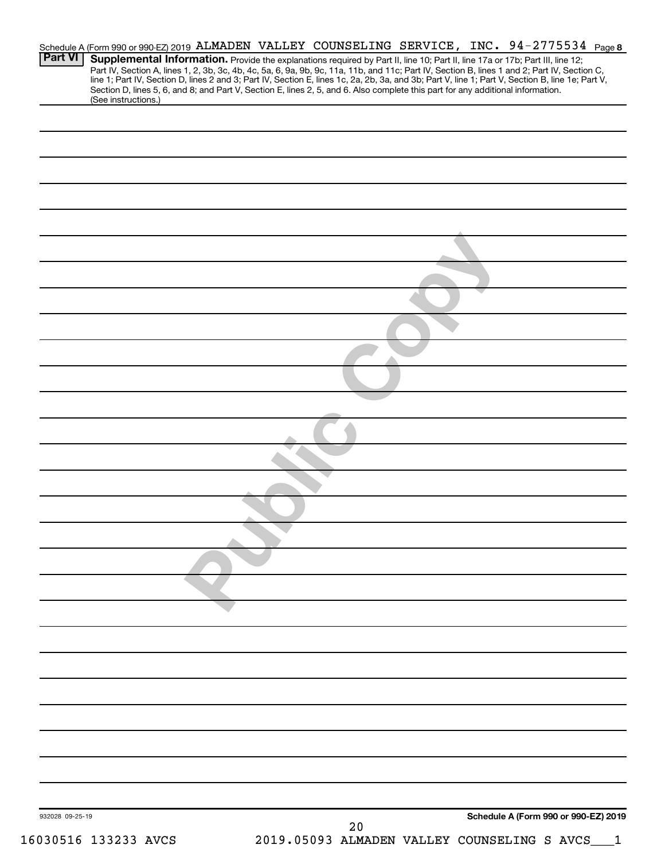|                 |                                                                                                                                                                                                                                                                               |  |    |  | Schedule A (Form 990 or 990-EZ) 2019 ALMADEN VALLEY COUNSELING SERVICE, INC. 94-2775534 Page 8                                                   |
|-----------------|-------------------------------------------------------------------------------------------------------------------------------------------------------------------------------------------------------------------------------------------------------------------------------|--|----|--|--------------------------------------------------------------------------------------------------------------------------------------------------|
| <b>Part VI</b>  | Supplemental Information. Provide the explanations required by Part II, line 10; Part II, line 17a or 17b; Part III, line 12;<br>Part IV, Section A, lines 1, 2, 3b, 3c, 4b, 4c, 5a, 6, 9a, 9b, 9c, 11a, 11b, and 11c; Part IV, Section B, lines 1 and 2; Part IV, Section C, |  |    |  | line 1; Part IV, Section D, lines 2 and 3; Part IV, Section E, lines 1c, 2a, 2b, 3a, and 3b; Part V, line 1; Part V, Section B, line 1e; Part V, |
|                 | Section D, lines 5, 6, and 8; and Part V, Section E, lines 2, 5, and 6. Also complete this part for any additional information.<br>(See instructions.)                                                                                                                        |  |    |  |                                                                                                                                                  |
|                 |                                                                                                                                                                                                                                                                               |  |    |  |                                                                                                                                                  |
|                 |                                                                                                                                                                                                                                                                               |  |    |  |                                                                                                                                                  |
|                 |                                                                                                                                                                                                                                                                               |  |    |  |                                                                                                                                                  |
|                 |                                                                                                                                                                                                                                                                               |  |    |  |                                                                                                                                                  |
|                 |                                                                                                                                                                                                                                                                               |  |    |  |                                                                                                                                                  |
|                 |                                                                                                                                                                                                                                                                               |  |    |  |                                                                                                                                                  |
|                 |                                                                                                                                                                                                                                                                               |  |    |  |                                                                                                                                                  |
|                 |                                                                                                                                                                                                                                                                               |  |    |  |                                                                                                                                                  |
|                 |                                                                                                                                                                                                                                                                               |  |    |  |                                                                                                                                                  |
|                 |                                                                                                                                                                                                                                                                               |  |    |  |                                                                                                                                                  |
|                 |                                                                                                                                                                                                                                                                               |  |    |  |                                                                                                                                                  |
|                 |                                                                                                                                                                                                                                                                               |  |    |  |                                                                                                                                                  |
|                 |                                                                                                                                                                                                                                                                               |  |    |  |                                                                                                                                                  |
|                 |                                                                                                                                                                                                                                                                               |  |    |  |                                                                                                                                                  |
|                 |                                                                                                                                                                                                                                                                               |  |    |  |                                                                                                                                                  |
|                 |                                                                                                                                                                                                                                                                               |  |    |  |                                                                                                                                                  |
|                 |                                                                                                                                                                                                                                                                               |  |    |  |                                                                                                                                                  |
|                 |                                                                                                                                                                                                                                                                               |  |    |  |                                                                                                                                                  |
|                 |                                                                                                                                                                                                                                                                               |  |    |  |                                                                                                                                                  |
|                 |                                                                                                                                                                                                                                                                               |  |    |  |                                                                                                                                                  |
|                 |                                                                                                                                                                                                                                                                               |  |    |  |                                                                                                                                                  |
|                 |                                                                                                                                                                                                                                                                               |  |    |  |                                                                                                                                                  |
|                 |                                                                                                                                                                                                                                                                               |  |    |  |                                                                                                                                                  |
|                 |                                                                                                                                                                                                                                                                               |  |    |  |                                                                                                                                                  |
|                 |                                                                                                                                                                                                                                                                               |  |    |  |                                                                                                                                                  |
|                 |                                                                                                                                                                                                                                                                               |  |    |  |                                                                                                                                                  |
|                 |                                                                                                                                                                                                                                                                               |  |    |  |                                                                                                                                                  |
|                 |                                                                                                                                                                                                                                                                               |  |    |  |                                                                                                                                                  |
|                 |                                                                                                                                                                                                                                                                               |  |    |  |                                                                                                                                                  |
|                 |                                                                                                                                                                                                                                                                               |  |    |  |                                                                                                                                                  |
|                 |                                                                                                                                                                                                                                                                               |  |    |  |                                                                                                                                                  |
|                 |                                                                                                                                                                                                                                                                               |  |    |  |                                                                                                                                                  |
|                 |                                                                                                                                                                                                                                                                               |  |    |  |                                                                                                                                                  |
|                 |                                                                                                                                                                                                                                                                               |  |    |  |                                                                                                                                                  |
|                 |                                                                                                                                                                                                                                                                               |  |    |  |                                                                                                                                                  |
|                 |                                                                                                                                                                                                                                                                               |  |    |  |                                                                                                                                                  |
|                 |                                                                                                                                                                                                                                                                               |  |    |  |                                                                                                                                                  |
|                 |                                                                                                                                                                                                                                                                               |  |    |  |                                                                                                                                                  |
|                 |                                                                                                                                                                                                                                                                               |  |    |  | Schedule A (Form 990 or 990-EZ) 2019                                                                                                             |
| 932028 09-25-19 |                                                                                                                                                                                                                                                                               |  | 20 |  |                                                                                                                                                  |
|                 | 16030516 133233 AVCS                                                                                                                                                                                                                                                          |  |    |  | 2019.05093 ALMADEN VALLEY COUNSELING S AVCS__1                                                                                                   |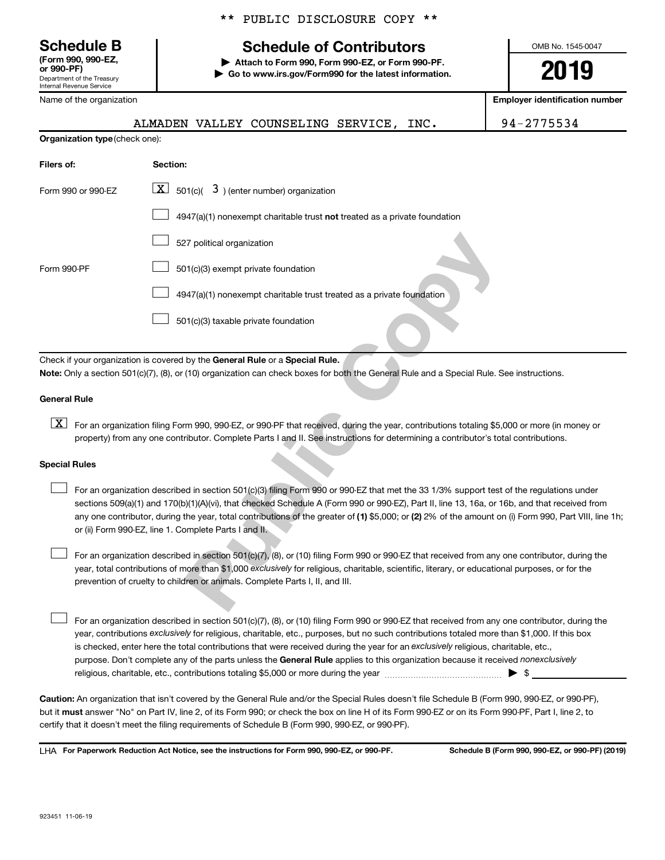**(Form 990, 990-EZ,**

Department of the Treasury Internal Revenue Service Name of the organization \*\* PUBLIC DISCLOSURE COPY \*\*

# **Schedule B Schedule of Contributors**

**or 990-PF) | Attach to Form 990, Form 990-EZ, or Form 990-PF. | Go to www.irs.gov/Form990 for the latest information.** OMB No. 1545-0047

**2019**

**Employer identification number**

|  | ALMADEN VALLEY COUNSELING SERVICE, INC. |  | 94-2775534 |
|--|-----------------------------------------|--|------------|
|  |                                         |  |            |

| Organization type (check one):                                                                                                                                                                                                                                                                                                                                                                                                                                                                       |                                                                                                                                                                                                                           |  |  |  |  |  |
|------------------------------------------------------------------------------------------------------------------------------------------------------------------------------------------------------------------------------------------------------------------------------------------------------------------------------------------------------------------------------------------------------------------------------------------------------------------------------------------------------|---------------------------------------------------------------------------------------------------------------------------------------------------------------------------------------------------------------------------|--|--|--|--|--|
| Filers of:<br>Section:                                                                                                                                                                                                                                                                                                                                                                                                                                                                               |                                                                                                                                                                                                                           |  |  |  |  |  |
| Form 990 or 990-EZ                                                                                                                                                                                                                                                                                                                                                                                                                                                                                   | $\boxed{\mathbf{X}}$ 501(c)(<br>$3$ ) (enter number) organization                                                                                                                                                         |  |  |  |  |  |
|                                                                                                                                                                                                                                                                                                                                                                                                                                                                                                      | 4947(a)(1) nonexempt charitable trust not treated as a private foundation                                                                                                                                                 |  |  |  |  |  |
|                                                                                                                                                                                                                                                                                                                                                                                                                                                                                                      | 527 political organization                                                                                                                                                                                                |  |  |  |  |  |
| Form 990-PF                                                                                                                                                                                                                                                                                                                                                                                                                                                                                          | 501(c)(3) exempt private foundation                                                                                                                                                                                       |  |  |  |  |  |
|                                                                                                                                                                                                                                                                                                                                                                                                                                                                                                      | 4947(a)(1) nonexempt charitable trust treated as a private foundation                                                                                                                                                     |  |  |  |  |  |
|                                                                                                                                                                                                                                                                                                                                                                                                                                                                                                      | 501(c)(3) taxable private foundation                                                                                                                                                                                      |  |  |  |  |  |
| <b>General Rule</b>                                                                                                                                                                                                                                                                                                                                                                                                                                                                                  | Check if your organization is covered by the General Rule or a Special Rule.<br>Note: Only a section 501(c)(7), (8), or (10) organization can check boxes for both the General Rule and a Special Rule. See instructions. |  |  |  |  |  |
| $\boxed{\text{X}}$                                                                                                                                                                                                                                                                                                                                                                                                                                                                                   | For an organization filing Form 990, 990-EZ, or 990-PF that received, during the year, contributions totaling \$5,000 or more (in money or                                                                                |  |  |  |  |  |
|                                                                                                                                                                                                                                                                                                                                                                                                                                                                                                      | property) from any one contributor. Complete Parts I and II. See instructions for determining a contributor's total contributions.                                                                                        |  |  |  |  |  |
| <b>Special Rules</b>                                                                                                                                                                                                                                                                                                                                                                                                                                                                                 |                                                                                                                                                                                                                           |  |  |  |  |  |
| For an organization described in section 501(c)(3) filing Form 990 or 990-EZ that met the 33 1/3% support test of the regulations under<br>sections 509(a)(1) and 170(b)(1)(A)(vi), that checked Schedule A (Form 990 or 990-EZ), Part II, line 13, 16a, or 16b, and that received fron<br>any one contributor, during the year, total contributions of the greater of (1) \$5,000; or (2) 2% of the amount on (i) Form 990, Part VIII, lin<br>or (ii) Form 990-EZ, line 1. Complete Parts I and II. |                                                                                                                                                                                                                           |  |  |  |  |  |
| For an organization described in section 501(c)(7), (8), or (10) filing Form 990 or 990-EZ that received from any one contributor, during the<br>year, total contributions of more than \$1,000 exclusively for religious, charitable, scientific, literary, or educational purposes, or for the                                                                                                                                                                                                     |                                                                                                                                                                                                                           |  |  |  |  |  |
| prevention of cruelty to children or animals. Complete Parts I, II, and III.                                                                                                                                                                                                                                                                                                                                                                                                                         |                                                                                                                                                                                                                           |  |  |  |  |  |

# **General Rule**

# **Special Rules**  $\begin{array}{c} \n\boxed{\textbf{X}}\n\end{array}$

purpose. Don't complete any of the parts unless the General Rule applies to this organization because it received nonexclusively year, contributions exclusively for religious, charitable, etc., purposes, but no such contributions totaled more than \$1,000. If this box is checked, enter here the total contributions that were received during the year for an exclusively religious, charitable, etc., For an organization described in section 501(c)(7), (8), or (10) filing Form 990 or 990-EZ that received from any one contributor, during the religious, charitable, etc., contributions totaling \$5,000 or more during the year  $~$   $\rm{~~}~~$   $\rm{~~}~~$   $\rm{~~}~~$   $\rm{~~}~~$   $\rm{~~}~~$ 

**Caution:**  An organization that isn't covered by the General Rule and/or the Special Rules doesn't file Schedule B (Form 990, 990-EZ, or 990-PF),  **must** but it answer "No" on Part IV, line 2, of its Form 990; or check the box on line H of its Form 990-EZ or on its Form 990-PF, Part I, line 2, to certify that it doesn't meet the filing requirements of Schedule B (Form 990, 990-EZ, or 990-PF).

**For Paperwork Reduction Act Notice, see the instructions for Form 990, 990-EZ, or 990-PF. Schedule B (Form 990, 990-EZ, or 990-PF) (2019)** LHA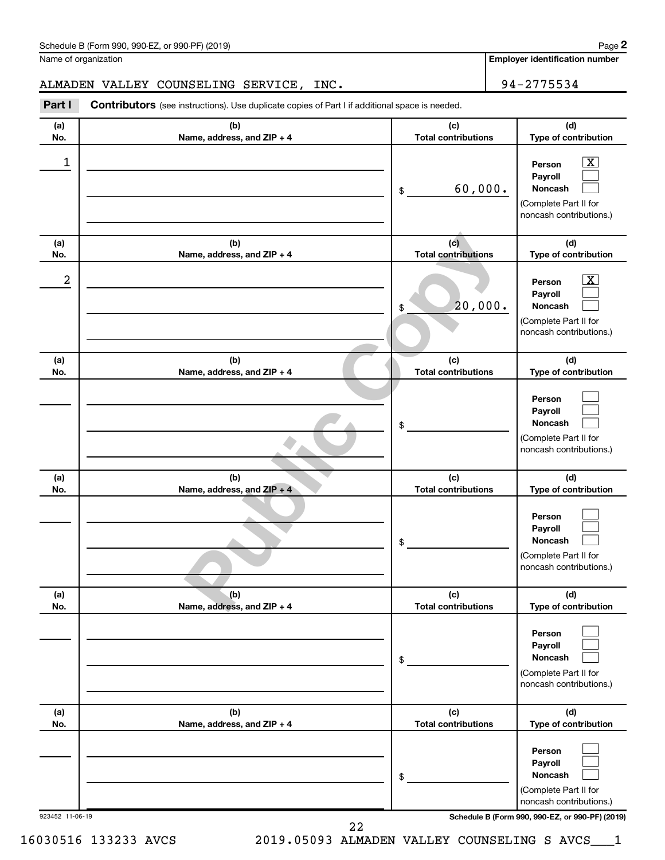| Schedule B (Form 990, 990-EZ, or 990-PF) (2019)<br>$\sqrt{2}$ and $\sqrt{2}$ and $\sqrt{2}$ and $\sqrt{2}$ and $\sqrt{2}$ and $\sqrt{2}$ and $\sqrt{2}$ and $\sqrt{2}$ and $\sqrt{2}$ and $\sqrt{2}$ and $\sqrt{2}$ and $\sqrt{2}$ and $\sqrt{2}$ and $\sqrt{2}$ and $\sqrt{2}$ and $\sqrt{2}$ and $\sqrt{2}$ and $\sqrt{2}$ and $\sqrt{2$ | Page |
|--------------------------------------------------------------------------------------------------------------------------------------------------------------------------------------------------------------------------------------------------------------------------------------------------------------------------------------------|------|
|--------------------------------------------------------------------------------------------------------------------------------------------------------------------------------------------------------------------------------------------------------------------------------------------------------------------------------------------|------|

Name of organization

**Employer identification number**

**2**

# ALMADEN VALLEY COUNSELING SERVICE, INC. 94-2775534

**Part I** Contributors (see instructions). Use duplicate copies of Part I if additional space is needed.

| (a)             | (b)                                 | (c)                               | (d)                                                                                                                                 |
|-----------------|-------------------------------------|-----------------------------------|-------------------------------------------------------------------------------------------------------------------------------------|
| No.             | Name, address, and ZIP + 4          | <b>Total contributions</b>        | Type of contribution                                                                                                                |
| 1               |                                     | 60,000.<br>\$                     | $\overline{\textbf{x}}$<br>Person<br>Payroll<br>Noncash<br>(Complete Part II for<br>noncash contributions.)                         |
| (a)<br>No.      | (b)<br>Name, address, and ZIP + 4   | (c)<br><b>Total contributions</b> | (d)<br>Type of contribution                                                                                                         |
| 2               |                                     | 20,000.<br>\$                     | $\overline{\text{X}}$<br>Person<br>Payroll<br><b>Noncash</b><br>(Complete Part II for<br>noncash contributions.)                    |
| (a)<br>No.      | (b)<br>Name, address, and ZIP + 4   | (c)<br><b>Total contributions</b> | (d)<br>Type of contribution                                                                                                         |
|                 |                                     | \$                                | Person<br>Payroll<br><b>Noncash</b><br>(Complete Part II for<br>noncash contributions.)                                             |
| (a)<br>No.      | (b)<br>Name, address, and ZIP + 4   | (c)<br><b>Total contributions</b> | (d)<br>Type of contribution                                                                                                         |
|                 |                                     | \$                                | Person<br>Payroll<br><b>Noncash</b><br>(Complete Part II for<br>noncash contributions.)                                             |
| (a)<br>No.      | (b)<br>Name, address, and $ZIP + 4$ | (c)<br><b>Total contributions</b> | (d)<br><b>Type of contribution</b>                                                                                                  |
|                 |                                     | \$                                | Person<br>Payroll<br>Noncash<br>(Complete Part II for<br>noncash contributions.)                                                    |
| (a)<br>No.      | (b)<br>Name, address, and ZIP + 4   | (c)<br><b>Total contributions</b> | (d)<br>Type of contribution                                                                                                         |
| 923452 11-06-19 |                                     | \$                                | Person<br>Payroll<br>Noncash<br>(Complete Part II for<br>noncash contributions.)<br>Schedule B (Form 990, 990-EZ, or 990-PF) (2019) |
|                 | 22                                  |                                   |                                                                                                                                     |

16030516 133233 AVCS 2019.05093 ALMADEN VALLEY COUNSELING S AVCS\_\_\_1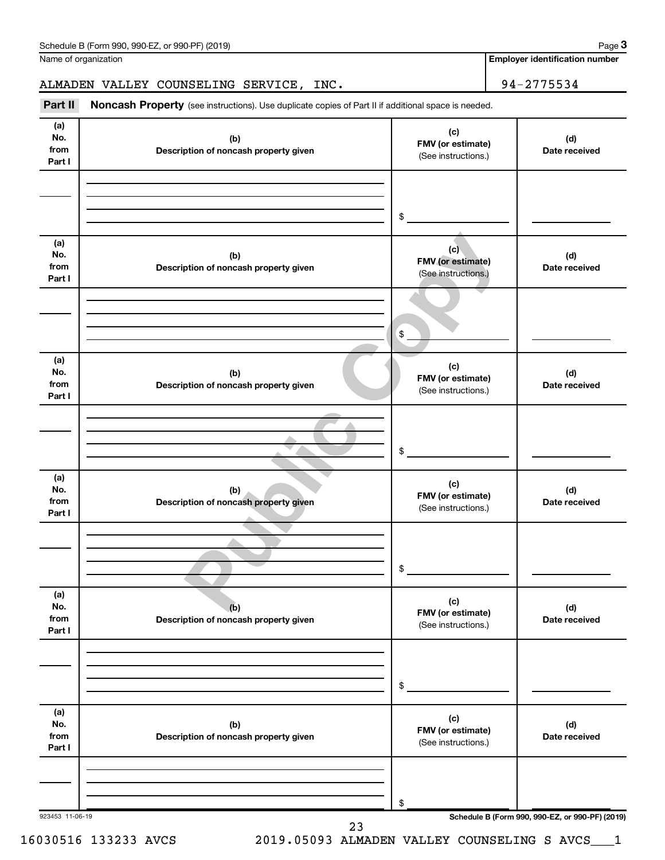| (a)<br>No.<br>from<br>Part I | (b)<br>Description of noncash property given | (c)<br>FMV (or estimate)<br>(See instructions.) | (d)<br>Date received |
|------------------------------|----------------------------------------------|-------------------------------------------------|----------------------|
|                              |                                              | \$                                              |                      |
| (a)<br>No.<br>from<br>Part I | (b)<br>Description of noncash property given | (c)<br>FMV (or estimate)<br>(See instructions.) | (d)<br>Date received |
|                              |                                              | \$                                              |                      |
| (a)<br>No.<br>from<br>Part I | (b)<br>Description of noncash property given | (c)<br>FMV (or estimate)<br>(See instructions.) | (d)<br>Date received |
|                              |                                              | \$                                              |                      |
| (a)<br>No.<br>from<br>Part I | (b)<br>Description of noncash property given | (c)<br>FMV (or estimate)<br>(See instructions.) | (d)<br>Date received |
|                              |                                              | \$                                              |                      |
| (a)<br>No.<br>from<br>Part I | (b)<br>Description of noncash property given | (c)<br>FMV (or estimate)<br>(See instructions.) | (d)<br>Date received |
|                              |                                              | \$                                              |                      |
| (a)<br>No.<br>from<br>Part I | (b)<br>Description of noncash property given | (c)<br>FMV (or estimate)<br>(See instructions.) | (d)<br>Date received |
|                              |                                              |                                                 |                      |

Name of organization

**Employer identification number**

**3**

# ALMADEN VALLEY COUNSELING SERVICE, INC. 94-2775534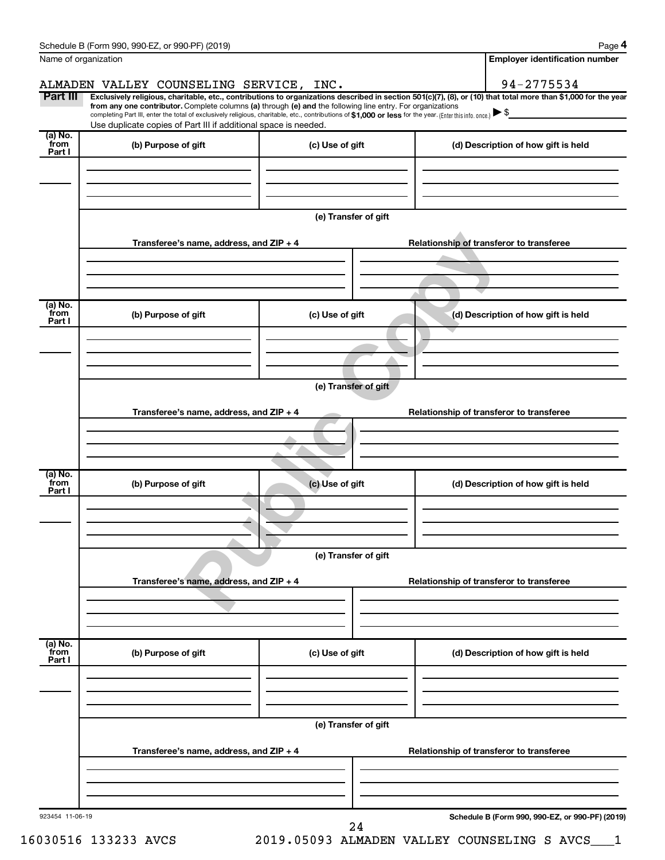|                   | Schedule B (Form 990, 990-EZ, or 990-PF) (2019)                                                                                                                                                                             |                      | Page 4                                                                                                                                                         |  |  |  |  |
|-------------------|-----------------------------------------------------------------------------------------------------------------------------------------------------------------------------------------------------------------------------|----------------------|----------------------------------------------------------------------------------------------------------------------------------------------------------------|--|--|--|--|
|                   | Name of organization                                                                                                                                                                                                        |                      | <b>Employer identification number</b>                                                                                                                          |  |  |  |  |
|                   | ALMADEN VALLEY COUNSELING SERVICE, INC.                                                                                                                                                                                     |                      | 94-2775534                                                                                                                                                     |  |  |  |  |
| Part III          | from any one contributor. Complete columns (a) through (e) and the following line entry. For organizations                                                                                                                  |                      | Exclusively religious, charitable, etc., contributions to organizations described in section 501(c)(7), (8), or (10) that total more than \$1,000 for the year |  |  |  |  |
|                   | completing Part III, enter the total of exclusively religious, charitable, etc., contributions of \$1,000 or less for the year. (Enter this info. once.)<br>Use duplicate copies of Part III if additional space is needed. |                      |                                                                                                                                                                |  |  |  |  |
| (a) No.           |                                                                                                                                                                                                                             |                      |                                                                                                                                                                |  |  |  |  |
| from<br>Part I    | (b) Purpose of gift                                                                                                                                                                                                         | (c) Use of gift      | (d) Description of how gift is held                                                                                                                            |  |  |  |  |
|                   |                                                                                                                                                                                                                             |                      |                                                                                                                                                                |  |  |  |  |
|                   |                                                                                                                                                                                                                             |                      |                                                                                                                                                                |  |  |  |  |
|                   |                                                                                                                                                                                                                             |                      |                                                                                                                                                                |  |  |  |  |
|                   |                                                                                                                                                                                                                             | (e) Transfer of gift |                                                                                                                                                                |  |  |  |  |
|                   | Transferee's name, address, and ZIP + 4                                                                                                                                                                                     |                      | Relationship of transferor to transferee                                                                                                                       |  |  |  |  |
|                   |                                                                                                                                                                                                                             |                      |                                                                                                                                                                |  |  |  |  |
|                   |                                                                                                                                                                                                                             |                      |                                                                                                                                                                |  |  |  |  |
|                   |                                                                                                                                                                                                                             |                      |                                                                                                                                                                |  |  |  |  |
| (a) No.<br>`from  |                                                                                                                                                                                                                             |                      |                                                                                                                                                                |  |  |  |  |
| Part I            | (b) Purpose of gift                                                                                                                                                                                                         | (c) Use of gift      | (d) Description of how gift is held                                                                                                                            |  |  |  |  |
|                   |                                                                                                                                                                                                                             |                      |                                                                                                                                                                |  |  |  |  |
|                   |                                                                                                                                                                                                                             |                      |                                                                                                                                                                |  |  |  |  |
|                   |                                                                                                                                                                                                                             |                      |                                                                                                                                                                |  |  |  |  |
|                   | (e) Transfer of gift                                                                                                                                                                                                        |                      |                                                                                                                                                                |  |  |  |  |
|                   | Transferee's name, address, and ZIP + 4<br>Relationship of transferor to transferee                                                                                                                                         |                      |                                                                                                                                                                |  |  |  |  |
|                   |                                                                                                                                                                                                                             |                      |                                                                                                                                                                |  |  |  |  |
|                   |                                                                                                                                                                                                                             |                      |                                                                                                                                                                |  |  |  |  |
|                   |                                                                                                                                                                                                                             |                      |                                                                                                                                                                |  |  |  |  |
| $(a)$ No.<br>from | (b) Purpose of gift                                                                                                                                                                                                         | (c) Use of gift      | (d) Description of how gift is held                                                                                                                            |  |  |  |  |
| Part I            |                                                                                                                                                                                                                             |                      |                                                                                                                                                                |  |  |  |  |
|                   |                                                                                                                                                                                                                             |                      |                                                                                                                                                                |  |  |  |  |
|                   |                                                                                                                                                                                                                             |                      |                                                                                                                                                                |  |  |  |  |
|                   | (e) Transfer of gift                                                                                                                                                                                                        |                      |                                                                                                                                                                |  |  |  |  |
|                   |                                                                                                                                                                                                                             |                      |                                                                                                                                                                |  |  |  |  |
|                   | Transferee's name, address, and ZIP + 4                                                                                                                                                                                     |                      | Relationship of transferor to transferee                                                                                                                       |  |  |  |  |
|                   |                                                                                                                                                                                                                             |                      |                                                                                                                                                                |  |  |  |  |
|                   |                                                                                                                                                                                                                             |                      |                                                                                                                                                                |  |  |  |  |
| (a) No.<br>from   |                                                                                                                                                                                                                             |                      |                                                                                                                                                                |  |  |  |  |
| Part I            | (b) Purpose of gift                                                                                                                                                                                                         | (c) Use of gift      | (d) Description of how gift is held                                                                                                                            |  |  |  |  |
|                   |                                                                                                                                                                                                                             |                      |                                                                                                                                                                |  |  |  |  |
|                   |                                                                                                                                                                                                                             |                      |                                                                                                                                                                |  |  |  |  |
|                   |                                                                                                                                                                                                                             |                      |                                                                                                                                                                |  |  |  |  |
|                   | (e) Transfer of gift                                                                                                                                                                                                        |                      |                                                                                                                                                                |  |  |  |  |
|                   | Transferee's name, address, and ZIP + 4<br>Relationship of transferor to transferee                                                                                                                                         |                      |                                                                                                                                                                |  |  |  |  |
|                   |                                                                                                                                                                                                                             |                      |                                                                                                                                                                |  |  |  |  |
|                   |                                                                                                                                                                                                                             |                      |                                                                                                                                                                |  |  |  |  |
|                   |                                                                                                                                                                                                                             |                      |                                                                                                                                                                |  |  |  |  |
| 923454 11-06-19   |                                                                                                                                                                                                                             |                      | Schedule B (Form 990, 990-EZ, or 990-PF) (2019)                                                                                                                |  |  |  |  |
|                   |                                                                                                                                                                                                                             | 24                   |                                                                                                                                                                |  |  |  |  |

16030516 133233 AVCS 2019.05093 ALMADEN VALLEY COUNSELING S AVCS\_\_\_1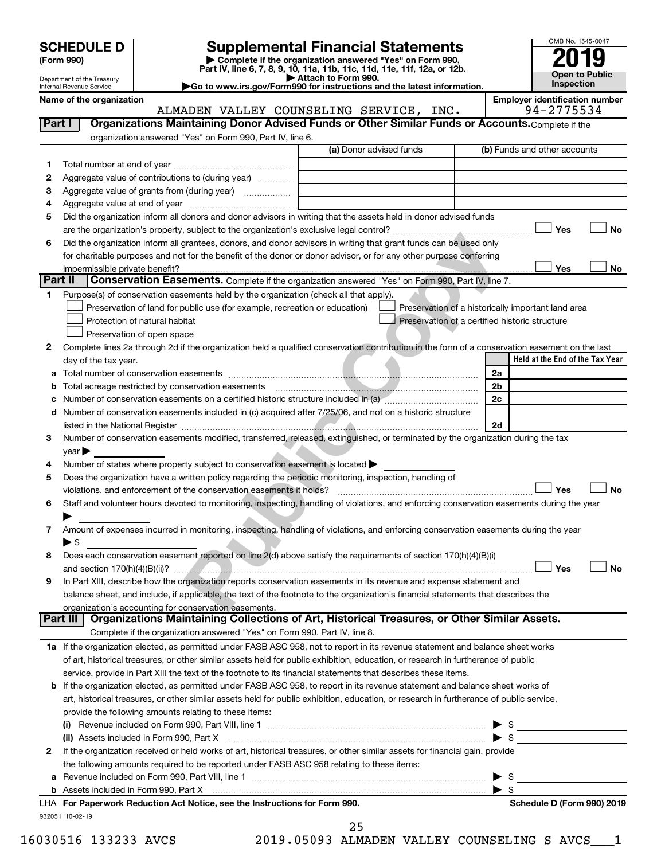| (Form 990) |  |
|------------|--|
|------------|--|

# **SCHEDULE D Supplemental Financial Statements**<br> **Form 990 2019**<br> **Part IV** line 6.7.8.9.10, 11a, 11b, 11d, 11d, 11d, 11d, 11d, 12a, 0r, 12b

**(Form 990) | Complete if the organization answered "Yes" on Form 990, Part IV, line 6, 7, 8, 9, 10, 11a, 11b, 11c, 11d, 11e, 11f, 12a, or 12b.**

**| Attach to Form 990. |Go to www.irs.gov/Form990 for instructions and the latest information.**



Department of the Treasury Internal Revenue Service

Name of the organization<br>**ALMADEN VALLEY COUNSELING SERVICE, INC.** 94-2775534 ALMADEN VALLEY COUNSELING SERVICE, INC.

|             |                                                                                                                                                                                                                                                                          | (a) Donor advised funds | (b) Funds and other accounts                          |
|-------------|--------------------------------------------------------------------------------------------------------------------------------------------------------------------------------------------------------------------------------------------------------------------------|-------------------------|-------------------------------------------------------|
| 1           |                                                                                                                                                                                                                                                                          |                         |                                                       |
| 2           | Aggregate value of contributions to (during year)                                                                                                                                                                                                                        |                         |                                                       |
| З           |                                                                                                                                                                                                                                                                          |                         |                                                       |
| 4           |                                                                                                                                                                                                                                                                          |                         |                                                       |
| 5           | Did the organization inform all donors and donor advisors in writing that the assets held in donor advised funds                                                                                                                                                         |                         |                                                       |
|             |                                                                                                                                                                                                                                                                          |                         | Yes                                                   |
| 6           | Did the organization inform all grantees, donors, and donor advisors in writing that grant funds can be used only                                                                                                                                                        |                         |                                                       |
|             | for charitable purposes and not for the benefit of the donor or donor advisor, or for any other purpose conferring                                                                                                                                                       |                         |                                                       |
|             |                                                                                                                                                                                                                                                                          |                         | Yes                                                   |
| Part II     | Conservation Easements. Complete if the organization answered "Yes" on Form 990, Part IV, line 7.                                                                                                                                                                        |                         |                                                       |
| 1.          | Purpose(s) of conservation easements held by the organization (check all that apply).                                                                                                                                                                                    |                         |                                                       |
|             | Preservation of land for public use (for example, recreation or education)                                                                                                                                                                                               |                         | Preservation of a historically important land area    |
|             | Protection of natural habitat                                                                                                                                                                                                                                            |                         | Preservation of a certified historic structure        |
|             | Preservation of open space                                                                                                                                                                                                                                               |                         |                                                       |
| 2           | Complete lines 2a through 2d if the organization held a qualified conservation contribution in the form of a conservation easement on the last                                                                                                                           |                         |                                                       |
|             | day of the tax year.                                                                                                                                                                                                                                                     |                         | Held at the End of the Tax Year                       |
| а           |                                                                                                                                                                                                                                                                          |                         | 2a                                                    |
|             |                                                                                                                                                                                                                                                                          |                         | 2 <sub>b</sub>                                        |
|             | Number of conservation easements on a certified historic structure included in (a) manufacture in the structure included in (a)                                                                                                                                          |                         | 2c                                                    |
| d           | Number of conservation easements included in (c) acquired after 7/25/06, and not on a historic structure                                                                                                                                                                 |                         |                                                       |
|             |                                                                                                                                                                                                                                                                          |                         | 2d                                                    |
| 3           | Number of conservation easements modified, transferred, released, extinguished, or terminated by the organization during the tax                                                                                                                                         |                         |                                                       |
|             | $year \blacktriangleright$                                                                                                                                                                                                                                               |                         |                                                       |
| 4           | Number of states where property subject to conservation easement is located >                                                                                                                                                                                            |                         |                                                       |
| 5           | Does the organization have a written policy regarding the periodic monitoring, inspection, handling of                                                                                                                                                                   |                         |                                                       |
|             | violations, and enforcement of the conservation easements it holds?                                                                                                                                                                                                      |                         | Yes                                                   |
| 6           | Staff and volunteer hours devoted to monitoring, inspecting, handling of violations, and enforcing conservation easements during the year                                                                                                                                |                         |                                                       |
|             |                                                                                                                                                                                                                                                                          |                         |                                                       |
|             |                                                                                                                                                                                                                                                                          |                         |                                                       |
|             | Amount of expenses incurred in monitoring, inspecting, handling of violations, and enforcing conservation easements during the year                                                                                                                                      |                         |                                                       |
|             | $\blacktriangleright$ \$                                                                                                                                                                                                                                                 |                         |                                                       |
|             | Does each conservation easement reported on line 2(d) above satisfy the requirements of section 170(h)(4)(B)(i)                                                                                                                                                          |                         |                                                       |
|             |                                                                                                                                                                                                                                                                          |                         | Yes                                                   |
|             | In Part XIII, describe how the organization reports conservation easements in its revenue and expense statement and                                                                                                                                                      |                         |                                                       |
|             | balance sheet, and include, if applicable, the text of the footnote to the organization's financial statements that describes the                                                                                                                                        |                         |                                                       |
|             |                                                                                                                                                                                                                                                                          |                         |                                                       |
| 7<br>8<br>9 | organization's accounting for conservation easements.<br>Organizations Maintaining Collections of Art, Historical Treasures, or Other Similar Assets.<br>Part III                                                                                                        |                         |                                                       |
|             | Complete if the organization answered "Yes" on Form 990, Part IV, line 8.                                                                                                                                                                                                |                         |                                                       |
|             | 1a If the organization elected, as permitted under FASB ASC 958, not to report in its revenue statement and balance sheet works                                                                                                                                          |                         |                                                       |
|             | of art, historical treasures, or other similar assets held for public exhibition, education, or research in furtherance of public                                                                                                                                        |                         |                                                       |
|             |                                                                                                                                                                                                                                                                          |                         |                                                       |
|             | service, provide in Part XIII the text of the footnote to its financial statements that describes these items.                                                                                                                                                           |                         |                                                       |
|             | b If the organization elected, as permitted under FASB ASC 958, to report in its revenue statement and balance sheet works of<br>art, historical treasures, or other similar assets held for public exhibition, education, or research in furtherance of public service, |                         |                                                       |
|             | provide the following amounts relating to these items:                                                                                                                                                                                                                   |                         |                                                       |
|             |                                                                                                                                                                                                                                                                          |                         |                                                       |
|             |                                                                                                                                                                                                                                                                          |                         |                                                       |
|             | (ii) Assets included in Form 990, Part X                                                                                                                                                                                                                                 |                         | $\blacktriangleright$ \$                              |
|             | If the organization received or held works of art, historical treasures, or other similar assets for financial gain, provide                                                                                                                                             |                         |                                                       |
|             | the following amounts required to be reported under FASB ASC 958 relating to these items:                                                                                                                                                                                |                         |                                                       |
| а           |                                                                                                                                                                                                                                                                          |                         | - \$                                                  |
| 2           | LHA For Paperwork Reduction Act Notice, see the Instructions for Form 990.                                                                                                                                                                                               |                         | $\blacktriangleright$ s<br>Schedule D (Form 990) 2019 |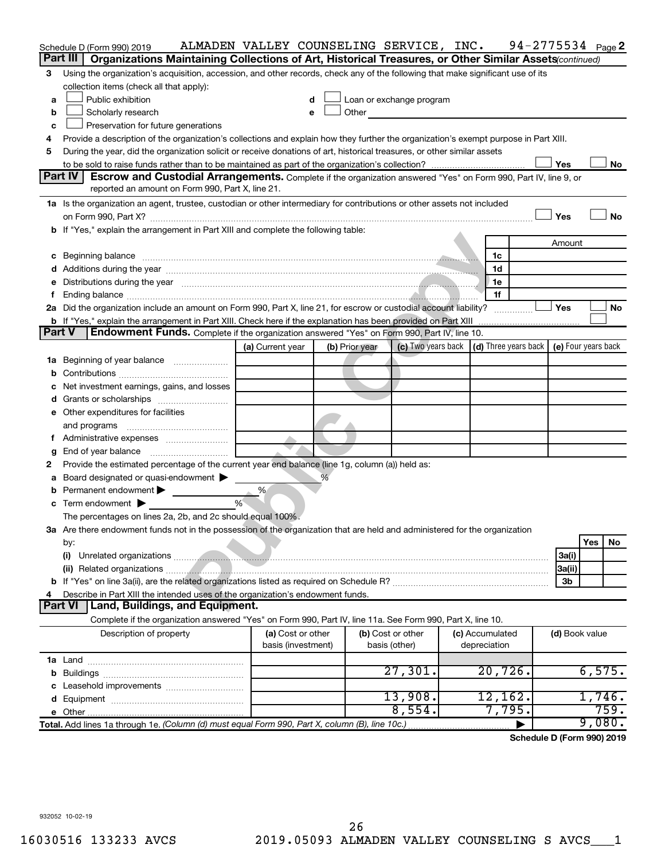|    | Schedule D (Form 990) 2019                                                                                                                                                                                                     | ALMADEN VALLEY COUNSELING SERVICE, INC. |   |                |                    |  |                      |                | $94 - 2775534$ Page 2      |
|----|--------------------------------------------------------------------------------------------------------------------------------------------------------------------------------------------------------------------------------|-----------------------------------------|---|----------------|--------------------|--|----------------------|----------------|----------------------------|
|    | Organizations Maintaining Collections of Art, Historical Treasures, or Other Similar Assets(continued)<br>Part III                                                                                                             |                                         |   |                |                    |  |                      |                |                            |
| 3  | Using the organization's acquisition, accession, and other records, check any of the following that make significant use of its                                                                                                |                                         |   |                |                    |  |                      |                |                            |
|    | collection items (check all that apply):                                                                                                                                                                                       |                                         |   |                |                    |  |                      |                |                            |
| a  | Public exhibition<br>Loan or exchange program<br>d                                                                                                                                                                             |                                         |   |                |                    |  |                      |                |                            |
| b  | Scholarly research                                                                                                                                                                                                             |                                         | e | Other          |                    |  |                      |                |                            |
| c  | Preservation for future generations                                                                                                                                                                                            |                                         |   |                |                    |  |                      |                |                            |
| 4  | Provide a description of the organization's collections and explain how they further the organization's exempt purpose in Part XIII.                                                                                           |                                         |   |                |                    |  |                      |                |                            |
| 5  | During the year, did the organization solicit or receive donations of art, historical treasures, or other similar assets                                                                                                       |                                         |   |                |                    |  |                      |                |                            |
|    |                                                                                                                                                                                                                                |                                         |   |                |                    |  |                      | Yes            | No                         |
|    | <b>Part IV</b><br>Escrow and Custodial Arrangements. Complete if the organization answered "Yes" on Form 990, Part IV, line 9, or                                                                                              |                                         |   |                |                    |  |                      |                |                            |
|    | reported an amount on Form 990, Part X, line 21.                                                                                                                                                                               |                                         |   |                |                    |  |                      |                |                            |
|    | 1a Is the organization an agent, trustee, custodian or other intermediary for contributions or other assets not included                                                                                                       |                                         |   |                |                    |  |                      |                |                            |
|    |                                                                                                                                                                                                                                |                                         |   |                |                    |  |                      | Yes            | No                         |
|    | b If "Yes," explain the arrangement in Part XIII and complete the following table:                                                                                                                                             |                                         |   |                |                    |  |                      |                |                            |
|    |                                                                                                                                                                                                                                |                                         |   |                |                    |  |                      | Amount         |                            |
| c  | Beginning balance measurements and the contract of the contract of the contract of the contract of the contract of the contract of the contract of the contract of the contract of the contract of the contract of the contrac |                                         |   |                |                    |  | 1c                   |                |                            |
|    | Additions during the year manufactured and an account of the year and year and year and year and year and year                                                                                                                 |                                         |   |                |                    |  | 1d                   |                |                            |
| е  | Distributions during the year measurement contains and the state of the state of the state of the state of the                                                                                                                 |                                         |   |                |                    |  | 1e                   |                |                            |
|    |                                                                                                                                                                                                                                |                                         |   |                |                    |  | 1f                   |                |                            |
|    | 2a Did the organization include an amount on Form 990, Part X, line 21, for escrow or custodial account liability?                                                                                                             |                                         |   |                |                    |  |                      | <b>Yes</b>     | No                         |
|    | <b>b</b> If "Yes," explain the arrangement in Part XIII. Check here if the explanation has been provided on Part XIII                                                                                                          |                                         |   |                |                    |  |                      |                |                            |
|    | Endowment Funds. Complete if the organization answered "Yes" on Form 990, Part IV, line 10.<br><b>Part V</b>                                                                                                                   |                                         |   |                |                    |  |                      |                |                            |
|    |                                                                                                                                                                                                                                | (a) Current year                        |   | (b) Prior year | (c) Two years back |  | (d) Three years back |                | (e) Four years back        |
| 1a | Beginning of year balance                                                                                                                                                                                                      |                                         |   |                |                    |  |                      |                |                            |
|    |                                                                                                                                                                                                                                |                                         |   |                |                    |  |                      |                |                            |
|    | Net investment earnings, gains, and losses                                                                                                                                                                                     |                                         |   |                |                    |  |                      |                |                            |
|    |                                                                                                                                                                                                                                |                                         |   |                |                    |  |                      |                |                            |
|    | e Other expenditures for facilities                                                                                                                                                                                            |                                         |   |                |                    |  |                      |                |                            |
|    | and programs                                                                                                                                                                                                                   |                                         |   |                |                    |  |                      |                |                            |
|    |                                                                                                                                                                                                                                |                                         |   |                |                    |  |                      |                |                            |
|    | End of year balance                                                                                                                                                                                                            |                                         |   |                |                    |  |                      |                |                            |
| 2  | Provide the estimated percentage of the current year end balance (line 1g, column (a)) held as:                                                                                                                                |                                         |   |                |                    |  |                      |                |                            |
|    | Board designated or quasi-endowment                                                                                                                                                                                            |                                         |   |                |                    |  |                      |                |                            |
|    | Permanent endowment                                                                                                                                                                                                            | %                                       |   |                |                    |  |                      |                |                            |
| c  | Term endowment $\blacktriangleright$                                                                                                                                                                                           | %                                       |   |                |                    |  |                      |                |                            |
|    | The percentages on lines 2a, 2b, and 2c should equal 100%.                                                                                                                                                                     |                                         |   |                |                    |  |                      |                |                            |
|    | 3a Are there endowment funds not in the possession of the organization that are held and administered for the organization                                                                                                     |                                         |   |                |                    |  |                      |                |                            |
|    | by:                                                                                                                                                                                                                            |                                         |   |                |                    |  |                      |                | Yes<br>No                  |
|    | (i)                                                                                                                                                                                                                            |                                         |   |                |                    |  |                      | 3a(i)          |                            |
|    |                                                                                                                                                                                                                                |                                         |   |                |                    |  |                      | 3a(ii)         |                            |
|    |                                                                                                                                                                                                                                |                                         |   |                |                    |  |                      | 3b             |                            |
|    | Describe in Part XIII the intended uses of the organization's endowment funds.                                                                                                                                                 |                                         |   |                |                    |  |                      |                |                            |
|    | Land, Buildings, and Equipment.<br><b>Part VI</b>                                                                                                                                                                              |                                         |   |                |                    |  |                      |                |                            |
|    | Complete if the organization answered "Yes" on Form 990, Part IV, line 11a. See Form 990, Part X, line 10.                                                                                                                     |                                         |   |                |                    |  |                      |                |                            |
|    | Description of property                                                                                                                                                                                                        | (a) Cost or other                       |   |                | (b) Cost or other  |  | (c) Accumulated      | (d) Book value |                            |
|    |                                                                                                                                                                                                                                | basis (investment)                      |   |                | basis (other)      |  | depreciation         |                |                            |
|    |                                                                                                                                                                                                                                |                                         |   |                |                    |  |                      |                |                            |
| b  |                                                                                                                                                                                                                                |                                         |   |                | 27,301.            |  | $20,726$ .           |                | 6,575.                     |
|    | Leasehold improvements                                                                                                                                                                                                         |                                         |   |                |                    |  |                      |                |                            |
|    |                                                                                                                                                                                                                                |                                         |   |                | 13,908.            |  | 12,162.              |                | 1,746.                     |
|    |                                                                                                                                                                                                                                |                                         |   |                | 8,554.             |  | 7,795.               |                | 759.                       |
|    | Total. Add lines 1a through 1e. (Column (d) must equal Form 990, Part X, column (B), line 10c.                                                                                                                                 |                                         |   |                |                    |  |                      |                | 9,080.                     |
|    |                                                                                                                                                                                                                                |                                         |   |                |                    |  |                      |                | Schedule D (Form 990) 2019 |
|    |                                                                                                                                                                                                                                |                                         |   |                |                    |  |                      |                |                            |
|    |                                                                                                                                                                                                                                |                                         |   |                |                    |  |                      |                |                            |
|    |                                                                                                                                                                                                                                |                                         |   |                |                    |  |                      |                |                            |
|    |                                                                                                                                                                                                                                |                                         |   |                |                    |  |                      |                |                            |
|    |                                                                                                                                                                                                                                |                                         |   |                |                    |  |                      |                |                            |
|    | 932052 10-02-19                                                                                                                                                                                                                |                                         |   |                |                    |  |                      |                |                            |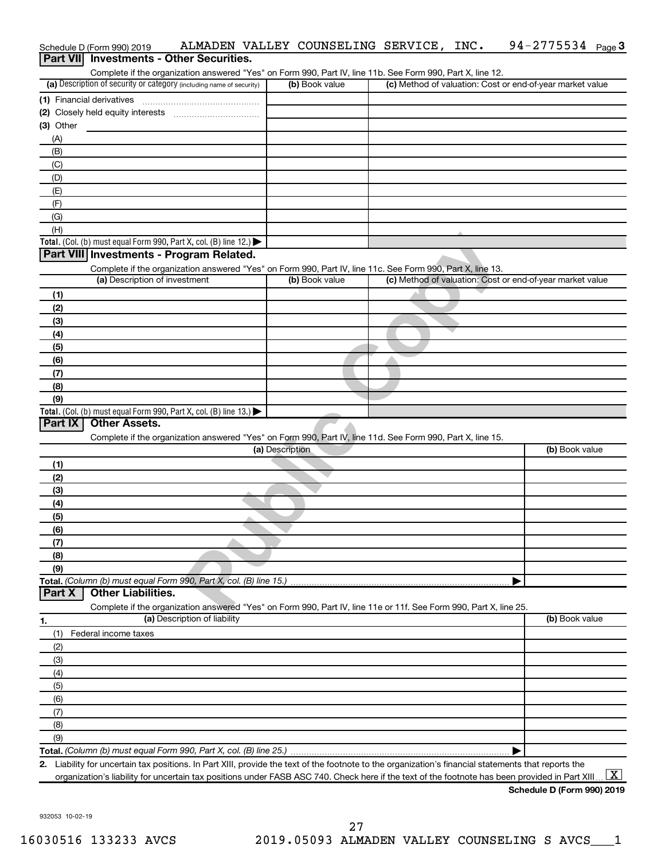|                  | Schedule D (Form 990) 2019    | ALMADEN VALLEY COUNSELING SERVICE, INC.                                                                                                              |                 |                |  | 94-2775534 $_{Page}$ 3                                                                                                                         |
|------------------|-------------------------------|------------------------------------------------------------------------------------------------------------------------------------------------------|-----------------|----------------|--|------------------------------------------------------------------------------------------------------------------------------------------------|
| <b>Part VIII</b> |                               | <b>Investments - Other Securities.</b>                                                                                                               |                 |                |  |                                                                                                                                                |
|                  |                               | Complete if the organization answered "Yes" on Form 990, Part IV, line 11b. See Form 990, Part X, line 12.                                           |                 |                |  |                                                                                                                                                |
|                  |                               | (a) Description of security or category (including name of security)                                                                                 |                 | (b) Book value |  | (c) Method of valuation: Cost or end-of-year market value                                                                                      |
|                  | (1) Financial derivatives     |                                                                                                                                                      |                 |                |  |                                                                                                                                                |
|                  |                               |                                                                                                                                                      |                 |                |  |                                                                                                                                                |
| $(3)$ Other      |                               |                                                                                                                                                      |                 |                |  |                                                                                                                                                |
| (A)              |                               |                                                                                                                                                      |                 |                |  |                                                                                                                                                |
| (B)              |                               |                                                                                                                                                      |                 |                |  |                                                                                                                                                |
| (C)              |                               |                                                                                                                                                      |                 |                |  |                                                                                                                                                |
| (D)              |                               |                                                                                                                                                      |                 |                |  |                                                                                                                                                |
| (E)              |                               |                                                                                                                                                      |                 |                |  |                                                                                                                                                |
| (F)              |                               |                                                                                                                                                      |                 |                |  |                                                                                                                                                |
| (G)              |                               |                                                                                                                                                      |                 |                |  |                                                                                                                                                |
| (H)              |                               |                                                                                                                                                      |                 |                |  |                                                                                                                                                |
|                  |                               | Total. (Col. (b) must equal Form 990, Part X, col. (B) line 12.) $\blacktriangleright$                                                               |                 |                |  |                                                                                                                                                |
|                  |                               | Part VIII Investments - Program Related.                                                                                                             |                 |                |  |                                                                                                                                                |
|                  | (a) Description of investment | Complete if the organization answered "Yes" on Form 990, Part IV, line 11c. See Form 990, Part X, line 13.                                           |                 | (b) Book value |  |                                                                                                                                                |
|                  |                               |                                                                                                                                                      |                 |                |  | (c) Method of valuation: Cost or end-of-year market value                                                                                      |
| (1)              |                               |                                                                                                                                                      |                 |                |  |                                                                                                                                                |
| (2)              |                               |                                                                                                                                                      |                 |                |  |                                                                                                                                                |
| (3)              |                               |                                                                                                                                                      |                 |                |  |                                                                                                                                                |
| (4)              |                               |                                                                                                                                                      |                 |                |  |                                                                                                                                                |
| (5)              |                               |                                                                                                                                                      |                 |                |  |                                                                                                                                                |
| (6)              |                               |                                                                                                                                                      |                 |                |  |                                                                                                                                                |
| (7)              |                               |                                                                                                                                                      |                 |                |  |                                                                                                                                                |
| (8)              |                               |                                                                                                                                                      |                 |                |  |                                                                                                                                                |
| (9)              |                               |                                                                                                                                                      |                 |                |  |                                                                                                                                                |
| Part IX          | <b>Other Assets.</b>          | Total. (Col. (b) must equal Form 990, Part X, col. (B) line 13.) $\blacktriangleright$                                                               |                 |                |  |                                                                                                                                                |
|                  |                               |                                                                                                                                                      |                 |                |  |                                                                                                                                                |
|                  |                               | Complete if the organization answered "Yes" on Form 990, Part IV, line 11d. See Form 990, Part X, line 15.                                           | (a) Description |                |  | (b) Book value                                                                                                                                 |
|                  |                               |                                                                                                                                                      |                 |                |  |                                                                                                                                                |
| (1)              |                               |                                                                                                                                                      |                 |                |  |                                                                                                                                                |
| (2)              |                               |                                                                                                                                                      |                 |                |  |                                                                                                                                                |
| (3)              |                               |                                                                                                                                                      |                 |                |  |                                                                                                                                                |
| (4)              |                               |                                                                                                                                                      |                 |                |  |                                                                                                                                                |
| (5)              |                               |                                                                                                                                                      |                 |                |  |                                                                                                                                                |
| (6)              |                               |                                                                                                                                                      |                 |                |  |                                                                                                                                                |
| (7)              |                               |                                                                                                                                                      |                 |                |  |                                                                                                                                                |
| (8)<br>(9)       |                               |                                                                                                                                                      |                 |                |  |                                                                                                                                                |
|                  |                               | Total. (Column (b) must equal Form 990, Part X, col. (B) line 15.)                                                                                   |                 |                |  |                                                                                                                                                |
| Part X           | <b>Other Liabilities.</b>     |                                                                                                                                                      |                 |                |  |                                                                                                                                                |
|                  |                               | Complete if the organization answered "Yes" on Form 990, Part IV, line 11e or 11f. See Form 990, Part X, line 25.                                    |                 |                |  |                                                                                                                                                |
|                  |                               | (a) Description of liability                                                                                                                         |                 |                |  | (b) Book value                                                                                                                                 |
| 1.<br>(1)        | Federal income taxes          |                                                                                                                                                      |                 |                |  |                                                                                                                                                |
|                  |                               |                                                                                                                                                      |                 |                |  |                                                                                                                                                |
| (2)<br>(3)       |                               |                                                                                                                                                      |                 |                |  |                                                                                                                                                |
| (4)              |                               |                                                                                                                                                      |                 |                |  |                                                                                                                                                |
| (5)              |                               |                                                                                                                                                      |                 |                |  |                                                                                                                                                |
|                  |                               |                                                                                                                                                      |                 |                |  |                                                                                                                                                |
| (6)              |                               |                                                                                                                                                      |                 |                |  |                                                                                                                                                |
| (7)              |                               |                                                                                                                                                      |                 |                |  |                                                                                                                                                |
| (8)              |                               |                                                                                                                                                      |                 |                |  |                                                                                                                                                |
| (9)              |                               |                                                                                                                                                      |                 |                |  |                                                                                                                                                |
|                  |                               | 2. Liability for uncertain tax positions. In Part XIII, provide the text of the footnote to the organization's financial statements that reports the |                 |                |  |                                                                                                                                                |
|                  |                               |                                                                                                                                                      |                 |                |  | $\lfloor x \rfloor$                                                                                                                            |
|                  |                               |                                                                                                                                                      |                 |                |  | organization's liability for uncertain tax positions under FASB ASC 740. Check here if the text of the footnote has been provided in Part XIII |

**Schedule D (Form 990) 2019**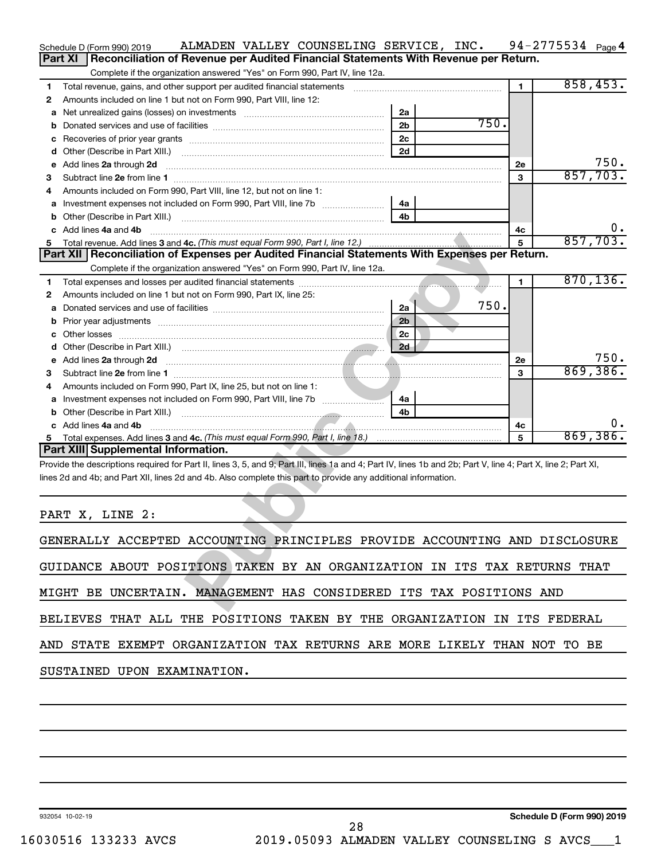|        | ALMADEN VALLEY COUNSELING SERVICE, INC.<br>Schedule D (Form 990) 2019                                                                                                                                                                                                            |                                  |      |                | $94 - 2775534$ Page 4      |           |
|--------|----------------------------------------------------------------------------------------------------------------------------------------------------------------------------------------------------------------------------------------------------------------------------------|----------------------------------|------|----------------|----------------------------|-----------|
|        | <b>Part XI</b><br>Reconciliation of Revenue per Audited Financial Statements With Revenue per Return.                                                                                                                                                                            |                                  |      |                |                            |           |
|        | Complete if the organization answered "Yes" on Form 990, Part IV, line 12a.                                                                                                                                                                                                      |                                  |      |                |                            |           |
| 1      | Total revenue, gains, and other support per audited financial statements [100011001100110110110110110111111111                                                                                                                                                                   |                                  |      | $\blacksquare$ | 858,453.                   |           |
| 2      | Amounts included on line 1 but not on Form 990, Part VIII, line 12:                                                                                                                                                                                                              | 2a                               |      |                |                            |           |
| а<br>b | Net unrealized gains (losses) on investments [111] Net unrealized mains (losses) on investments [11] Morten mains and the unrealized mains and the unrealized mains and the unrealized mains and the unrealized mains and the                                                    | 2 <sub>b</sub>                   | 750. |                |                            |           |
| с      |                                                                                                                                                                                                                                                                                  | 2c                               |      |                |                            |           |
| d      |                                                                                                                                                                                                                                                                                  | 2d                               |      |                |                            |           |
| е      | Add lines 2a through 2d                                                                                                                                                                                                                                                          |                                  |      | <b>2e</b>      |                            | 750.      |
| З      |                                                                                                                                                                                                                                                                                  |                                  |      | 3              |                            | 857,703.  |
| 4      | Amounts included on Form 990, Part VIII, line 12, but not on line 1:                                                                                                                                                                                                             |                                  |      |                |                            |           |
| а      |                                                                                                                                                                                                                                                                                  | 4a                               |      |                |                            |           |
| b      |                                                                                                                                                                                                                                                                                  | 4 <sub>h</sub>                   |      |                |                            |           |
|        | Add lines 4a and 4b                                                                                                                                                                                                                                                              |                                  |      | 4c             |                            | 0.        |
| 5      |                                                                                                                                                                                                                                                                                  |                                  |      | 5              | 857,703.                   |           |
|        | Part XII   Reconciliation of Expenses per Audited Financial Statements With Expenses per Return.                                                                                                                                                                                 |                                  |      |                |                            |           |
|        | Complete if the organization answered "Yes" on Form 990, Part IV, line 12a.                                                                                                                                                                                                      | and the contract of the contract |      |                |                            | 870, 136. |
| 1      | Amounts included on line 1 but not on Form 990, Part IX, line 25:                                                                                                                                                                                                                |                                  |      | 1              |                            |           |
| 2<br>а |                                                                                                                                                                                                                                                                                  | 2a                               | 750. |                |                            |           |
| b      |                                                                                                                                                                                                                                                                                  | 2 <sub>b</sub>                   |      |                |                            |           |
| с      |                                                                                                                                                                                                                                                                                  | 2c                               |      |                |                            |           |
| d      |                                                                                                                                                                                                                                                                                  | 2d                               |      |                |                            |           |
| е      | Add lines 2a through 2d <b>contained a contained a contained a contained a contained a contained a contained a contained a contact a contact a contact a contact a contact a contact a contact a contact a contact a contact a c</b>                                             |                                  |      | <b>2e</b>      |                            | 750.      |
| З      |                                                                                                                                                                                                                                                                                  |                                  |      | 3              |                            | 869,386.  |
| 4      | Amounts included on Form 990, Part IX, line 25, but not on line 1:                                                                                                                                                                                                               |                                  |      |                |                            |           |
| а      |                                                                                                                                                                                                                                                                                  | 4a                               |      |                |                            |           |
| b      |                                                                                                                                                                                                                                                                                  | 4 <sub>h</sub>                   |      |                |                            |           |
|        | c Add lines 4a and 4b                                                                                                                                                                                                                                                            |                                  |      | 4c             |                            | υ.        |
|        |                                                                                                                                                                                                                                                                                  |                                  |      | 5              | 869,386.                   |           |
|        | <b>Part XIII Supplemental Information.</b>                                                                                                                                                                                                                                       |                                  |      |                |                            |           |
|        | Provide the descriptions required for Part II, lines 3, 5, and 9; Part III, lines 1a and 4; Part IV, lines 1b and 2b; Part V, line 4; Part X, line 2; Part XI,<br>lines 2d and 4b; and Part XII, lines 2d and 4b. Also complete this part to provide any additional information. |                                  |      |                |                            |           |
|        |                                                                                                                                                                                                                                                                                  |                                  |      |                |                            |           |
|        |                                                                                                                                                                                                                                                                                  |                                  |      |                |                            |           |
|        | PART X, LINE 2:                                                                                                                                                                                                                                                                  |                                  |      |                |                            |           |
|        |                                                                                                                                                                                                                                                                                  |                                  |      |                |                            |           |
|        | GENERALLY ACCEPTED ACCOUNTING PRINCIPLES PROVIDE ACCOUNTING AND DISCLOSURE                                                                                                                                                                                                       |                                  |      |                |                            |           |
|        |                                                                                                                                                                                                                                                                                  |                                  |      |                |                            |           |
|        | GUIDANCE ABOUT POSITIONS TAKEN BY AN ORGANIZATION IN ITS TAX RETURNS THAT                                                                                                                                                                                                        |                                  |      |                |                            |           |
|        | MIGHT BE UNCERTAIN. MANAGEMENT HAS CONSIDERED ITS TAX POSITIONS AND                                                                                                                                                                                                              |                                  |      |                |                            |           |
|        |                                                                                                                                                                                                                                                                                  |                                  |      |                |                            |           |
|        | BELIEVES THAT ALL THE POSITIONS TAKEN BY THE ORGANIZATION IN ITS FEDERAL                                                                                                                                                                                                         |                                  |      |                |                            |           |
|        |                                                                                                                                                                                                                                                                                  |                                  |      |                |                            |           |
|        | AND STATE EXEMPT ORGANIZATION TAX RETURNS ARE MORE LIKELY THAN NOT TO BE                                                                                                                                                                                                         |                                  |      |                |                            |           |
|        |                                                                                                                                                                                                                                                                                  |                                  |      |                |                            |           |
|        | SUSTAINED UPON EXAMINATION.                                                                                                                                                                                                                                                      |                                  |      |                |                            |           |
|        |                                                                                                                                                                                                                                                                                  |                                  |      |                |                            |           |
|        |                                                                                                                                                                                                                                                                                  |                                  |      |                |                            |           |
|        |                                                                                                                                                                                                                                                                                  |                                  |      |                |                            |           |
|        |                                                                                                                                                                                                                                                                                  |                                  |      |                |                            |           |
|        |                                                                                                                                                                                                                                                                                  |                                  |      |                |                            |           |
|        |                                                                                                                                                                                                                                                                                  |                                  |      |                |                            |           |
|        |                                                                                                                                                                                                                                                                                  |                                  |      |                |                            |           |
|        |                                                                                                                                                                                                                                                                                  |                                  |      |                |                            |           |
|        |                                                                                                                                                                                                                                                                                  |                                  |      |                |                            |           |
|        | 932054 10-02-19                                                                                                                                                                                                                                                                  |                                  |      |                | Schedule D (Form 990) 2019 |           |

| GENERALLY ACCEPTED ACCOUNTING PRINCIPLES PROVIDE ACCOUNTING AND DISCLOSURE |  |
|----------------------------------------------------------------------------|--|
| GUIDANCE ABOUT POSITIONS TAKEN BY AN ORGANIZATION IN ITS TAX RETURNS THAT  |  |
| MIGHT BE UNCERTAIN. MANAGEMENT HAS CONSIDERED ITS TAX POSITIONS AND        |  |
| BELIEVES THAT ALL THE POSITIONS TAKEN BY THE ORGANIZATION IN ITS FEDERAL   |  |
| AND STATE EXEMPT ORGANIZATION TAX RETURNS ARE MORE LIKELY THAN NOT TO BE   |  |
| SUSTAINED UPON EXAMINATION.                                                |  |

932054 10-02-19

**Schedule D (Form 990) 2019**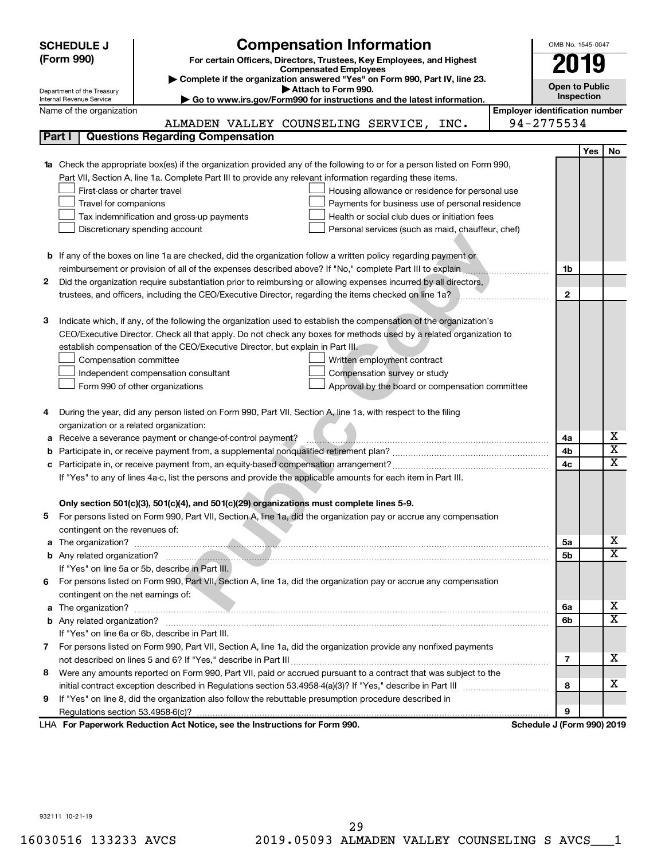|   | <b>SCHEDULE J</b>                                                                                             | <b>Compensation Information</b>                                                                                        |                                       | OMB No. 1545-0047          |     |                              |  |  |  |
|---|---------------------------------------------------------------------------------------------------------------|------------------------------------------------------------------------------------------------------------------------|---------------------------------------|----------------------------|-----|------------------------------|--|--|--|
|   | (Form 990)<br>For certain Officers, Directors, Trustees, Key Employees, and Highest                           |                                                                                                                        |                                       |                            |     | 2019                         |  |  |  |
|   | <b>Compensated Employees</b>                                                                                  |                                                                                                                        |                                       |                            |     |                              |  |  |  |
|   | Department of the Treasury                                                                                    | Complete if the organization answered "Yes" on Form 990, Part IV, line 23.<br>Attach to Form 990.                      |                                       | <b>Open to Public</b>      |     |                              |  |  |  |
|   | Go to www.irs.gov/Form990 for instructions and the latest information.<br>Internal Revenue Service            |                                                                                                                        |                                       |                            |     |                              |  |  |  |
|   | Name of the organization                                                                                      |                                                                                                                        | <b>Employer identification number</b> |                            |     |                              |  |  |  |
|   |                                                                                                               | ALMADEN VALLEY COUNSELING SERVICE,<br>INC.                                                                             |                                       | 94-2775534                 |     |                              |  |  |  |
|   | Part I                                                                                                        | <b>Questions Regarding Compensation</b>                                                                                |                                       |                            |     |                              |  |  |  |
|   |                                                                                                               |                                                                                                                        |                                       |                            | Yes | No                           |  |  |  |
|   |                                                                                                               | Check the appropriate box(es) if the organization provided any of the following to or for a person listed on Form 990, |                                       |                            |     |                              |  |  |  |
|   |                                                                                                               | Part VII, Section A, line 1a. Complete Part III to provide any relevant information regarding these items.             |                                       |                            |     |                              |  |  |  |
|   | First-class or charter travel                                                                                 | Housing allowance or residence for personal use                                                                        |                                       |                            |     |                              |  |  |  |
|   | Travel for companions                                                                                         | Payments for business use of personal residence                                                                        |                                       |                            |     |                              |  |  |  |
|   |                                                                                                               | Tax indemnification and gross-up payments<br>Health or social club dues or initiation fees                             |                                       |                            |     |                              |  |  |  |
|   |                                                                                                               | Discretionary spending account<br>Personal services (such as maid, chauffeur, chef)                                    |                                       |                            |     |                              |  |  |  |
|   |                                                                                                               |                                                                                                                        |                                       |                            |     |                              |  |  |  |
|   |                                                                                                               | <b>b</b> If any of the boxes on line 1a are checked, did the organization follow a written policy regarding payment or |                                       |                            |     |                              |  |  |  |
|   |                                                                                                               | reimbursement or provision of all of the expenses described above? If "No," complete Part III to explain               |                                       | 1b                         |     |                              |  |  |  |
| 2 |                                                                                                               | Did the organization require substantiation prior to reimbursing or allowing expenses incurred by all directors,       |                                       |                            |     |                              |  |  |  |
|   |                                                                                                               | trustees, and officers, including the CEO/Executive Director, regarding the items checked on line 1a?                  |                                       | $\mathbf{2}$               |     |                              |  |  |  |
| З |                                                                                                               | Indicate which, if any, of the following the organization used to establish the compensation of the organization's     |                                       |                            |     |                              |  |  |  |
|   |                                                                                                               | CEO/Executive Director. Check all that apply. Do not check any boxes for methods used by a related organization to     |                                       |                            |     |                              |  |  |  |
|   |                                                                                                               | establish compensation of the CEO/Executive Director, but explain in Part III.                                         |                                       |                            |     |                              |  |  |  |
|   | Compensation committee                                                                                        | Written employment contract                                                                                            |                                       |                            |     |                              |  |  |  |
|   |                                                                                                               | Independent compensation consultant<br>Compensation survey or study                                                    |                                       |                            |     |                              |  |  |  |
|   |                                                                                                               | Form 990 of other organizations<br>Approval by the board or compensation committee                                     |                                       |                            |     |                              |  |  |  |
|   |                                                                                                               |                                                                                                                        |                                       |                            |     |                              |  |  |  |
| 4 |                                                                                                               | During the year, did any person listed on Form 990, Part VII, Section A, line 1a, with respect to the filing           |                                       |                            |     |                              |  |  |  |
|   | organization or a related organization:                                                                       |                                                                                                                        |                                       |                            |     |                              |  |  |  |
| а |                                                                                                               | Receive a severance payment or change-of-control payment?                                                              |                                       | 4a                         |     | х                            |  |  |  |
|   |                                                                                                               |                                                                                                                        |                                       | 4b                         |     | $\overline{\mathbf{X}}$      |  |  |  |
|   |                                                                                                               |                                                                                                                        |                                       | 4c                         |     | X                            |  |  |  |
|   | If "Yes" to any of lines 4a-c, list the persons and provide the applicable amounts for each item in Part III. |                                                                                                                        |                                       |                            |     |                              |  |  |  |
|   |                                                                                                               |                                                                                                                        |                                       |                            |     |                              |  |  |  |
|   |                                                                                                               | Only section 501(c)(3), 501(c)(4), and 501(c)(29) organizations must complete lines 5-9.                               |                                       |                            |     |                              |  |  |  |
|   |                                                                                                               | For persons listed on Form 990, Part VII, Section A, line 1a, did the organization pay or accrue any compensation      |                                       |                            |     |                              |  |  |  |
|   | contingent on the revenues of:                                                                                |                                                                                                                        |                                       |                            |     |                              |  |  |  |
| a |                                                                                                               |                                                                                                                        |                                       | 5a                         |     | x                            |  |  |  |
|   |                                                                                                               |                                                                                                                        |                                       | 5b                         |     | $\overline{\texttt{x}}$      |  |  |  |
|   |                                                                                                               | If "Yes" on line 5a or 5b, describe in Part III.                                                                       |                                       |                            |     |                              |  |  |  |
|   |                                                                                                               | 6 For persons listed on Form 990, Part VII, Section A, line 1a, did the organization pay or accrue any compensation    |                                       |                            |     |                              |  |  |  |
|   | contingent on the net earnings of:                                                                            |                                                                                                                        |                                       |                            |     |                              |  |  |  |
| a |                                                                                                               |                                                                                                                        |                                       | 6a                         |     | x<br>$\overline{\texttt{x}}$ |  |  |  |
|   |                                                                                                               |                                                                                                                        |                                       | 6b                         |     |                              |  |  |  |
|   |                                                                                                               | If "Yes" on line 6a or 6b, describe in Part III.                                                                       |                                       |                            |     |                              |  |  |  |
|   |                                                                                                               | 7 For persons listed on Form 990, Part VII, Section A, line 1a, did the organization provide any nonfixed payments     |                                       |                            |     | x                            |  |  |  |
|   |                                                                                                               | Were any amounts reported on Form 990, Part VII, paid or accrued pursuant to a contract that was subject to the        |                                       | 7                          |     |                              |  |  |  |
| 8 |                                                                                                               |                                                                                                                        |                                       | 8                          |     | х                            |  |  |  |
| 9 |                                                                                                               |                                                                                                                        |                                       |                            |     |                              |  |  |  |
|   |                                                                                                               | If "Yes" on line 8, did the organization also follow the rebuttable presumption procedure described in                 |                                       | 9                          |     |                              |  |  |  |
|   |                                                                                                               | LHA For Paperwork Reduction Act Notice, see the Instructions for Form 990.                                             |                                       | Schedule J (Form 990) 2019 |     |                              |  |  |  |
|   |                                                                                                               |                                                                                                                        |                                       |                            |     |                              |  |  |  |

932111 10-21-19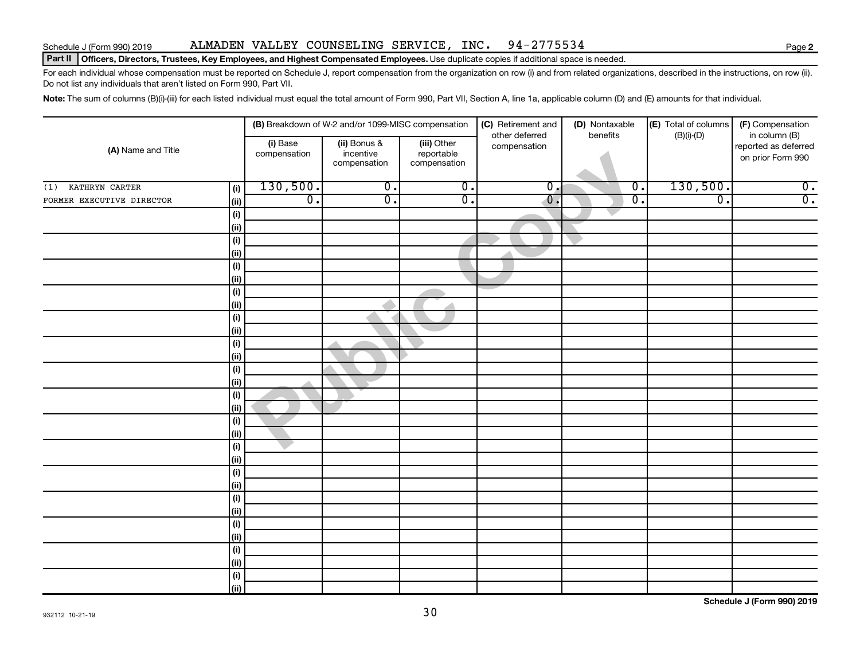# Schedule J (Form 990) 2019 Page ALMADEN VALLEY COUNSELING SERVICE, INC. 94-2775534

# Part II | Officers, Directors, Trustees, Key Employees, and Highest Compensated Employees. Use duplicate copies if additional space is needed.

For each individual whose compensation must be reported on Schedule J, report compensation from the organization on row (i) and from related organizations, described in the instructions, on row (ii). Do not list any individuals that aren't listed on Form 990, Part VII.

Note: The sum of columns (B)(i)-(iii) for each listed individual must equal the total amount of Form 990, Part VII, Section A, line 1a, applicable column (D) and (E) amounts for that individual.

| (A) Name and Title        |                              |                          | (B) Breakdown of W-2 and/or 1099-MISC compensation |                                           | (C) Retirement and             | (D) Nontaxable<br>benefits | (E) Total of columns | (F) Compensation                                           |  |
|---------------------------|------------------------------|--------------------------|----------------------------------------------------|-------------------------------------------|--------------------------------|----------------------------|----------------------|------------------------------------------------------------|--|
|                           |                              | (i) Base<br>compensation | (ii) Bonus &<br>incentive<br>compensation          | (iii) Other<br>reportable<br>compensation | other deferred<br>compensation |                            | $(B)(i)-(D)$         | in column (B)<br>reported as deferred<br>on prior Form 990 |  |
| KATHRYN CARTER<br>(1)     | (i)                          | 130,500.                 | $\overline{0}$ .                                   | $\overline{0}$ .                          | $\overline{0}$ .               | $\overline{0}$ .           | 130,500.             | $\overline{0}$ .                                           |  |
| FORMER EXECUTIVE DIRECTOR | (i)                          | $\overline{0}$ .         | $\overline{0}$ .                                   | $\overline{0}$ .                          | $\overline{\mathfrak{o}}$ .    | $\overline{0}$ .           | $\overline{0}$ .     | $\overline{0}$ .                                           |  |
|                           | $\qquad \qquad \textbf{(i)}$ |                          |                                                    |                                           |                                |                            |                      |                                                            |  |
|                           | $\vert$ (ii)                 |                          |                                                    |                                           |                                |                            |                      |                                                            |  |
|                           | (i)                          |                          |                                                    |                                           |                                |                            |                      |                                                            |  |
|                           | (ii)                         |                          |                                                    |                                           |                                |                            |                      |                                                            |  |
|                           | (i)                          |                          |                                                    |                                           |                                |                            |                      |                                                            |  |
|                           | (ii)                         |                          |                                                    |                                           |                                |                            |                      |                                                            |  |
|                           | (i)                          |                          |                                                    |                                           |                                |                            |                      |                                                            |  |
|                           | $\vert$ (ii)                 |                          |                                                    |                                           |                                |                            |                      |                                                            |  |
|                           | (i)                          |                          |                                                    |                                           |                                |                            |                      |                                                            |  |
|                           | $\vert$ (ii)                 |                          |                                                    |                                           |                                |                            |                      |                                                            |  |
|                           | (i)                          |                          |                                                    |                                           |                                |                            |                      |                                                            |  |
|                           | (ii)<br>(i)                  |                          |                                                    |                                           |                                |                            |                      |                                                            |  |
|                           | (i)                          |                          |                                                    |                                           |                                |                            |                      |                                                            |  |
|                           | $\qquad \qquad \textbf{(i)}$ |                          |                                                    |                                           |                                |                            |                      |                                                            |  |
|                           | $\vert$ (ii)                 |                          |                                                    |                                           |                                |                            |                      |                                                            |  |
|                           | (i)                          |                          |                                                    |                                           |                                |                            |                      |                                                            |  |
|                           | (ii)                         |                          |                                                    |                                           |                                |                            |                      |                                                            |  |
|                           | $\qquad \qquad \textbf{(i)}$ |                          |                                                    |                                           |                                |                            |                      |                                                            |  |
|                           | (ii)                         |                          |                                                    |                                           |                                |                            |                      |                                                            |  |
|                           | (i)                          |                          |                                                    |                                           |                                |                            |                      |                                                            |  |
|                           | $\vert$ (ii)                 |                          |                                                    |                                           |                                |                            |                      |                                                            |  |
|                           | (i)                          |                          |                                                    |                                           |                                |                            |                      |                                                            |  |
|                           | $\vert$ (ii)                 |                          |                                                    |                                           |                                |                            |                      |                                                            |  |
|                           | (i)                          |                          |                                                    |                                           |                                |                            |                      |                                                            |  |
|                           | $\vert$ (ii)                 |                          |                                                    |                                           |                                |                            |                      |                                                            |  |
|                           | (i)                          |                          |                                                    |                                           |                                |                            |                      |                                                            |  |
|                           | (ii)                         |                          |                                                    |                                           |                                |                            |                      |                                                            |  |
|                           | $\qquad \qquad \textbf{(i)}$ |                          |                                                    |                                           |                                |                            |                      |                                                            |  |
|                           | $\overline{(\mathsf{ii})}$   |                          |                                                    |                                           |                                |                            |                      |                                                            |  |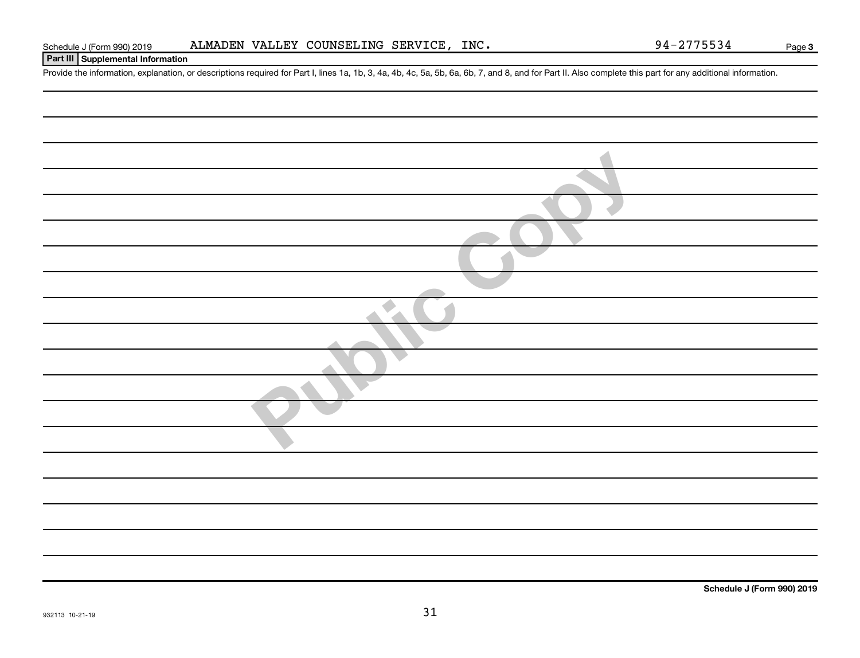# **Part III Supplemental Information**

Provide the information, explanation, or descriptions required for Part I, lines 1a, 1b, 3, 4a, 4b, 4c, 5a, 5b, 6a, 6b, 7, and 8, and for Part II. Also complete this part for any additional information.